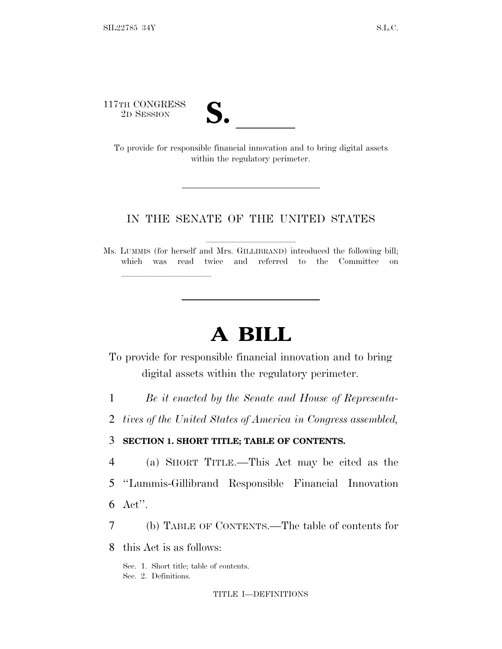117TH CONGRESS

lla se al constituit de la constituit de la constituit de la constituit de la constituit de la constituit de l<br>La constituit de la constituit de la constituit de la constituit de la constituit de la constituit de la const



TTH CONGRESS<br>
2D SESSION<br>
To provide for responsible financial innovation and to bring digital assets within the regulatory perimeter.

## IN THE SENATE OF THE UNITED STATES

Ms. LUMMIS (for herself and Mrs. GILLIBRAND) introduced the following bill; which was read twice and referred to the Committee on

# **A BILL**

To provide for responsible financial innovation and to bring digital assets within the regulatory perimeter.

1 *Be it enacted by the Senate and House of Representa-*

2 *tives of the United States of America in Congress assembled,*

3 **SECTION 1. SHORT TITLE; TABLE OF CONTENTS.**

4 (a) SHORT TITLE.—This Act may be cited as the

5 ''Lummis-Gillibrand Responsible Financial Innovation

6 Act''.

7 (b) TABLE OF CONTENTS.—The table of contents for

8 this Act is as follows:

Sec. 1. Short title; table of contents. Sec. 2. Definitions.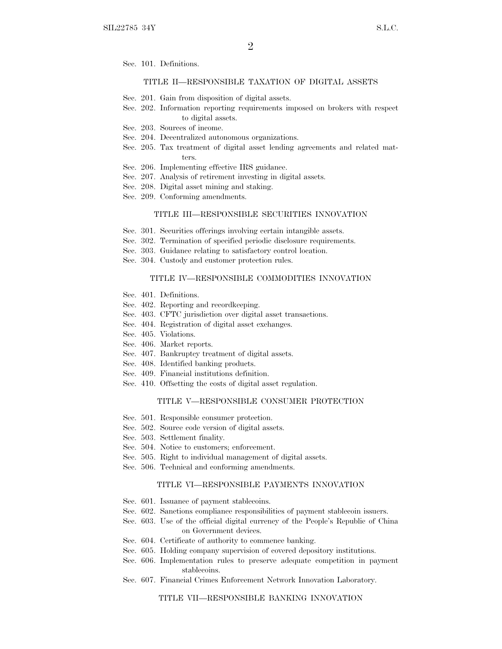Sec. 101. Definitions.

### TITLE II—RESPONSIBLE TAXATION OF DIGITAL ASSETS

- Sec. 201. Gain from disposition of digital assets.
- Sec. 202. Information reporting requirements imposed on brokers with respect to digital assets.
- Sec. 203. Sources of income.
- Sec. 204. Decentralized autonomous organizations.
- Sec. 205. Tax treatment of digital asset lending agreements and related matters.
- Sec. 206. Implementing effective IRS guidance.
- Sec. 207. Analysis of retirement investing in digital assets.
- Sec. 208. Digital asset mining and staking.
- Sec. 209. Conforming amendments.

#### TITLE III—RESPONSIBLE SECURITIES INNOVATION

- Sec. 301. Securities offerings involving certain intangible assets.
- Sec. 302. Termination of specified periodic disclosure requirements.
- Sec. 303. Guidance relating to satisfactory control location.
- Sec. 304. Custody and customer protection rules.

#### TITLE IV—RESPONSIBLE COMMODITIES INNOVATION

- Sec. 401. Definitions.
- Sec. 402. Reporting and recordkeeping.
- Sec. 403. CFTC jurisdiction over digital asset transactions.
- Sec. 404. Registration of digital asset exchanges.
- Sec. 405. Violations.
- Sec. 406. Market reports.
- Sec. 407. Bankruptcy treatment of digital assets.
- Sec. 408. Identified banking products.
- Sec. 409. Financial institutions definition.
- Sec. 410. Offsetting the costs of digital asset regulation.

### TITLE V—RESPONSIBLE CONSUMER PROTECTION

- Sec. 501. Responsible consumer protection.
- Sec. 502. Source code version of digital assets.
- Sec. 503. Settlement finality.
- Sec. 504. Notice to customers; enforcement.
- Sec. 505. Right to individual management of digital assets.
- Sec. 506. Technical and conforming amendments.

#### TITLE VI—RESPONSIBLE PAYMENTS INNOVATION

- Sec. 601. Issuance of payment stablecoins.
- Sec. 602. Sanctions compliance responsibilities of payment stablecoin issuers.
- Sec. 603. Use of the official digital currency of the People's Republic of China on Government devices.
- Sec. 604. Certificate of authority to commence banking.
- Sec. 605. Holding company supervision of covered depository institutions.
- Sec. 606. Implementation rules to preserve adequate competition in payment stablecoins.
- Sec. 607. Financial Crimes Enforcement Network Innovation Laboratory.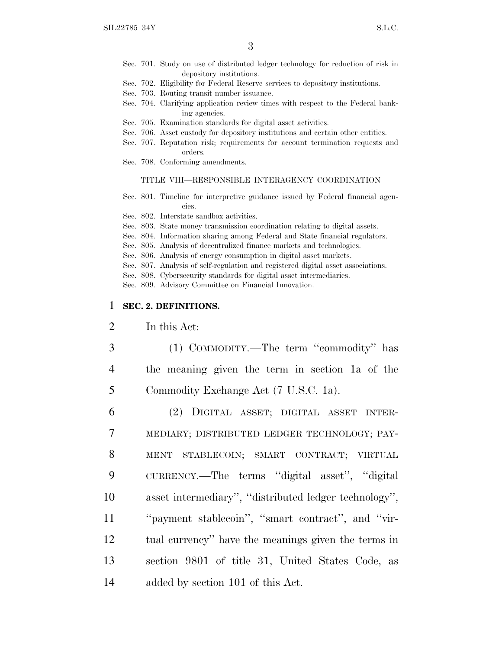- Sec. 701. Study on use of distributed ledger technology for reduction of risk in depository institutions.
- Sec. 702. Eligibility for Federal Reserve services to depository institutions.
- Sec. 703. Routing transit number issuance.
- Sec. 704. Clarifying application review times with respect to the Federal banking agencies.
- Sec. 705. Examination standards for digital asset activities.
- Sec. 706. Asset custody for depository institutions and certain other entities.
- Sec. 707. Reputation risk; requirements for account termination requests and orders.
- Sec. 708. Conforming amendments.

### TITLE VIII—RESPONSIBLE INTERAGENCY COORDINATION

Sec. 801. Timeline for interpretive guidance issued by Federal financial agencies.

Sec. 802. Interstate sandbox activities.

- Sec. 803. State money transmission coordination relating to digital assets.
- Sec. 804. Information sharing among Federal and State financial regulators.
- Sec. 805. Analysis of decentralized finance markets and technologies.
- Sec. 806. Analysis of energy consumption in digital asset markets.
- Sec. 807. Analysis of self-regulation and registered digital asset associations.

Sec. 808. Cybersecurity standards for digital asset intermediaries.

Sec. 809. Advisory Committee on Financial Innovation.

### 1 **SEC. 2. DEFINITIONS.**

- 2 In this Act:
- 3 (1) COMMODITY.—The term ''commodity'' has 4 the meaning given the term in section 1a of the 5 Commodity Exchange Act (7 U.S.C. 1a).
- 6 (2) DIGITAL ASSET; DIGITAL ASSET INTER-7 MEDIARY; DISTRIBUTED LEDGER TECHNOLOGY; PAY-8 MENT STABLECOIN; SMART CONTRACT; VIRTUAL 9 CURRENCY.—The terms ''digital asset'', ''digital 10 asset intermediary'', ''distributed ledger technology'', 11 ''payment stablecoin'', ''smart contract'', and ''vir-12 tual currency'' have the meanings given the terms in 13 section 9801 of title 31, United States Code, as 14 added by section 101 of this Act.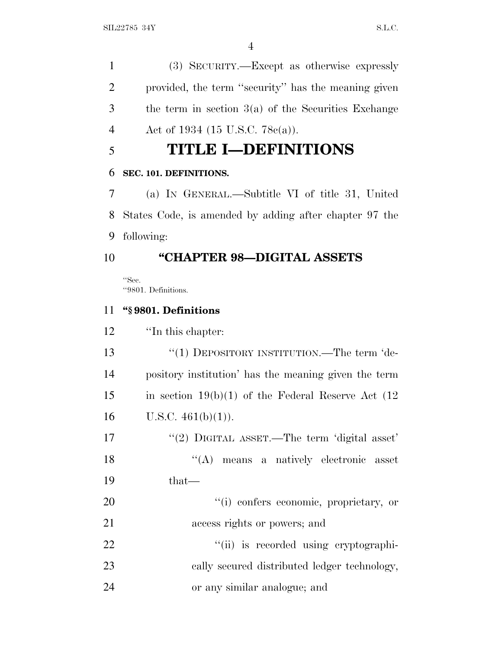(3) SECURITY.—Except as otherwise expressly provided, the term ''security'' has the meaning given the term in section 3(a) of the Securities Exchange 4 Act of 1934 (15 U.S.C. 78c(a)).

# **TITLE I—DEFINITIONS**

# **SEC. 101. DEFINITIONS.**

 (a) I<sup>N</sup> GENERAL.—Subtitle VI of title 31, United States Code, is amended by adding after chapter 97 the following:

# **''CHAPTER 98—DIGITAL ASSETS**

''Sec. ''9801. Definitions.

# **''§ 9801. Definitions**

''In this chapter:

13 "(1) DEPOSITORY INSTITUTION.—The term 'de- pository institution' has the meaning given the term 15 in section 19(b)(1) of the Federal Reserve Act  $(12)$ 16 U.S.C.  $461(b)(1)$ .

17 "(2) DIGITAL ASSET.—The term 'digital asset' 18 ''(A) means a natively electronic asset that—

20  $\frac{1}{20}$  (i) confers economic, proprietary, or access rights or powers; and

22  $\frac{1}{1}$  is recorded using cryptographi- cally secured distributed ledger technology, or any similar analogue; and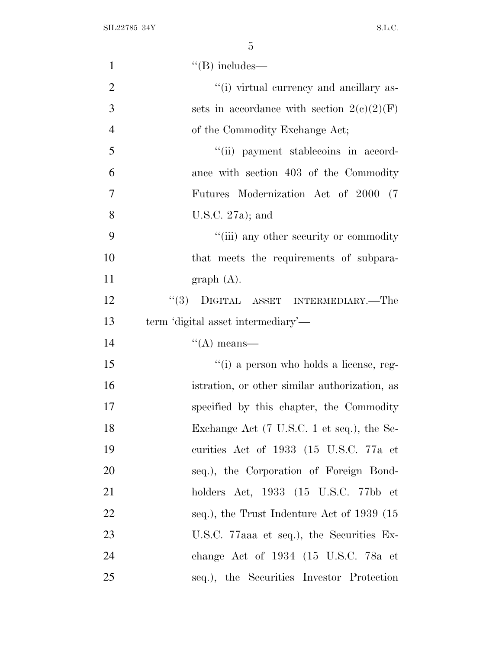SIL22785 34Y S.L.C.

| $\mathbf{1}$   | $\lq\lq(B)$ includes—                                               |
|----------------|---------------------------------------------------------------------|
| $\overline{2}$ | "(i) virtual currency and ancillary as-                             |
| 3              | sets in accordance with section $2(c)(2)(F)$                        |
| $\overline{4}$ | of the Commodity Exchange Act;                                      |
| 5              | "(ii) payment stablecoins in accord-                                |
| 6              | ance with section 403 of the Commodity                              |
| $\overline{7}$ | Futures Modernization Act of 2000 (7                                |
| 8              | U.S.C. $27a$ ; and                                                  |
| 9              | "(iii) any other security or commodity                              |
| 10             | that meets the requirements of subpara-                             |
| 11             | graph(A).                                                           |
| 12             | "(3) DIGITAL ASSET INTERMEDIARY.—The                                |
| 13             | term 'digital asset intermediary'—                                  |
| 14             | $\lq\lq$ means—                                                     |
| 15             | "(i) a person who holds a license, reg-                             |
| 16             | istration, or other similar authorization, as                       |
| 17             | specified by this chapter, the Commodity                            |
| 18             | Exchange Act (7 U.S.C. 1 et seq.), the Se-                          |
| 19             | curities Act of 1933 (15 U.S.C. 77a et                              |
| <b>20</b>      | seq.), the Corporation of Foreign Bond-                             |
| 21             | holders Act, $1933$ $(15 \text{ U.S.C. } 77 \text{ bb} \text{ et }$ |
| 22             | seq.), the Trust Indenture Act of 1939 (15                          |
| 23             | U.S.C. 77aaa et seq.), the Securities Ex-                           |
| 24             | change Act of 1934 (15 U.S.C. 78a et                                |
| 25             | seq.), the Securities Investor Protection                           |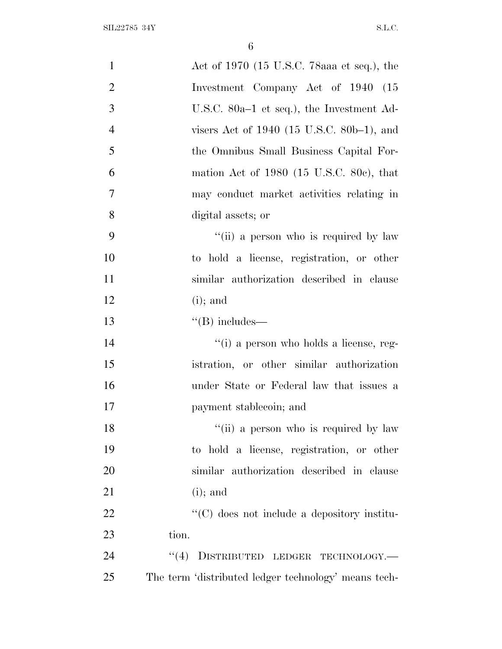| $\mathbf{1}$   | Act of 1970 (15 U.S.C. 78aaa et seq.), the           |
|----------------|------------------------------------------------------|
| $\overline{2}$ | Investment Company Act of 1940 (15                   |
| 3              | U.S.C. 80a–1 et seq.), the Investment Ad-            |
| $\overline{4}$ | visers Act of $1940$ (15 U.S.C. 80b–1), and          |
| 5              | the Omnibus Small Business Capital For-              |
| 6              | mation Act of $1980$ (15 U.S.C. 80c), that           |
| 7              | may conduct market activities relating in            |
| 8              | digital assets; or                                   |
| 9              | "(ii) a person who is required by law                |
| 10             | to hold a license, registration, or other            |
| 11             | similar authorization described in clause            |
| 12             | $(i)$ ; and                                          |
| 13             | $\lq\lq (B)$ includes—                               |
| 14             | "(i) a person who holds a license, reg-              |
| 15             | istration, or other similar authorization            |
| 16             | under State or Federal law that issues a             |
| 17             | payment stablecoin; and                              |
| 18             | "(ii) a person who is required by law                |
| 19             | to hold a license, registration, or other            |
| 20             | similar authorization described in clause            |
| 21             | $(i)$ ; and                                          |
| 22             | "(C) does not include a depository institu-          |
| 23             | tion.                                                |
| 24             | DISTRIBUTED LEDGER TECHNOLOGY.-<br>(4)               |
| 25             | The term 'distributed ledger technology' means tech- |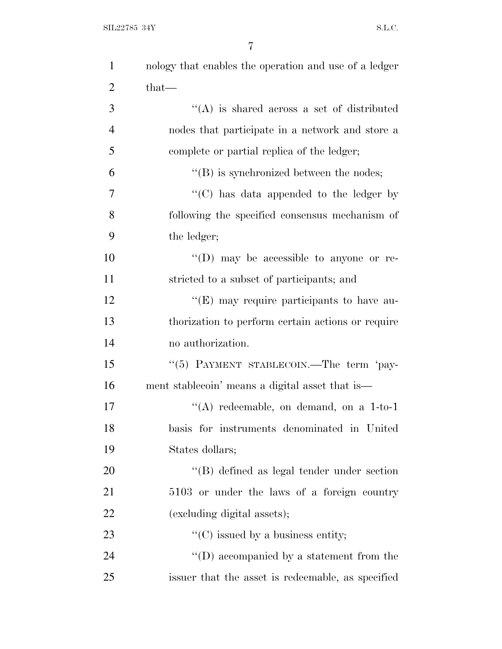| $\mathbf{1}$   | nology that enables the operation and use of a ledger |
|----------------|-------------------------------------------------------|
| $\overline{2}$ | $that-$                                               |
| 3              | $\lq\lq(A)$ is shared across a set of distributed     |
| $\overline{4}$ | nodes that participate in a network and store a       |
| 5              | complete or partial replica of the ledger;            |
| 6              | $\lq\lq$ (B) is synchronized between the nodes;       |
| 7              | "(C) has data appended to the ledger by               |
| 8              | following the specified consensus mechanism of        |
| 9              | the ledger;                                           |
| 10             | "(D) may be accessible to anyone or re-               |
| 11             | stricted to a subset of participants; and             |
| 12             | $\lq\lq(E)$ may require participants to have au-      |
| 13             | thorization to perform certain actions or require     |
| 14             | no authorization.                                     |
| 15             | "(5) PAYMENT STABLECOIN.—The term 'pay-               |
| 16             | ment stablecoin' means a digital asset that is—       |
| 17             | "(A) redeemable, on demand, on a $1$ -to-1            |
| 18             | basis for instruments denominated in United           |
| 19             | States dollars;                                       |
| 20             | "(B) defined as legal tender under section            |
| 21             | 5103 or under the laws of a foreign country           |
| 22             | (excluding digital assets);                           |
| 23             | $\lq\lq$ (C) issued by a business entity;             |
| 24             | $\lq\lq$ (D) accompanied by a statement from the      |
| 25             | issuer that the asset is redeemable, as specified     |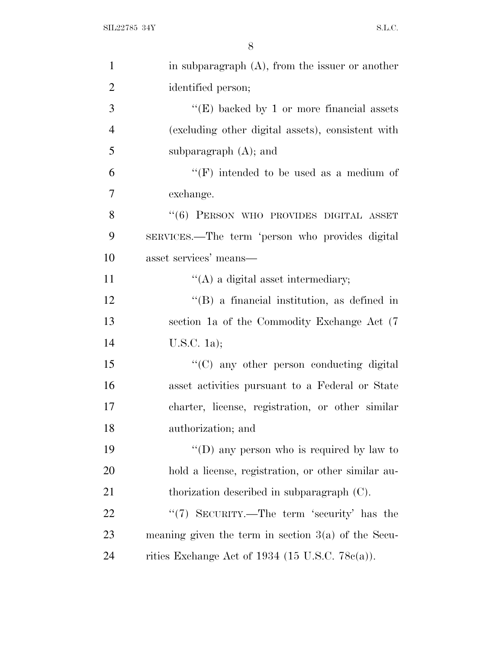| $\mathbf{1}$   | in subparagraph $(A)$ , from the issuer or another    |
|----------------|-------------------------------------------------------|
| $\overline{2}$ | identified person;                                    |
| 3              | "(E) backed by 1 or more financial assets             |
| $\overline{4}$ | (excluding other digital assets), consistent with     |
| 5              | subparagraph $(A)$ ; and                              |
| 6              | "(F) intended to be used as a medium of               |
| 7              | exchange.                                             |
| 8              | $``(6)$ PERSON WHO PROVIDES DIGITAL ASSET             |
| 9              | SERVICES.—The term 'person who provides digital       |
| 10             | asset services' means—                                |
| 11             | $\lq\lq$ (A) a digital asset intermediary;            |
| 12             | $\lq\lq (B)$ a financial institution, as defined in   |
| 13             | section 1a of the Commodity Exchange Act (7)          |
| 14             | U.S.C. 1a);                                           |
| 15             | $\cdot$ (C) any other person conducting digital       |
| 16             | asset activities pursuant to a Federal or State       |
| 17             | charter, license, registration, or other similar      |
| 18             | authorization; and                                    |
| 19             | "(D) any person who is required by law to             |
| <b>20</b>      | hold a license, registration, or other similar au-    |
| 21             | thorization described in subparagraph $(C)$ .         |
| <u>22</u>      | "(7) SECURITY.—The term 'security' has the            |
| 23             | meaning given the term in section $3(a)$ of the Secu- |
| 24             | rities Exchange Act of 1934 (15 U.S.C. 78 $c(a)$ ).   |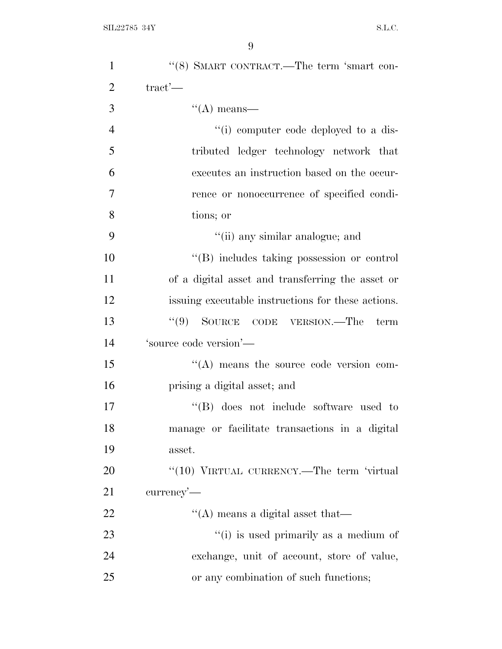| $\mathbf{1}$   | "(8) SMART CONTRACT.—The term 'smart con-          |
|----------------|----------------------------------------------------|
| $\overline{2}$ | $\text{tract}'$                                    |
| 3              | $\lq\lq$ means—                                    |
| $\overline{4}$ | "(i) computer code deployed to a dis-              |
| 5              | tributed ledger technology network that            |
| 6              | executes an instruction based on the occur-        |
| 7              | rence or nonoccurrence of specified condi-         |
| 8              | tions; or                                          |
| 9              | "(ii) any similar analogue; and                    |
| 10             | "(B) includes taking possession or control         |
| 11             | of a digital asset and transferring the asset or   |
| 12             | issuing executable instructions for these actions. |
| 13             | $``(9)$ SOURCE CODE VERSION.—The<br>term           |
| 14             | 'source code version'-                             |
| 15             | $\lq\lq$ means the source code version com-        |
| 16             | prising a digital asset; and                       |
| 17             | "(B) does not include software used to             |
| 18             | manage or facilitate transactions in a digital     |
| 19             | asset.                                             |
| 20             | "(10) VIRTUAL CURRENCY.—The term 'virtual          |
| 21             | currency'—                                         |
| 22             | $\lq\lq$ means a digital asset that—               |
| 23             | "(i) is used primarily as a medium of              |
| 24             | exchange, unit of account, store of value,         |
| 25             | or any combination of such functions;              |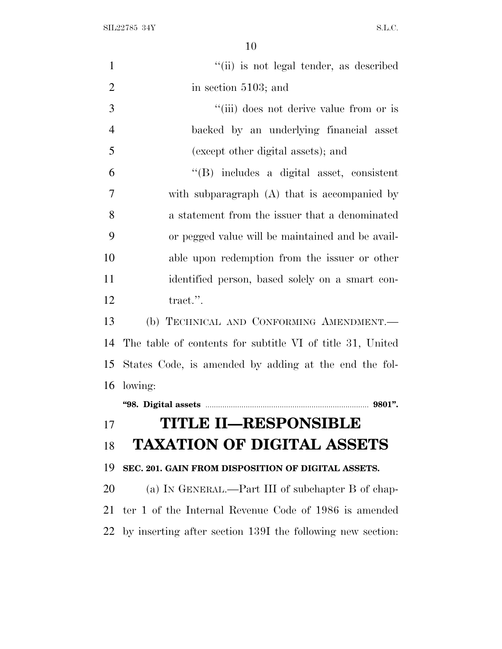$\text{SIL} 22785 \text{ } 34\text{Y} \tag{S.L.C.}$ 

| $\mathbf{1}$   | "(ii) is not legal tender, as described                    |
|----------------|------------------------------------------------------------|
| $\overline{2}$ | in section 5103; and                                       |
| 3              | "(iii) does not derive value from or is                    |
| $\overline{4}$ | backed by an underlying financial asset                    |
| 5              | (except other digital assets); and                         |
| 6              | "(B) includes a digital asset, consistent                  |
| 7              | with subparagraph (A) that is accompanied by               |
| 8              | a statement from the issuer that a denominated             |
| 9              | or pegged value will be maintained and be avail-           |
| 10             | able upon redemption from the issuer or other              |
| 11             | identified person, based solely on a smart con-            |
| 12             | tract.".                                                   |
| 13             | (b) TECHNICAL AND CONFORMING AMENDMENT.-                   |
| 14             | The table of contents for subtitle VI of title 31, United  |
| 15             | States Code, is amended by adding at the end the fol-      |
| 16             | lowing:                                                    |
|                |                                                            |
| 17             | <b>TITLE II-RESPONSIBLE</b>                                |
| 18             | <b>TAXATION OF DIGITAL ASSETS</b>                          |
| 19             | SEC. 201. GAIN FROM DISPOSITION OF DIGITAL ASSETS.         |
| <b>20</b>      | (a) IN GENERAL.—Part III of subchapter B of chap-          |
| 21             | ter 1 of the Internal Revenue Code of 1986 is amended      |
| 22             | by inserting after section 139I the following new section: |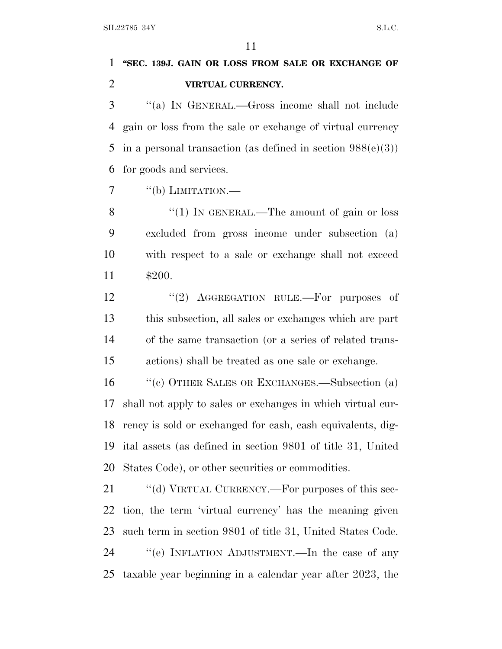# **''SEC. 139J. GAIN OR LOSS FROM SALE OR EXCHANGE OF VIRTUAL CURRENCY.**

 ''(a) I<sup>N</sup> GENERAL.—Gross income shall not include gain or loss from the sale or exchange of virtual currency 5 in a personal transaction (as defined in section  $988(e)(3)$ ) for goods and services.

 $7 \t``(b) LIMITATION.$ 

8 "(1) IN GENERAL.—The amount of gain or loss excluded from gross income under subsection (a) with respect to a sale or exchange shall not exceed \$200.

12 "(2) AGGREGATION RULE.—For purposes of this subsection, all sales or exchanges which are part of the same transaction (or a series of related trans-actions) shall be treated as one sale or exchange.

 ''(c) OTHER SALES OR EXCHANGES.—Subsection (a) shall not apply to sales or exchanges in which virtual cur- rency is sold or exchanged for cash, cash equivalents, dig- ital assets (as defined in section 9801 of title 31, United States Code), or other securities or commodities.

21 "(d) VIRTUAL CURRENCY.—For purposes of this sec- tion, the term 'virtual currency' has the meaning given such term in section 9801 of title 31, United States Code. ''(e) INFLATION ADJUSTMENT.—In the case of any taxable year beginning in a calendar year after 2023, the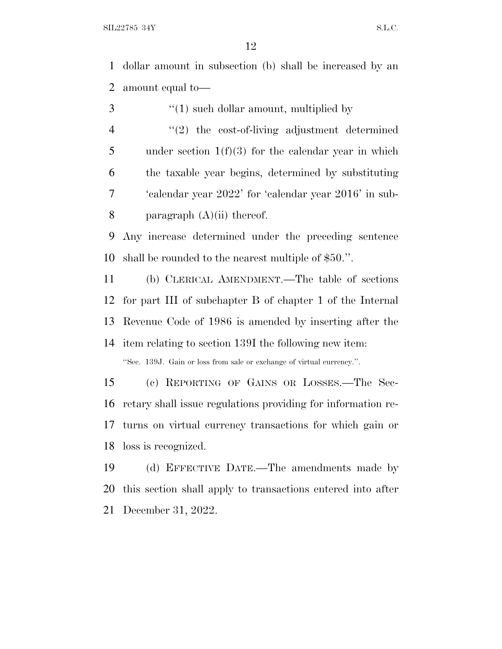dollar amount in subsection (b) shall be increased by an amount equal to—

| 3              | $\lq(1)$ such dollar amount, multiplied by                            |
|----------------|-----------------------------------------------------------------------|
| $\overline{4}$ | $\lq(2)$ the cost-of-living adjustment determined                     |
| 5              | under section $1(f)(3)$ for the calendar year in which                |
| 6              | the taxable year begins, determined by substituting                   |
| 7              | 'calendar year 2022' for 'calendar year 2016' in sub-                 |
| $8\,$          | paragraph $(A)(ii)$ thereof.                                          |
| 9              | Any increase determined under the preceding sentence                  |
| 10             | shall be rounded to the nearest multiple of \$50.".                   |
| 11             | (b) CLERICAL AMENDMENT.—The table of sections                         |
|                | 12 for part III of subchapter B of chapter 1 of the Internal          |
|                | 13 Revenue Code of 1986 is amended by inserting after the             |
|                | 14 item relating to section 139I the following new item:              |
|                | "Sec. 139J. Gain or loss from sale or exchange of virtual currency.". |
| 15             | (c) REPORTING OF GAINS OR LOSSES.—The Sec-                            |
| 16             | retary shall issue regulations providing for information re-          |
|                |                                                                       |

 turns on virtual currency transactions for which gain or loss is recognized.

 (d) EFFECTIVE DATE.—The amendments made by this section shall apply to transactions entered into after December 31, 2022.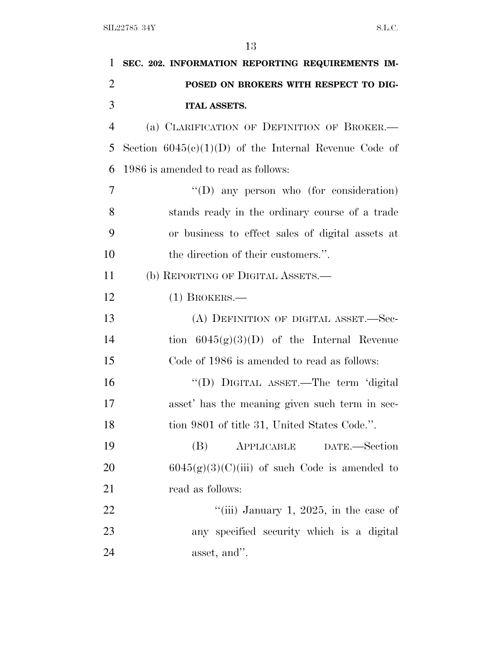| 1              | SEC. 202. INFORMATION REPORTING REQUIREMENTS IM-        |
|----------------|---------------------------------------------------------|
| $\overline{2}$ | POSED ON BROKERS WITH RESPECT TO DIG-                   |
| 3              | <b>ITAL ASSETS.</b>                                     |
| $\overline{4}$ | (a) CLARIFICATION OF DEFINITION OF BROKER.              |
| 5              | Section $6045(c)(1)(D)$ of the Internal Revenue Code of |
| 6              | 1986 is amended to read as follows:                     |
| 7              | $\lq\lq$ (D) any person who (for consideration)         |
| 8              | stands ready in the ordinary course of a trade          |
| 9              | or business to effect sales of digital assets at        |
| 10             | the direction of their customers.".                     |
| 11             | (b) REPORTING OF DIGITAL ASSETS.—                       |
| 12             | $(1)$ BROKERS.—                                         |
| 13             | (A) DEFINITION OF DIGITAL ASSET.-Sec-                   |
| 14             | tion $6045(g)(3)(D)$ of the Internal Revenue            |
| 15             | Code of 1986 is amended to read as follows:             |
| 16             | "(D) DIGITAL ASSET.—The term 'digital                   |
| 17             | asset' has the meaning given such term in sec-          |
| 18             | tion 9801 of title 31, United States Code.".            |
| 19             | (B)<br>APPLICABLE<br>DATE.-Section                      |
| 20             | $6045(g)(3)(C)(iii)$ of such Code is amended to         |
| 21             | read as follows:                                        |
| 22             | "(iii) January 1, 2025, in the case of                  |
| 23             | any specified security which is a digital               |
| 24             | asset, and".                                            |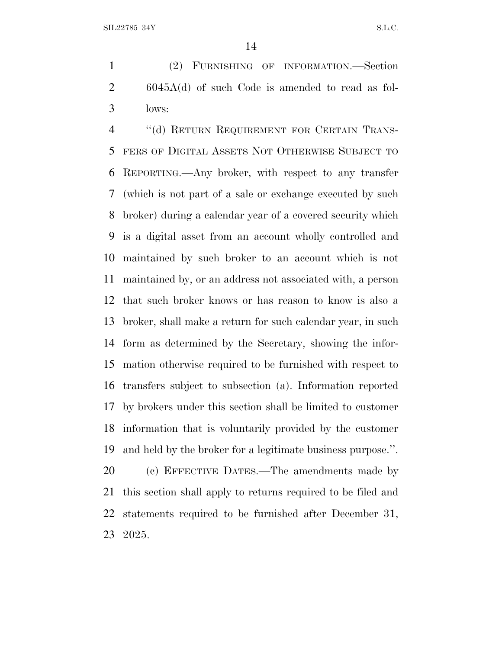(2) FURNISHING OF INFORMATION.—Section 6045A(d) of such Code is amended to read as fol-lows:

4 "(d) RETURN REQUIREMENT FOR CERTAIN TRANS- FERS OF DIGITAL ASSETS NOT OTHERWISE SUBJECT TO REPORTING.—Any broker, with respect to any transfer (which is not part of a sale or exchange executed by such broker) during a calendar year of a covered security which is a digital asset from an account wholly controlled and maintained by such broker to an account which is not maintained by, or an address not associated with, a person that such broker knows or has reason to know is also a broker, shall make a return for such calendar year, in such form as determined by the Secretary, showing the infor- mation otherwise required to be furnished with respect to transfers subject to subsection (a). Information reported by brokers under this section shall be limited to customer information that is voluntarily provided by the customer and held by the broker for a legitimate business purpose.''. 20 (c) EFFECTIVE DATES.—The amendments made by

 this section shall apply to returns required to be filed and statements required to be furnished after December 31, 2025.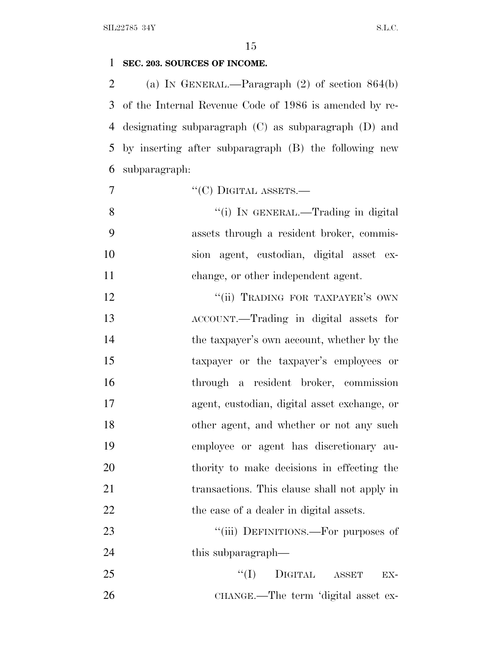# **SEC. 203. SOURCES OF INCOME.**

 (a) I<sup>N</sup> GENERAL.—Paragraph (2) of section 864(b) of the Internal Revenue Code of 1986 is amended by re- designating subparagraph (C) as subparagraph (D) and by inserting after subparagraph (B) the following new subparagraph:

7  $"({\rm C})$  DIGITAL ASSETS.—

8 "(i) In GENERAL.—Trading in digital assets through a resident broker, commis- sion agent, custodian, digital asset ex-11 change, or other independent agent.

12 "'(ii) TRADING FOR TAXPAYER'S OWN ACCOUNT.—Trading in digital assets for 14 the taxpayer's own account, whether by the taxpayer or the taxpayer's employees or through a resident broker, commission agent, custodian, digital asset exchange, or 18 other agent, and whether or not any such employee or agent has discretionary au- thority to make decisions in effecting the transactions. This clause shall not apply in 22 the case of a dealer in digital assets.

23 ""(iii) DEFINITIONS.—For purposes of 24 this subparagraph—

  $''(I)$  DIGITAL ASSET EX-CHANGE.—The term 'digital asset ex-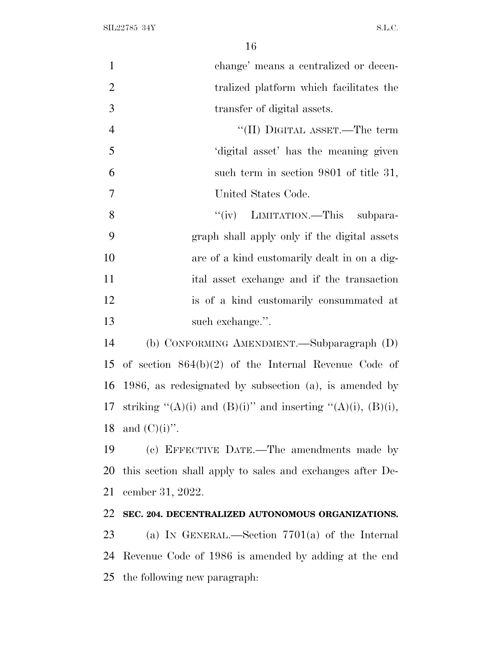| $\mathbf{1}$     | change' means a centralized or decen-                                    |
|------------------|--------------------------------------------------------------------------|
| $\overline{2}$   | tralized platform which facilitates the                                  |
| 3                | transfer of digital assets.                                              |
| $\overline{4}$   | "(II) DIGITAL ASSET.—The term                                            |
| 5                | 'digital asset' has the meaning given                                    |
| 6                | such term in section 9801 of title 31,                                   |
| $\boldsymbol{7}$ | United States Code.                                                      |
| 8                | "(iv) LIMITATION.—This subpara-                                          |
| 9                | graph shall apply only if the digital assets                             |
| 10               | are of a kind customarily dealt in on a dig-                             |
| 11               | ital asset exchange and if the transaction                               |
| 12               | is of a kind customarily consummated at                                  |
| 13               | such exchange.".                                                         |
| 14               | (b) CONFORMING AMENDMENT.—Subparagraph (D)                               |
| 15               | of section $864(b)(2)$ of the Internal Revenue Code of                   |
| 16               | 1986, as redesignated by subsection $(a)$ , is amended by                |
| 17               | striking " $(A)(i)$ and $(B)(i)$ " and inserting " $(A)(i)$ , $(B)(i)$ , |
|                  | 18 and $(C)(i)$ ".                                                       |
| 19               | (c) EFFECTIVE DATE.—The amendments made by                               |
| 20               | this section shall apply to sales and exchanges after De-                |
| 21               | cember 31, 2022.                                                         |
| 22               | SEC. 204. DECENTRALIZED AUTONOMOUS ORGANIZATIONS.                        |
| 23               | (a) IN GENERAL.—Section $7701(a)$ of the Internal                        |
| 24               | Revenue Code of 1986 is amended by adding at the end                     |
|                  | 25 the following new paragraph.                                          |
|                  |                                                                          |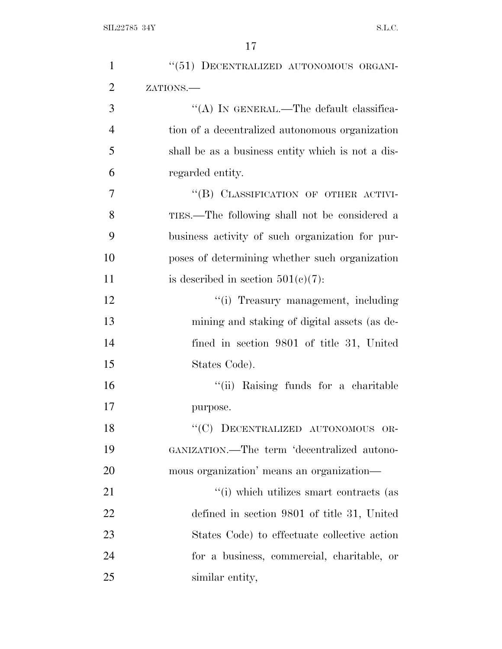| $\mathbf{1}$   | "(51) DECENTRALIZED AUTONOMOUS ORGANI-            |
|----------------|---------------------------------------------------|
| $\overline{2}$ | ZATIONS.                                          |
| 3              | "(A) IN GENERAL.—The default classifica-          |
| $\overline{4}$ | tion of a decentralized autonomous organization   |
| 5              | shall be as a business entity which is not a dis- |
| 6              | regarded entity.                                  |
| 7              | "(B) CLASSIFICATION OF OTHER ACTIVI-              |
| 8              | TIES.—The following shall not be considered a     |
| 9              | business activity of such organization for pur-   |
| 10             | poses of determining whether such organization    |
| 11             | is described in section $501(c)(7)$ :             |
| 12             | "(i) Treasury management, including               |
| 13             | mining and staking of digital assets (as de-      |
| 14             | fined in section 9801 of title 31, United         |
| 15             | States Code).                                     |
| 16             | "(ii) Raising funds for a charitable              |
| 17             | purpose.                                          |
| 18             | "(C) DECENTRALIZED AUTONOMOUS OR-                 |
| 19             | GANIZATION.—The term 'decentralized autono-       |
| 20             | mous organization' means an organization—         |
| 21             | "(i) which utilizes smart contracts (as           |
| 22             | defined in section 9801 of title 31, United       |
| 23             | States Code) to effectuate collective action      |
| 24             | for a business, commercial, charitable, or        |
| 25             | similar entity,                                   |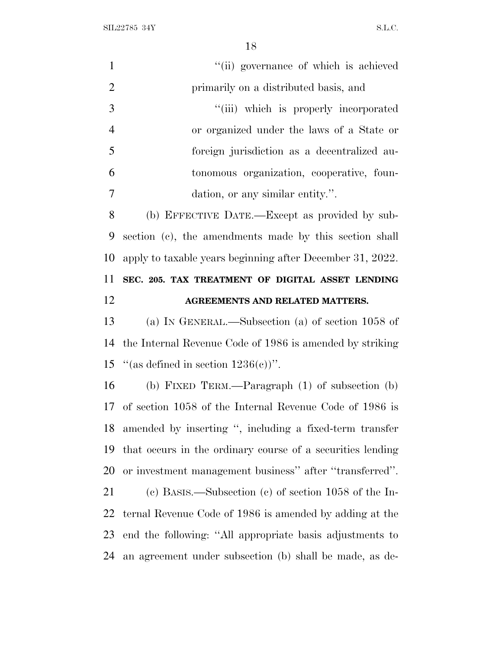$\text{SIL} 22785 \text{ } 34\text{Y} \tag{S.L.C.}$ 

| $\mathbf{1}$   | "(ii) governance of which is achieved                      |
|----------------|------------------------------------------------------------|
| $\overline{2}$ | primarily on a distributed basis, and                      |
| 3              | "(iii) which is properly incorporated                      |
| $\overline{4}$ | or organized under the laws of a State or                  |
| 5              | foreign jurisdiction as a decentralized au-                |
| 6              | tonomous organization, cooperative, foun-                  |
| $\overline{7}$ | dation, or any similar entity.".                           |
| 8              | (b) EFFECTIVE DATE.—Except as provided by sub-             |
| 9              | section (c), the amendments made by this section shall     |
| 10             | apply to taxable years beginning after December 31, 2022.  |
| 11             | SEC. 205. TAX TREATMENT OF DIGITAL ASSET LENDING           |
| 12             | AGREEMENTS AND RELATED MATTERS.                            |
|                |                                                            |
| 13             | (a) IN GENERAL.—Subsection (a) of section 1058 of          |
| 14             | the Internal Revenue Code of 1986 is amended by striking   |
| 15             | "(as defined in section $1236(c)$ )".                      |
| 16             | (b) FIXED TERM.—Paragraph $(1)$ of subsection $(b)$        |
| 17             | of section 1058 of the Internal Revenue Code of 1986 is    |
| 18             | amended by inserting ", including a fixed-term transfer    |
| 19             | that occurs in the ordinary course of a securities lending |
| 20             | or investment management business" after "transferred".    |
| 21             | (c) BASIS.—Subsection (c) of section $1058$ of the In-     |
| 22             | ternal Revenue Code of 1986 is amended by adding at the    |
| 23             | end the following: "All appropriate basis adjustments to   |
| 24             | an agreement under subsection (b) shall be made, as de-    |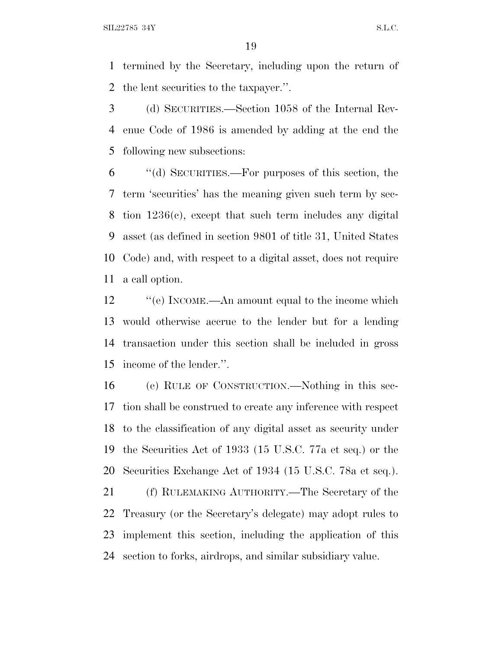$SLL22785$  34Y S.L.C.

 termined by the Secretary, including upon the return of the lent securities to the taxpayer.''.

 (d) SECURITIES.—Section 1058 of the Internal Rev- enue Code of 1986 is amended by adding at the end the following new subsections:

 ''(d) SECURITIES.—For purposes of this section, the term 'securities' has the meaning given such term by sec- tion 1236(c), except that such term includes any digital asset (as defined in section 9801 of title 31, United States Code) and, with respect to a digital asset, does not require a call option.

12 "(e) INCOME.—An amount equal to the income which would otherwise accrue to the lender but for a lending transaction under this section shall be included in gross income of the lender.''.

 (e) RULE OF CONSTRUCTION.—Nothing in this sec- tion shall be construed to create any inference with respect to the classification of any digital asset as security under the Securities Act of 1933 (15 U.S.C. 77a et seq.) or the Securities Exchange Act of 1934 (15 U.S.C. 78a et seq.).

 (f) RULEMAKING AUTHORITY.—The Secretary of the Treasury (or the Secretary's delegate) may adopt rules to implement this section, including the application of this section to forks, airdrops, and similar subsidiary value.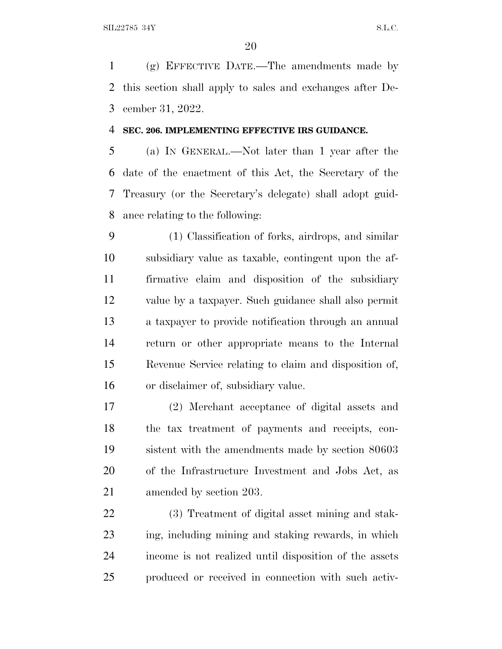(g) EFFECTIVE DATE.—The amendments made by this section shall apply to sales and exchanges after De-cember 31, 2022.

### **SEC. 206. IMPLEMENTING EFFECTIVE IRS GUIDANCE.**

 (a) I<sup>N</sup> GENERAL.—Not later than 1 year after the date of the enactment of this Act, the Secretary of the Treasury (or the Secretary's delegate) shall adopt guid-ance relating to the following:

 (1) Classification of forks, airdrops, and similar subsidiary value as taxable, contingent upon the af- firmative claim and disposition of the subsidiary value by a taxpayer. Such guidance shall also permit a taxpayer to provide notification through an annual return or other appropriate means to the Internal Revenue Service relating to claim and disposition of, or disclaimer of, subsidiary value.

 (2) Merchant acceptance of digital assets and the tax treatment of payments and receipts, con- sistent with the amendments made by section 80603 of the Infrastructure Investment and Jobs Act, as amended by section 203.

 (3) Treatment of digital asset mining and stak- ing, including mining and staking rewards, in which income is not realized until disposition of the assets produced or received in connection with such activ-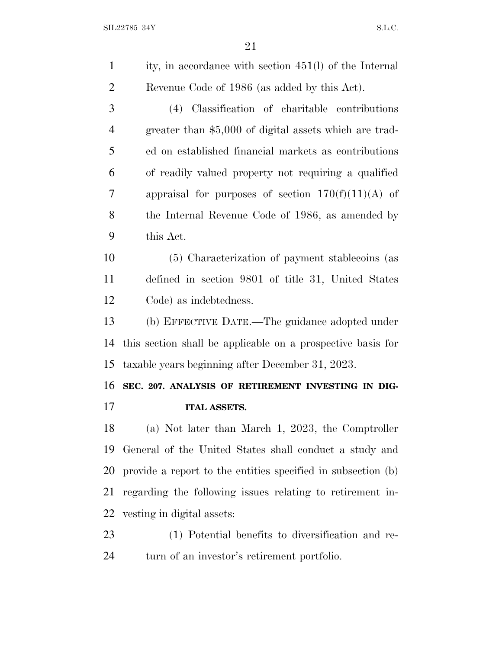| $\mathbf{1}$   | ity, in accordance with section 451(l) of the Internal       |
|----------------|--------------------------------------------------------------|
| $\overline{2}$ | Revenue Code of 1986 (as added by this Act).                 |
| 3              | (4) Classification of charitable contributions               |
| $\overline{4}$ | greater than \$5,000 of digital assets which are trad-       |
| 5              | ed on established financial markets as contributions         |
| 6              | of readily valued property not requiring a qualified         |
| 7              | appraisal for purposes of section $170(f)(11)(A)$ of         |
| 8              | the Internal Revenue Code of 1986, as amended by             |
| 9              | this Act.                                                    |
| 10             | (5) Characterization of payment stablecoins (as              |
| 11             | defined in section 9801 of title 31, United States           |
| 12             | Code) as indebtedness.                                       |
| 13             | (b) EFFECTIVE DATE.—The guidance adopted under               |
| 14             | this section shall be applicable on a prospective basis for  |
| 15             | taxable years beginning after December 31, 2023.             |
| 16             | SEC. 207. ANALYSIS OF RETIREMENT INVESTING IN DIG-           |
| 17             | <b>ITAL ASSETS.</b>                                          |
| 18             | (a) Not later than March 1, 2023, the Comptroller            |
| 19             | General of the United States shall conduct a study and       |
| 20             | provide a report to the entities specified in subsection (b) |
| 21             | regarding the following issues relating to retirement in-    |
| 22             | vesting in digital assets:                                   |
| 23             | (1) Potential benefits to diversification and re-            |
| 24             | turn of an investor's retirement portfolio.                  |
|                |                                                              |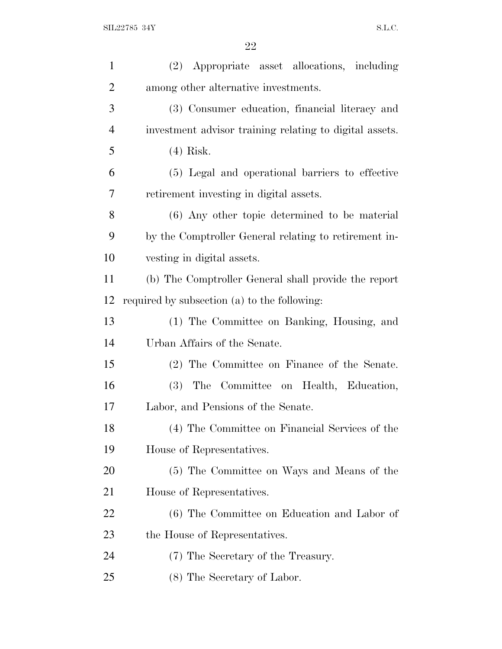| $\mathbf{1}$   | (2) Appropriate asset allocations, including            |
|----------------|---------------------------------------------------------|
| $\overline{2}$ | among other alternative investments.                    |
| 3              | (3) Consumer education, financial literacy and          |
| $\overline{4}$ | investment advisor training relating to digital assets. |
| 5              | $(4)$ Risk.                                             |
| 6              | (5) Legal and operational barriers to effective         |
| 7              | retirement investing in digital assets.                 |
| 8              | (6) Any other topic determined to be material           |
| 9              | by the Comptroller General relating to retirement in-   |
| 10             | vesting in digital assets.                              |
| 11             | (b) The Comptroller General shall provide the report    |
| 12             | required by subsection (a) to the following:            |
| 13             | (1) The Committee on Banking, Housing, and              |
| 14             | Urban Affairs of the Senate.                            |
| 15             | (2) The Committee on Finance of the Senate.             |
| 16             | (3) The Committee on Health, Education,                 |
| 17             | Labor, and Pensions of the Senate.                      |
| 18             | (4) The Committee on Financial Services of the          |
| 19             | House of Representatives.                               |
| 20             | (5) The Committee on Ways and Means of the              |
| 21             | House of Representatives.                               |
| 22             | (6) The Committee on Education and Labor of             |
| 23             | the House of Representatives.                           |
| 24             | (7) The Secretary of the Treasury.                      |
| 25             | (8) The Secretary of Labor.                             |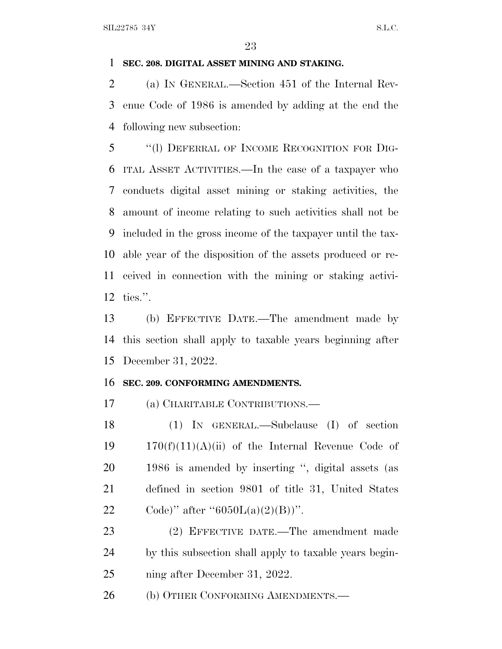## **SEC. 208. DIGITAL ASSET MINING AND STAKING.**

 (a) I<sup>N</sup> GENERAL.—Section 451 of the Internal Rev- enue Code of 1986 is amended by adding at the end the following new subsection:

 ''(l) DEFERRAL OF INCOME RECOGNITION FOR DIG- ITAL ASSET ACTIVITIES.—In the case of a taxpayer who conducts digital asset mining or staking activities, the amount of income relating to such activities shall not be included in the gross income of the taxpayer until the tax- able year of the disposition of the assets produced or re- ceived in connection with the mining or staking activi-ties.''.

 (b) EFFECTIVE DATE.—The amendment made by this section shall apply to taxable years beginning after December 31, 2022.

### **SEC. 209. CONFORMING AMENDMENTS.**

(a) CHARITABLE CONTRIBUTIONS.—

 (1) IN GENERAL.—Subclause (I) of section  $170(f)(11)(A)(ii)$  of the Internal Revenue Code of 1986 is amended by inserting '', digital assets (as defined in section 9801 of title 31, United States 22 Code)'' after " $6050L(a)(2)(B)$ ".

 (2) EFFECTIVE DATE.—The amendment made by this subsection shall apply to taxable years begin-ning after December 31, 2022.

26 (b) OTHER CONFORMING AMENDMENTS.—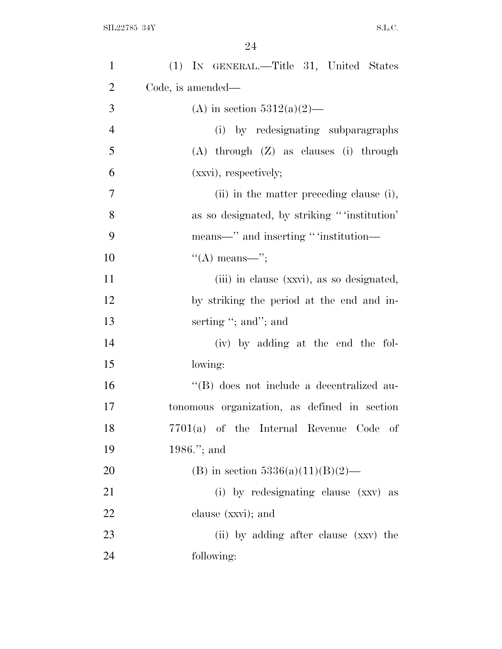| $\mathbf{1}$   | (1) IN GENERAL.—Title 31, United States      |
|----------------|----------------------------------------------|
| $\overline{2}$ | Code, is amended—                            |
| 3              | (A) in section $5312(a)(2)$ —                |
| $\overline{4}$ | (i) by redesignating subparagraphs           |
| 5              | $(A)$ through $(Z)$ as clauses (i) through   |
| 6              | (xxvi), respectively;                        |
| 7              | (ii) in the matter preceding clause (i),     |
| 8              | as so designated, by striking "institution"  |
| 9              | means—" and inserting " 'institution—        |
| 10             | $\lq\lq(A)$ means—";                         |
| 11             | (iii) in clause (xxvi), as so designated,    |
| 12             | by striking the period at the end and in-    |
| 13             | serting "; and"; and                         |
| 14             | (iv) by adding at the end the fol-           |
| 15             | lowing:                                      |
| 16             | "(B) does not include a decentralized au-    |
| 17             | tonomous organization, as defined in section |
| 18             | 7701(a) of the Internal Revenue Code of      |
| 19             | 1986."; and                                  |
| 20             | (B) in section $5336(a)(11)(B)(2)$ —         |
| 21             | (i) by redesignating clause (xxv) as         |
| 22             | clause (xxvi); and                           |
| 23             | (ii) by adding after clause (xxv) the        |
| 24             | following:                                   |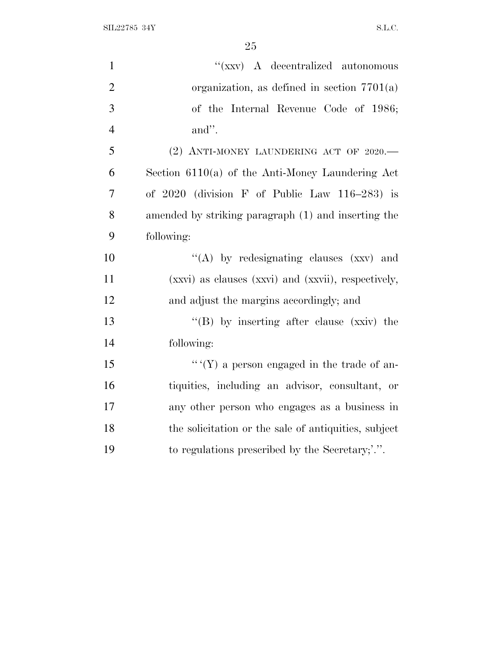$\text{SIL} 22785 \text{ } 34\text{Y} \tag{S.L.C.}$ 

| $\mathbf{1}$   | " $(xxy)$ A decentralized autonomous                 |
|----------------|------------------------------------------------------|
| $\overline{2}$ | organization, as defined in section $7701(a)$        |
| 3              | of the Internal Revenue Code of 1986;                |
| $\overline{4}$ | and".                                                |
| 5              | (2) ANTI-MONEY LAUNDERING ACT OF 2020.-              |
| 6              | Section $6110(a)$ of the Anti-Money Laundering Act   |
| $\overline{7}$ | of $2020$ (division F of Public Law $116-283$ ) is   |
| 8              | amended by striking paragraph (1) and inserting the  |
| 9              | following:                                           |
| 10             | "(A) by redesignating clauses (xxv) and              |
| 11             | (xxvi) as clauses (xxvi) and (xxvii), respectively,  |
| 12             | and adjust the margins accordingly; and              |
| 13             | "(B) by inserting after clause (xxiv) the            |
| 14             | following:                                           |
| 15             | $``(Y)$ a person engaged in the trade of an-         |
| 16             | tiquities, including an advisor, consultant, or      |
| 17             | any other person who engages as a business in        |
| 18             | the solicitation or the sale of antiquities, subject |
| 19             | to regulations prescribed by the Secretary;'.".      |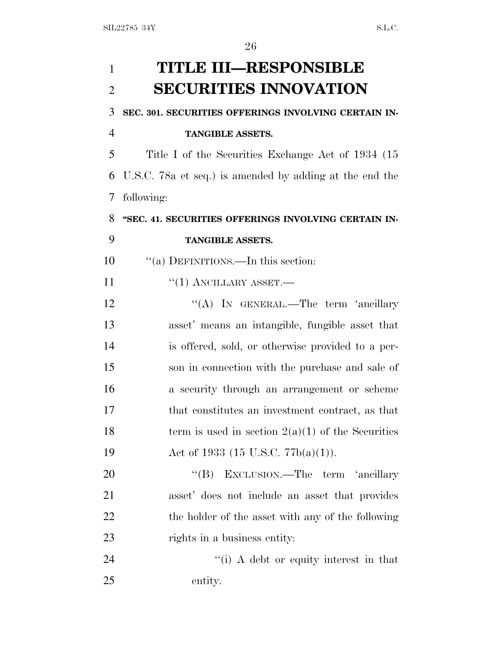| 1              | <b>TITLE III-RESPONSIBLE</b>                            |
|----------------|---------------------------------------------------------|
| $\overline{2}$ | <b>SECURITIES INNOVATION</b>                            |
| 3              | SEC. 301. SECURITIES OFFERINGS INVOLVING CERTAIN IN-    |
| $\overline{4}$ | <b>TANGIBLE ASSETS.</b>                                 |
| 5              | Title I of the Securities Exchange Act of 1934 (15)     |
| 6              | U.S.C. 78a et seq.) is amended by adding at the end the |
| 7              | following:                                              |
| 8              | "SEC. 41. SECURITIES OFFERINGS INVOLVING CERTAIN IN-    |
| 9              | <b>TANGIBLE ASSETS.</b>                                 |
| 10             | "(a) DEFINITIONS.—In this section:                      |
| 11             | $``(1)$ ANCILLARY ASSET.—                               |
| 12             | "(A) IN GENERAL.—The term 'ancillary                    |
| 13             | asset' means an intangible, fungible asset that         |
| 14             | is offered, sold, or otherwise provided to a per-       |
| 15             | son in connection with the purchase and sale of         |
| 16             | a security through an arrangement or scheme             |
| 17             | that constitutes an investment contract, as that        |
| 18             | term is used in section $2(a)(1)$ of the Securities     |
| 19             | Act of 1933 (15 U.S.C. 77b(a)(1)).                      |
| 20             | EXCLUSION.—The term 'ancillary<br>$\lq\lq (B)$          |
| 21             | asset' does not include an asset that provides          |
| <u>22</u>      | the holder of the asset with any of the following       |
| 23             | rights in a business entity:                            |
| 24             | $\cdot$ (i) A debt or equity interest in that           |
| 25             | entity.                                                 |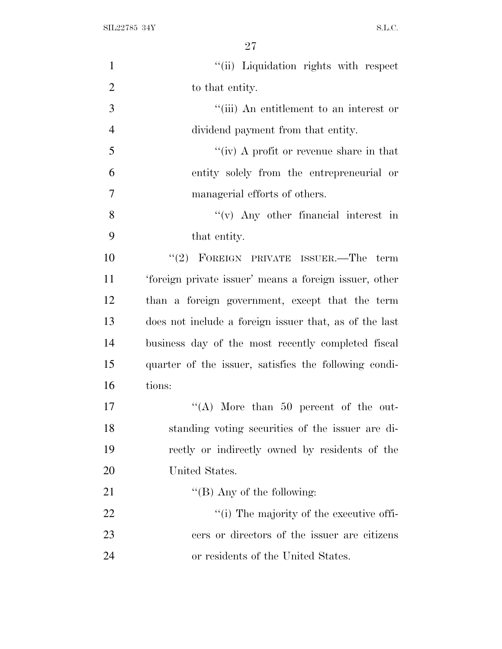$\text{SIL} 22785 \text{ } 34\text{Y} \tag{S.L.C.}$ 

| $\mathbf{1}$   | "(ii) Liquidation rights with respect                  |
|----------------|--------------------------------------------------------|
| $\overline{2}$ | to that entity.                                        |
| 3              | "(iii) An entitlement to an interest or                |
| $\overline{4}$ | dividend payment from that entity.                     |
| 5              | "(iv) A profit or revenue share in that                |
| 6              | entity solely from the entrepreneurial or              |
| $\overline{7}$ | managerial efforts of others.                          |
| 8              | $f'(v)$ Any other financial interest in                |
| 9              | that entity.                                           |
| 10             | "(2) FOREIGN PRIVATE ISSUER.—The term                  |
| 11             | 'foreign private issuer' means a foreign issuer, other |
| 12             | than a foreign government, except that the term        |
| 13             | does not include a foreign issuer that, as of the last |
| 14             | business day of the most recently completed fiscal     |
| 15             | quarter of the issuer, satisfies the following condi-  |
| 16             | tions:                                                 |
| 17             | "(A) More than 50 percent of the out-                  |
| 18             | standing voting securities of the issuer are di-       |
| 19             | rectly or indirectly owned by residents of the         |
| <b>20</b>      | United States.                                         |
| 21             | "(B) Any of the following:                             |
| 22             | "(i) The majority of the executive offi-               |
| 23             | cers or directors of the issuer are citizens           |
| 24             | or residents of the United States.                     |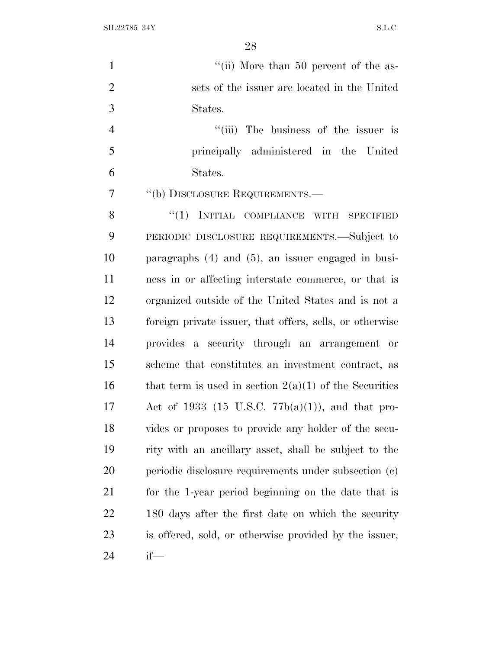$\text{SIL} 22785 \text{ } 34\text{Y} \tag{S.L.C.}$ 

| $\mathbf{1}$   | "(ii) More than 50 percent of the as-                    |
|----------------|----------------------------------------------------------|
| $\overline{2}$ | sets of the issuer are located in the United             |
| 3              | States.                                                  |
| $\overline{4}$ | "(iii) The business of the issuer is                     |
| 5              | principally administered in the United                   |
| 6              | States.                                                  |
| $\overline{7}$ | "(b) DISCLOSURE REQUIREMENTS.—                           |
| 8              | "(1) INITIAL COMPLIANCE WITH SPECIFIED                   |
| 9              | PERIODIC DISCLOSURE REQUIREMENTS.—Subject to             |
| 10             | paragraphs $(4)$ and $(5)$ , an issuer engaged in busi-  |
| 11             | ness in or affecting interstate commerce, or that is     |
| 12             | organized outside of the United States and is not a      |
| 13             | foreign private issuer, that offers, sells, or otherwise |
| 14             | provides a security through an arrangement or            |
| 15             | scheme that constitutes an investment contract, as       |
| 16             | that term is used in section $2(a)(1)$ of the Securities |
| 17             | Act of 1933 (15 U.S.C. 77b(a)(1)), and that pro-         |
| 18             | vides or proposes to provide any holder of the secu-     |
| 19             | rity with an ancillary asset, shall be subject to the    |
| 20             | periodic disclosure requirements under subsection (c)    |
| 21             | for the 1-year period beginning on the date that is      |
| 22             | 180 days after the first date on which the security      |
| 23             | is offered, sold, or otherwise provided by the issuer,   |
| 24             | if—                                                      |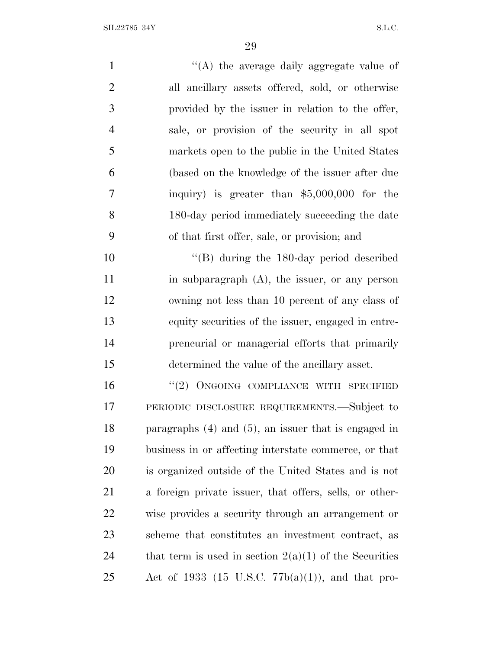| $\mathbf{1}$   | "(A) the average daily aggregate value of                 |
|----------------|-----------------------------------------------------------|
| $\overline{2}$ | all ancillary assets offered, sold, or otherwise          |
| 3              | provided by the issuer in relation to the offer,          |
| $\overline{4}$ | sale, or provision of the security in all spot            |
| 5              | markets open to the public in the United States           |
| 6              | (based on the knowledge of the issuer after due           |
| 7              | inquiry) is greater than $$5,000,000$ for the             |
| 8              | 180-day period immediately succeeding the date            |
| 9              | of that first offer, sale, or provision; and              |
| 10             | $\cdot$ (B) during the 180-day period described           |
| 11             | in subparagraph $(A)$ , the issuer, or any person         |
| 12             | owning not less than 10 percent of any class of           |
| 13             | equity securities of the issuer, engaged in entre-        |
| 14             | preneurial or managerial efforts that primarily           |
| 15             | determined the value of the ancillary asset.              |
| 16             | $``(2)$ ONGOING COMPLIANCE WITH SPECIFIED                 |
| 17             | PERIODIC DISCLOSURE REQUIREMENTS.—Subject to              |
| 18             | paragraphs $(4)$ and $(5)$ , an issuer that is engaged in |
| 19             | business in or affecting interstate commerce, or that     |
| 20             | is organized outside of the United States and is not      |
| 21             | a foreign private issuer, that offers, sells, or other-   |
| 22             | wise provides a security through an arrangement or        |
| 23             | scheme that constitutes an investment contract, as        |
| 24             | that term is used in section $2(a)(1)$ of the Securities  |
|                |                                                           |

Act of 1933 (15 U.S.C. 77b(a)(1)), and that pro-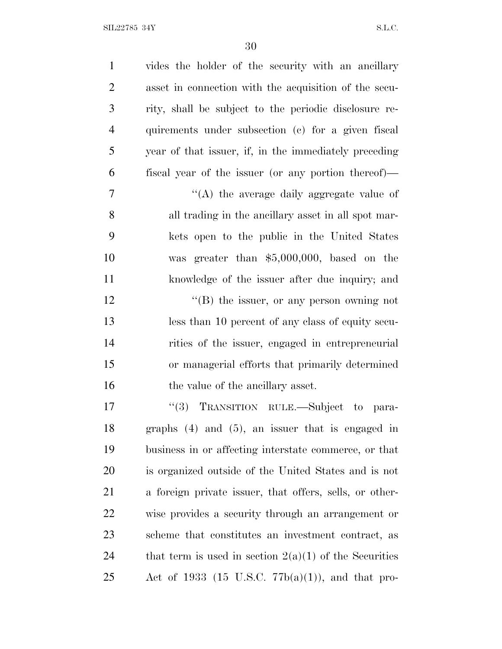| $\mathbf{1}$   | vides the holder of the security with an ancillary       |
|----------------|----------------------------------------------------------|
| $\overline{2}$ | asset in connection with the acquisition of the secu-    |
| 3              | rity, shall be subject to the periodic disclosure re-    |
| $\overline{4}$ | quirements under subsection (c) for a given fiscal       |
| 5              | year of that issuer, if, in the immediately preceding    |
| 6              | fiscal year of the issuer (or any portion thereof)—      |
| $\tau$         | "(A) the average daily aggregate value of                |
| 8              | all trading in the ancillary asset in all spot mar-      |
| 9              | kets open to the public in the United States             |
| 10             | was greater than $$5,000,000$ , based on the             |
| 11             | knowledge of the issuer after due inquiry; and           |
| 12             | $\lq\lq (B)$ the issuer, or any person owning not        |
| 13             | less than 10 percent of any class of equity secu-        |
| 14             | rities of the issuer, engaged in entrepreneurial         |
| 15             | or managerial efforts that primarily determined          |
| 16             | the value of the ancillary asset.                        |
| 17             | "(3) TRANSITION RULE.—Subject to<br>para-                |
| 18             | graphs $(4)$ and $(5)$ , an issuer that is engaged in    |
| 19             | business in or affecting interstate commerce, or that    |
| 20             | is organized outside of the United States and is not     |
| 21             | a foreign private issuer, that offers, sells, or other-  |
| 22             | wise provides a security through an arrangement or       |
| 23             | scheme that constitutes an investment contract, as       |
| 24             | that term is used in section $2(a)(1)$ of the Securities |
| 25             | Act of 1933 (15 U.S.C. 77 $b(a)(1)$ ), and that pro-     |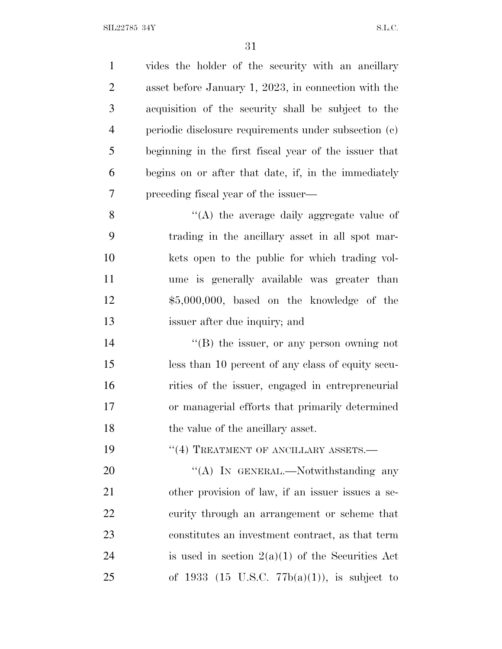vides the holder of the security with an ancillary asset before January 1, 2023, in connection with the acquisition of the security shall be subject to the periodic disclosure requirements under subsection (c) beginning in the first fiscal year of the issuer that begins on or after that date, if, in the immediately preceding fiscal year of the issuer— ''(A) the average daily aggregate value of trading in the ancillary asset in all spot mar- kets open to the public for which trading vol- ume is generally available was greater than \$5,000,000, based on the knowledge of the issuer after due inquiry; and  $\langle \text{B} \rangle$  the issuer, or any person owning not less than 10 percent of any class of equity secu- rities of the issuer, engaged in entrepreneurial or managerial efforts that primarily determined

18 the value of the ancillary asset.

**TREATMENT OF ANCILLARY ASSETS.**—

20 "'(A) In GENERAL.—Notwithstanding any other provision of law, if an issuer issues a se-22 curity through an arrangement or scheme that constitutes an investment contract, as that term 24 is used in section  $2(a)(1)$  of the Securities Act 25 of 1933 (15 U.S.C.  $77b(a)(1)$ ), is subject to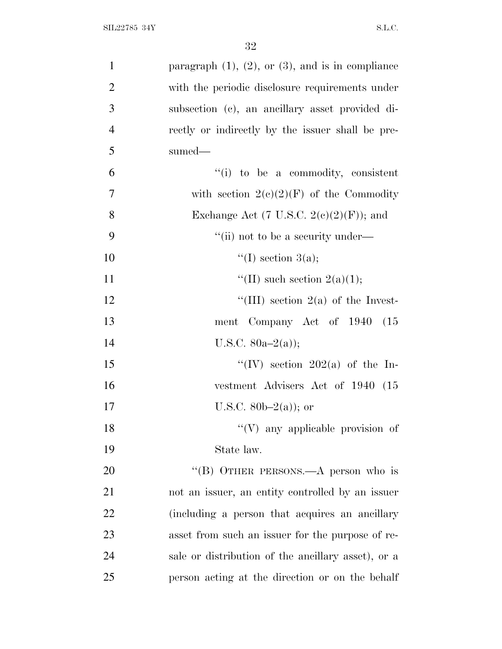| $\mathbf{1}$   | paragraph $(1)$ , $(2)$ , or $(3)$ , and is in compliance |
|----------------|-----------------------------------------------------------|
| $\overline{2}$ | with the periodic disclosure requirements under           |
| 3              | subsection (c), an ancillary asset provided di-           |
| $\overline{4}$ | rectly or indirectly by the issuer shall be pre-          |
| 5              | sumed-                                                    |
| 6              | "(i) to be a commodity, consistent                        |
| 7              | with section $2(c)(2)(F)$ of the Commodity                |
| 8              | Exchange Act (7 U.S.C. $2(e)(2)(F)$ ); and                |
| 9              | "(ii) not to be a security under—                         |
| 10             | "(I) section $3(a)$ ;                                     |
| 11             | "(II) such section $2(a)(1);$                             |
| 12             | "(III) section $2(a)$ of the Invest-                      |
| 13             | ment Company Act of 1940<br>(15)                          |
| 14             | U.S.C. $80a-2(a)$ ;                                       |
| 15             | "(IV) section 202(a) of the In-                           |
| 16             | vestment Advisers Act of 1940 (15                         |
| 17             | U.S.C. $80b-2(a)$ ; or                                    |
| 18             | "(V) any applicable provision of                          |
| 19             | State law.                                                |
| 20             | "(B) OTHER PERSONS.—A person who is                       |
| 21             | not an issuer, an entity controlled by an issuer          |
| 22             | (including a person that acquires an ancillary            |
| 23             | asset from such an issuer for the purpose of re-          |
| 24             | sale or distribution of the ancillary asset), or a        |
| 25             | person acting at the direction or on the behalf           |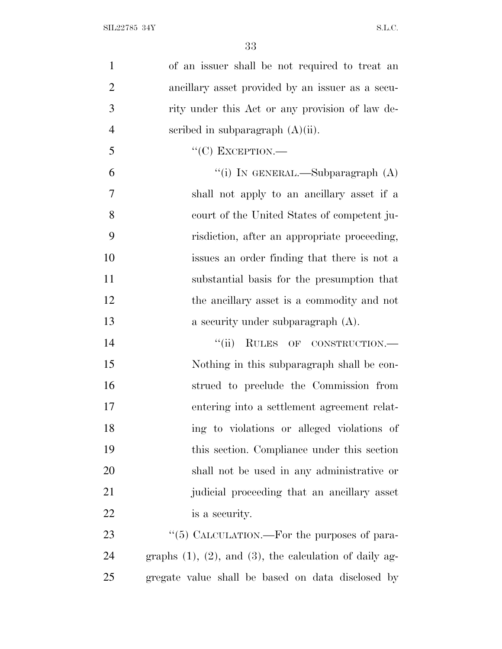| $\mathbf{1}$   | of an issuer shall be not required to treat an                  |
|----------------|-----------------------------------------------------------------|
| $\overline{2}$ | ancillary asset provided by an issuer as a secu-                |
| 3              | rity under this Act or any provision of law de-                 |
| $\overline{4}$ | scribed in subparagraph $(A)(ii)$ .                             |
| 5              | $``(C)$ EXCEPTION.—                                             |
| 6              | "(i) IN GENERAL.—Subparagraph $(A)$                             |
| 7              | shall not apply to an ancillary asset if a                      |
| 8              | court of the United States of competent ju-                     |
| 9              | risdiction, after an appropriate proceeding,                    |
| 10             | issues an order finding that there is not a                     |
| 11             | substantial basis for the presumption that                      |
| 12             | the ancillary asset is a commodity and not                      |
| 13             | a security under subparagraph (A).                              |
| 14             | "(ii) RULES OF CONSTRUCTION.-                                   |
| 15             | Nothing in this subparagraph shall be con-                      |
| 16             | strued to preclude the Commission from                          |
| 17             | entering into a settlement agreement relat-                     |
| 18             | ing to violations or alleged violations of                      |
| 19             | this section. Compliance under this section                     |
| 20             | shall not be used in any administrative or                      |
| 21             | judicial proceeding that an ancillary asset                     |
| 22             | is a security.                                                  |
| 23             | "(5) CALCULATION.—For the purposes of para-                     |
| 24             | graphs $(1)$ , $(2)$ , and $(3)$ , the calculation of daily ag- |
| 25             | gregate value shall be based on data disclosed by               |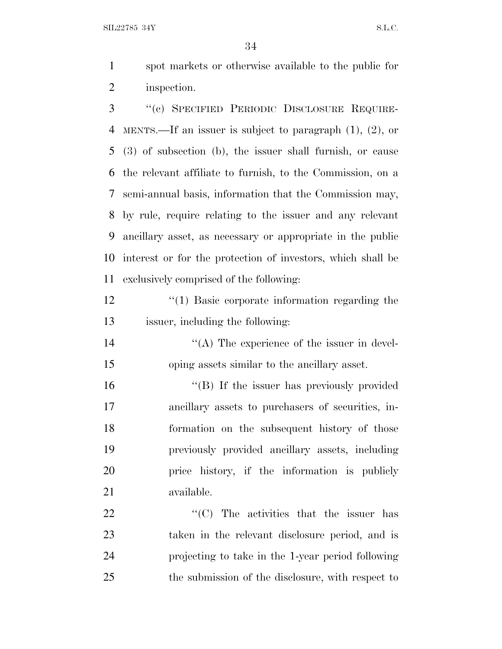SIL22785 34Y S.L.C.

 spot markets or otherwise available to the public for inspection.

 ''(c) SPECIFIED PERIODIC DISCLOSURE REQUIRE- MENTS.—If an issuer is subject to paragraph (1), (2), or (3) of subsection (b), the issuer shall furnish, or cause the relevant affiliate to furnish, to the Commission, on a semi-annual basis, information that the Commission may, by rule, require relating to the issuer and any relevant ancillary asset, as necessary or appropriate in the public interest or for the protection of investors, which shall be exclusively comprised of the following:

12  $\frac{1}{2}$  (1) Basic corporate information regarding the issuer, including the following:

14  $\langle (A)$  The experience of the issuer in devel-oping assets similar to the ancillary asset.

16 "(B) If the issuer has previously provided ancillary assets to purchasers of securities, in- formation on the subsequent history of those previously provided ancillary assets, including price history, if the information is publicly available.

 $\text{``(C)}$  The activities that the issuer has taken in the relevant disclosure period, and is projecting to take in the 1-year period following the submission of the disclosure, with respect to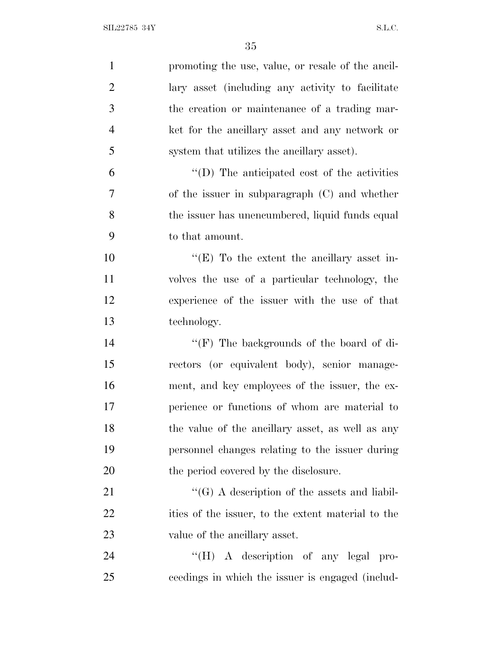| $\mathbf{1}$   | promoting the use, value, or resale of the ancil-    |
|----------------|------------------------------------------------------|
| $\overline{2}$ | lary asset (including any activity to facilitate     |
| 3              | the creation or maintenance of a trading mar-        |
| $\overline{4}$ | ket for the ancillary asset and any network or       |
| 5              | system that utilizes the ancillary asset).           |
| 6              | $\lq\lq$ (D) The anticipated cost of the activities  |
| 7              | of the issuer in subparagraph (C) and whether        |
| 8              | the issuer has unencumbered, liquid funds equal      |
| 9              | to that amount.                                      |
| 10             | " $(E)$ To the extent the ancillary asset in-        |
| 11             | volves the use of a particular technology, the       |
| 12             | experience of the issuer with the use of that        |
| 13             | technology.                                          |
| 14             | " $(F)$ The backgrounds of the board of di-          |
| 15             | rectors (or equivalent body), senior manage-         |
| 16             | ment, and key employees of the issuer, the ex-       |
| $17\,$         | perience or functions of whom are material to        |
| 18             | the value of the ancillary asset, as well as any     |
| 19             | personnel changes relating to the issuer during      |
| 20             | the period covered by the disclosure.                |
| 21             | $\lq\lq (G)$ A description of the assets and liabil- |
| 22             | ities of the issuer, to the extent material to the   |
| 23             | value of the ancillary asset.                        |
| 24             | "(H) A description of any legal pro-                 |
| 25             | ceedings in which the issuer is engaged (includ-     |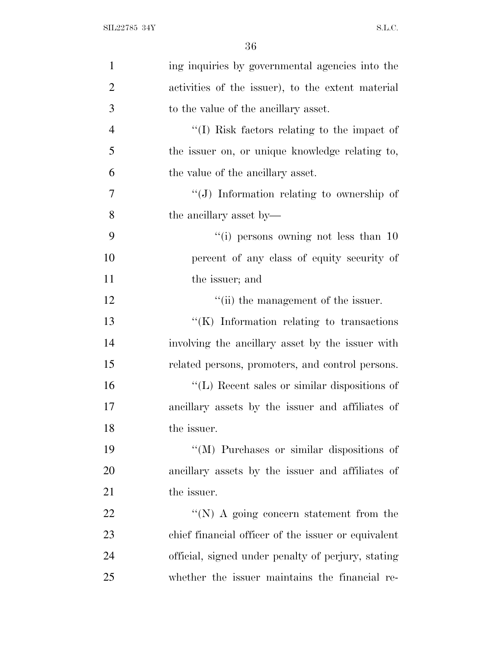| $\mathbf{1}$   | ing inquiries by governmental agencies into the     |
|----------------|-----------------------------------------------------|
| $\overline{2}$ | activities of the issuer), to the extent material   |
| 3              | to the value of the ancillary asset.                |
| $\overline{4}$ | "(I) Risk factors relating to the impact of         |
| 5              | the issuer on, or unique knowledge relating to,     |
| 6              | the value of the ancillary asset.                   |
| 7              | "(J) Information relating to ownership of           |
| 8              | the ancillary asset by—                             |
| 9              | "(i) persons owning not less than $10$              |
| 10             | percent of any class of equity security of          |
| 11             | the issuer; and                                     |
| 12             | "(ii) the management of the issuer.                 |
| 13             | $\lq\lq$ (K) Information relating to transactions   |
| 14             | involving the ancillary asset by the issuer with    |
| 15             | related persons, promoters, and control persons.    |
| 16             | "(L) Recent sales or similar dispositions of        |
| 17             | ancillary assets by the issuer and affiliates of    |
| 18             | the issuer.                                         |
| 19             | "(M) Purchases or similar dispositions of           |
| 20             | ancillary assets by the issuer and affiliates of    |
| 21             | the issuer.                                         |
| 22             | "(N) A going concern statement from the             |
| 23             | chief financial officer of the issuer or equivalent |
| 24             | official, signed under penalty of perjury, stating  |
| 25             | whether the issuer maintains the financial re-      |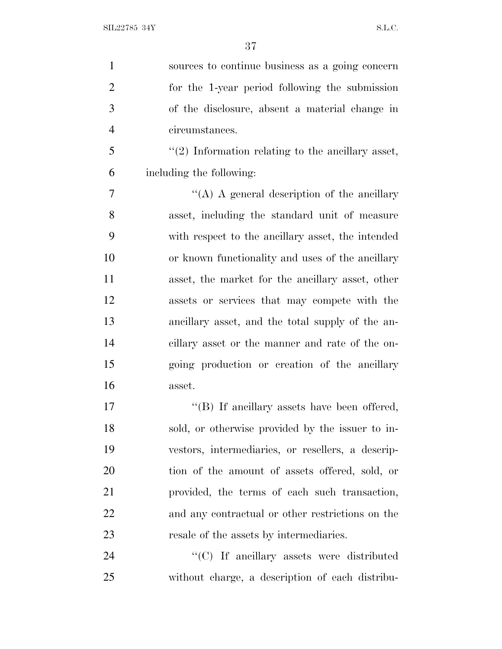| $\mathbf{1}$   | sources to continue business as a going concern       |
|----------------|-------------------------------------------------------|
| $\overline{2}$ | for the 1-year period following the submission        |
| 3              | of the disclosure, absent a material change in        |
| $\overline{4}$ | circumstances.                                        |
| 5              | $\lq(2)$ Information relating to the ancillary asset, |
| 6              | including the following:                              |
| 7              | "(A) A general description of the ancillary           |
| 8              | asset, including the standard unit of measure         |
| 9              | with respect to the ancillary asset, the intended     |
| 10             | or known functionality and uses of the ancillary      |
| 11             | asset, the market for the ancillary asset, other      |
| 12             | assets or services that may compete with the          |
| 13             | ancillary asset, and the total supply of the an-      |
| 14             | cillary asset or the manner and rate of the on-       |
| 15             | going production or creation of the ancillary         |
| 16             | asset.                                                |
| 17             | "(B) If ancillary assets have been offered,           |
| 18             | sold, or otherwise provided by the issuer to in-      |
| 19             | vestors, intermediaries, or resellers, a descrip-     |
| 20             | tion of the amount of assets offered, sold, or        |
| 21             | provided, the terms of each such transaction,         |
| 22             | and any contractual or other restrictions on the      |
| 23             | resale of the assets by intermediaries.               |
| 24             | $\lq\lq$ (C) If ancillary assets were distributed     |
| 25             | without charge, a description of each distribu-       |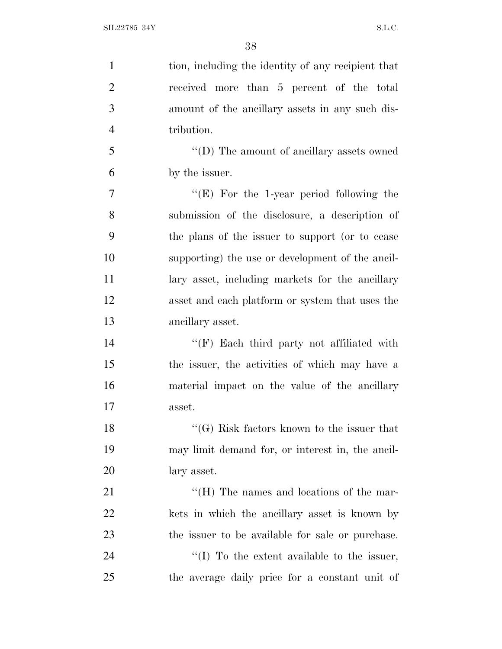| $\mathbf{1}$   | tion, including the identity of any recipient that |
|----------------|----------------------------------------------------|
| $\overline{2}$ | received more than 5 percent of the total          |
| 3              | amount of the ancillary assets in any such dis-    |
| $\overline{4}$ | tribution.                                         |
| 5              | $\lq\lq$ (D) The amount of ancillary assets owned  |
| 6              | by the issuer.                                     |
| 7              | " $(E)$ For the 1-year period following the        |
| 8              | submission of the disclosure, a description of     |
| 9              | the plans of the issuer to support (or to cease    |
| 10             | supporting) the use or development of the ancil-   |
| 11             | lary asset, including markets for the ancillary    |
| 12             | asset and each platform or system that uses the    |
| 13             | ancillary asset.                                   |
| 14             | $\lq\lq(F)$ Each third party not affiliated with   |
| 15             | the issuer, the activities of which may have a     |
| 16             | material impact on the value of the ancillary      |
| 17             | asset.                                             |
| 18             | $\lq\lq(G)$ Risk factors known to the issuer that  |
| 19             | may limit demand for, or interest in, the ancil-   |
| 20             | lary asset.                                        |
| 21             | "(H) The names and locations of the mar-           |
| 22             | kets in which the ancillary asset is known by      |
| 23             | the issuer to be available for sale or purchase.   |
| 24             | $\lq(1)$ To the extent available to the issuer,    |
| 25             | the average daily price for a constant unit of     |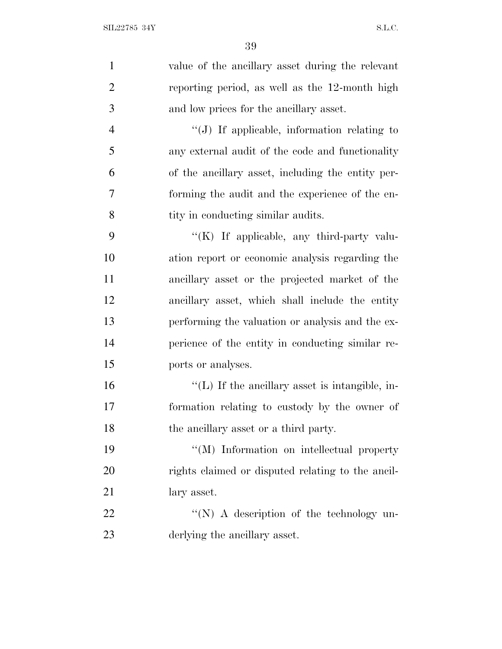| $\mathbf{1}$   | value of the ancillary asset during the relevant     |
|----------------|------------------------------------------------------|
| $\overline{2}$ | reporting period, as well as the 12-month high       |
| 3              | and low prices for the ancillary asset.              |
| $\overline{4}$ | "(J) If applicable, information relating to          |
| 5              | any external audit of the code and functionality     |
| 6              | of the ancillary asset, including the entity per-    |
| 7              | forming the audit and the experience of the en-      |
| 8              | tity in conducting similar audits.                   |
| 9              | " $(K)$ If applicable, any third-party valu-         |
| 10             | ation report or economic analysis regarding the      |
| 11             | ancillary asset or the projected market of the       |
| 12             | ancillary asset, which shall include the entity      |
| 13             | performing the valuation or analysis and the ex-     |
| 14             | perience of the entity in conducting similar re-     |
| 15             | ports or analyses.                                   |
| 16             | $\lq\lq$ . If the ancillary asset is intangible, in- |
| 17             | formation relating to custody by the owner of        |
| 18             | the ancillary asset or a third party.                |
| 19             | "(M) Information on intellectual property            |
| 20             | rights claimed or disputed relating to the ancil-    |
| 21             | lary asset.                                          |
| 22             | "(N) A description of the technology un-             |
| 23             | derlying the ancillary asset.                        |
|                |                                                      |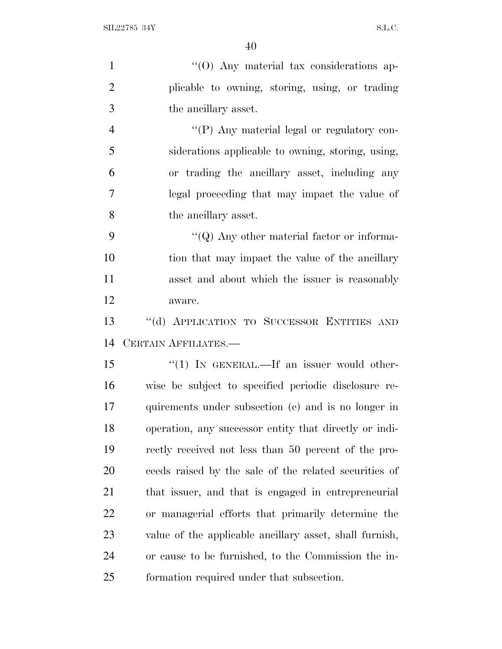| $\mathbf{1}$   | "(O) Any material tax considerations ap-                |
|----------------|---------------------------------------------------------|
| $\overline{2}$ | plicable to owning, storing, using, or trading          |
| 3              | the ancillary asset.                                    |
| $\overline{4}$ | "(P) Any material legal or regulatory con-              |
| 5              | siderations applicable to owning, storing, using,       |
| 6              | or trading the ancillary asset, including any           |
| 7              | legal proceeding that may impact the value of           |
| 8              | the ancillary asset.                                    |
| 9              | "( $Q$ ) Any other material factor or informa-          |
| 10             | tion that may impact the value of the ancillary         |
| 11             | asset and about which the issuer is reasonably          |
| 12             | aware.                                                  |
| 13             | "(d) APPLICATION TO SUCCESSOR ENTITIES AND              |
| 14             | CERTAIN AFFILIATES.                                     |
| 15             | $\lq(1)$ IN GENERAL.—If an issuer would other-          |
| 16             | wise be subject to specified periodic disclosure re-    |
| 17             | quirements under subsection (c) and is no longer in     |
| 18             | operation, any successor entity that directly or indi-  |
| 19             | rectly received not less than 50 percent of the pro-    |
| 20             | ceeds raised by the sale of the related securities of   |
| 21             | that issuer, and that is engaged in entrepreneurial     |
| 22             | or managerial efforts that primarily determine the      |
| 23             | value of the applicable ancillary asset, shall furnish, |
| 24             | or cause to be furnished, to the Commission the in-     |
| 25             | formation required under that subsection.               |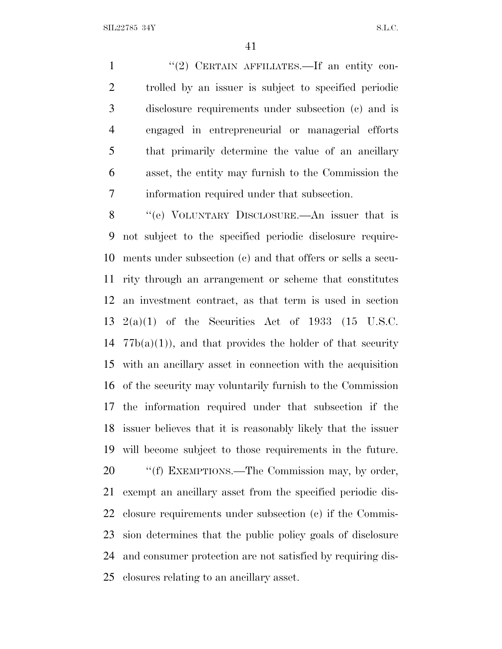1 "(2) CERTAIN AFFILIATES.—If an entity con- trolled by an issuer is subject to specified periodic disclosure requirements under subsection (c) and is engaged in entrepreneurial or managerial efforts that primarily determine the value of an ancillary asset, the entity may furnish to the Commission the information required under that subsection.

 ''(e) VOLUNTARY DISCLOSURE.—An issuer that is not subject to the specified periodic disclosure require- ments under subsection (c) and that offers or sells a secu- rity through an arrangement or scheme that constitutes an investment contract, as that term is used in section 2(a)(1) of the Securities Act of 1933 (15 U.S.C.  $77b(a)(1)$ , and that provides the holder of that security with an ancillary asset in connection with the acquisition of the security may voluntarily furnish to the Commission the information required under that subsection if the issuer believes that it is reasonably likely that the issuer will become subject to those requirements in the future. 20 ""(f) EXEMPTIONS.—The Commission may, by order, exempt an ancillary asset from the specified periodic dis- closure requirements under subsection (c) if the Commis- sion determines that the public policy goals of disclosure and consumer protection are not satisfied by requiring dis-closures relating to an ancillary asset.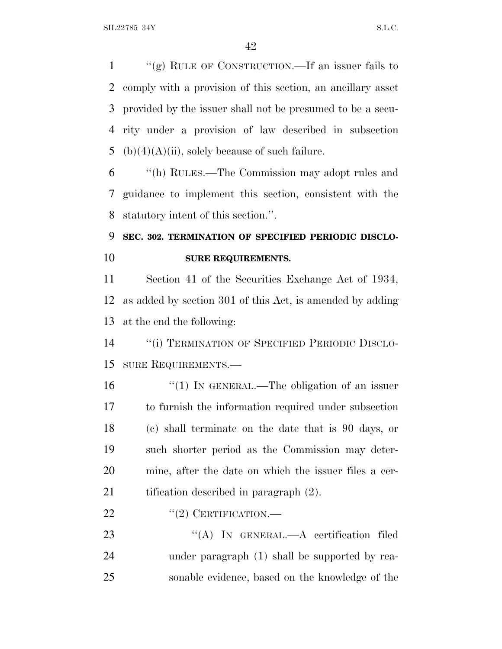$\frac{u'(g)}{g}$  RULE OF CONSTRUCTION.—If an issuer fails to comply with a provision of this section, an ancillary asset provided by the issuer shall not be presumed to be a secu- rity under a provision of law described in subsection 5 (b)(4)(A)(ii), solely because of such failure.

 ''(h) RULES.—The Commission may adopt rules and guidance to implement this section, consistent with the statutory intent of this section.''.

## **SEC. 302. TERMINATION OF SPECIFIED PERIODIC DISCLO-SURE REQUIREMENTS.**

 Section 41 of the Securities Exchange Act of 1934, as added by section 301 of this Act, is amended by adding at the end the following:

 ''(i) TERMINATION OF SPECIFIED PERIODIC DISCLO-SURE REQUIREMENTS.—

16 "(1) IN GENERAL.—The obligation of an issuer to furnish the information required under subsection (c) shall terminate on the date that is 90 days, or such shorter period as the Commission may deter- mine, after the date on which the issuer files a cer-21 tification described in paragraph  $(2)$ .

### 22 "(2) CERTIFICATION.—

23 "(A) IN GENERAL.—A certification filed under paragraph (1) shall be supported by rea-sonable evidence, based on the knowledge of the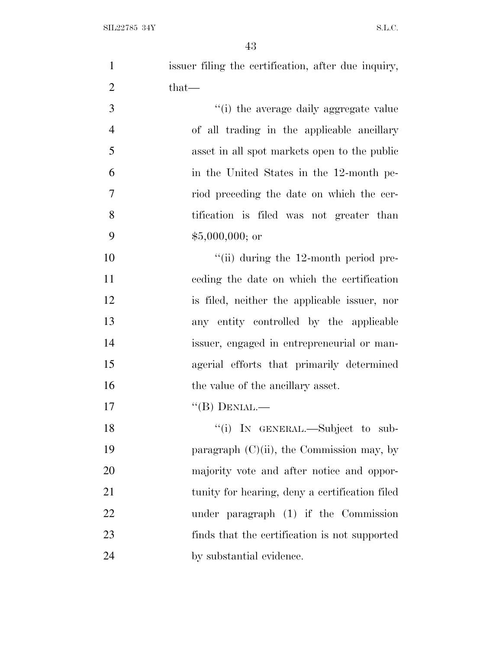| $\mathbf{1}$   | issuer filing the certification, after due inquiry, |
|----------------|-----------------------------------------------------|
| $\overline{2}$ | $that-$                                             |
| 3              | "(i) the average daily aggregate value              |
| $\overline{4}$ | of all trading in the applicable ancillary          |
| 5              | asset in all spot markets open to the public        |
| 6              | in the United States in the 12-month pe-            |
| $\overline{7}$ | riod preceding the date on which the cer-           |
| 8              | tification is filed was not greater than            |
| 9              | $$5,000,000;$ or                                    |
| 10             | $\lq\lq$ (ii) during the 12-month period pre-       |
| 11             | eeding the date on which the certification          |
| 12             | is filed, neither the applicable issuer, nor        |
| 13             | any entity controlled by the applicable             |
| 14             | issuer, engaged in entrepreneurial or man-          |
| 15             | agerial efforts that primarily determined           |
| 16             | the value of the ancillary asset.                   |
| 17             | $\lq\lq(B)$ DENIAL.—                                |
| 18             | "(i) IN GENERAL.—Subject to sub-                    |
| 19             | paragraph $(C)(ii)$ , the Commission may, by        |
| <b>20</b>      | majority vote and after notice and oppor-           |
| 21             | tunity for hearing, deny a certification filed      |
| 22             | under paragraph (1) if the Commission               |
| 23             | finds that the certification is not supported       |
| 24             | by substantial evidence.                            |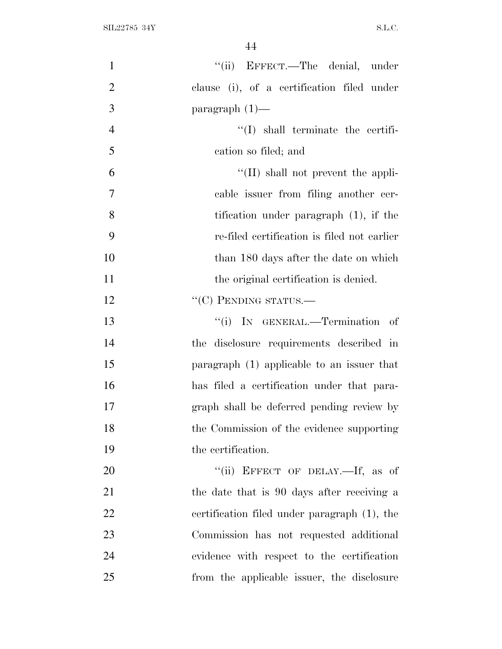| $\mathbf{1}$   | "(ii) EFFECT.—The denial, under              |
|----------------|----------------------------------------------|
| $\overline{2}$ | clause (i), of a certification filed under   |
| 3              | paragraph $(1)$ —                            |
| $\overline{4}$ | $\lq\lq$ shall terminate the certifi-        |
| 5              | cation so filed; and                         |
| 6              | $\lq\lq$ (II) shall not prevent the appli-   |
| $\overline{7}$ | cable issuer from filing another cer-        |
| 8              | tification under paragraph $(1)$ , if the    |
| 9              | re-filed certification is filed not earlier  |
| 10             | than 180 days after the date on which        |
| 11             | the original certification is denied.        |
| 12             | $``(C)$ PENDING STATUS.—                     |
| 13             | "(i) IN GENERAL.—Termination of              |
| 14             | the disclosure requirements described in     |
| 15             | paragraph (1) applicable to an issuer that   |
| 16             | has filed a certification under that para-   |
| 17             | graph shall be deferred pending review by    |
| 18             | the Commission of the evidence supporting    |
| 19             | the certification.                           |
| 20             | "(ii) EFFECT OF DELAY.—If, as of             |
| 21             | the date that is 90 days after receiving a   |
| 22             | certification filed under paragraph (1), the |
| 23             | Commission has not requested additional      |
| 24             | evidence with respect to the certification   |
| 25             | from the applicable issuer, the disclosure   |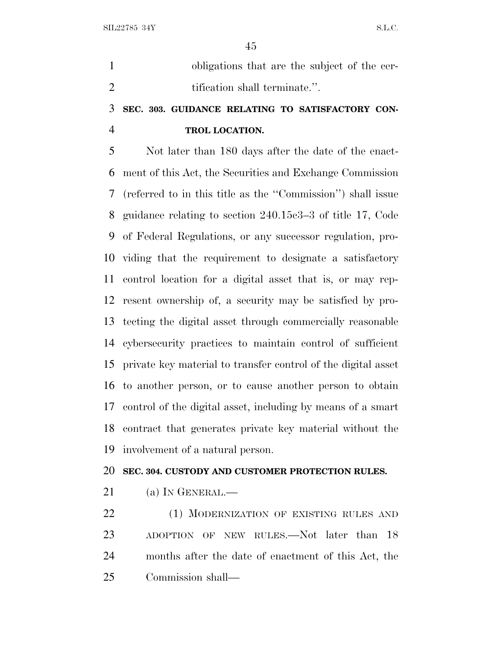obligations that are the subject of the cer-2 tification shall terminate.".

## **SEC. 303. GUIDANCE RELATING TO SATISFACTORY CON-TROL LOCATION.**

 Not later than 180 days after the date of the enact- ment of this Act, the Securities and Exchange Commission (referred to in this title as the ''Commission'') shall issue guidance relating to section 240.15c3–3 of title 17, Code of Federal Regulations, or any successor regulation, pro- viding that the requirement to designate a satisfactory control location for a digital asset that is, or may rep- resent ownership of, a security may be satisfied by pro- tecting the digital asset through commercially reasonable cybersecurity practices to maintain control of sufficient private key material to transfer control of the digital asset to another person, or to cause another person to obtain control of the digital asset, including by means of a smart contract that generates private key material without the involvement of a natural person.

#### **SEC. 304. CUSTODY AND CUSTOMER PROTECTION RULES.**

21 (a) IN GENERAL.—

22 (1) MODERNIZATION OF EXISTING RULES AND 23 ADOPTION OF NEW RULES.—Not later than 18 months after the date of enactment of this Act, the Commission shall—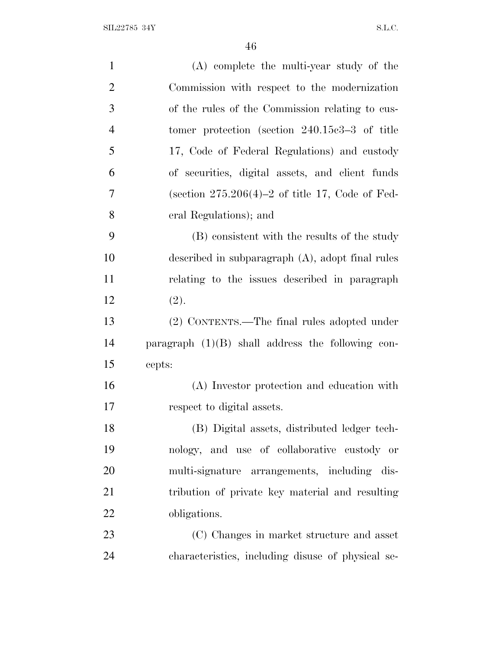| $\mathbf{1}$   | (A) complete the multi-year study of the            |
|----------------|-----------------------------------------------------|
| $\overline{2}$ | Commission with respect to the modernization        |
| 3              | of the rules of the Commission relating to cus-     |
| $\overline{4}$ | tomer protection (section $240.15c3-3$ of title     |
| 5              | 17, Code of Federal Regulations) and custody        |
| 6              | of securities, digital assets, and client funds     |
| 7              | (section $275.206(4)-2$ of title 17, Code of Fed-   |
| 8              | eral Regulations); and                              |
| 9              | (B) consistent with the results of the study        |
| 10             | described in subparagraph $(A)$ , adopt final rules |
| 11             | relating to the issues described in paragraph       |
| 12             | (2).                                                |
| 13             | (2) CONTENTS.—The final rules adopted under         |
| 14             | paragraph $(1)(B)$ shall address the following con- |
| 15             | cepts:                                              |
| 16             | (A) Investor protection and education with          |
| 17             | respect to digital assets.                          |
| 18             | (B) Digital assets, distributed ledger tech-        |
| 19             | nology, and use of collaborative custody or         |
| 20             | multi-signature arrangements, including dis-        |
| 21             | tribution of private key material and resulting     |
| 22             | obligations.                                        |
| 23             | (C) Changes in market structure and asset           |
| 24             | characteristics, including disuse of physical se-   |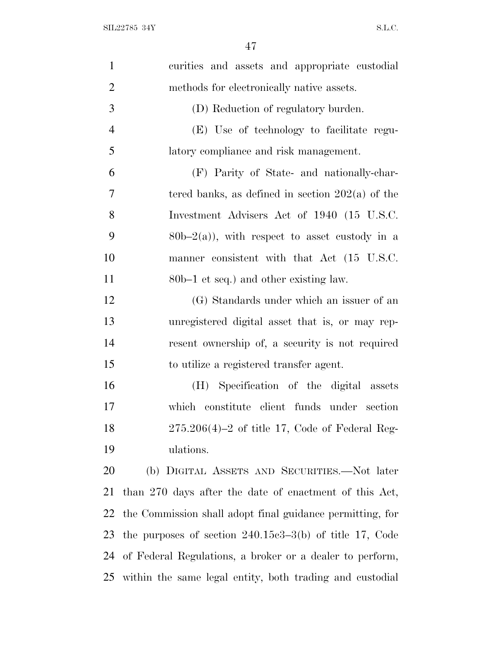| $\mathbf{1}$   | curities and assets and appropriate custodial               |
|----------------|-------------------------------------------------------------|
| $\overline{2}$ | methods for electronically native assets.                   |
| 3              | (D) Reduction of regulatory burden.                         |
| $\overline{4}$ | (E) Use of technology to facilitate regu-                   |
| 5              | latory compliance and risk management.                      |
| 6              | (F) Parity of State- and nationally-char-                   |
| 7              | tered banks, as defined in section $202(a)$ of the          |
| 8              | Investment Advisers Act of 1940 (15 U.S.C.                  |
| 9              | $80b-2(a)$ , with respect to asset custody in a             |
| 10             | manner consistent with that Act (15 U.S.C.                  |
| 11             | 80b–1 et seq.) and other existing law.                      |
| 12             | (G) Standards under which an issuer of an                   |
| 13             | unregistered digital asset that is, or may rep-             |
| 14             | resent ownership of, a security is not required             |
| 15             | to utilize a registered transfer agent.                     |
| 16             | (H) Specification of the digital assets                     |
| 17             | which constitute client funds under section                 |
| 18             | $275.206(4)-2$ of title 17, Code of Federal Reg-            |
| 19             | ulations.                                                   |
| 20             | (b) DIGITAL ASSETS AND SECURITIES.—Not later                |
| 21             | than 270 days after the date of enactment of this Act,      |
| 22             | the Commission shall adopt final guidance permitting, for   |
| 23             | the purposes of section $240.15e3-3(b)$ of title 17, Code   |
| 24             | of Federal Regulations, a broker or a dealer to perform,    |
|                | 25 within the same legal entity, both trading and custodial |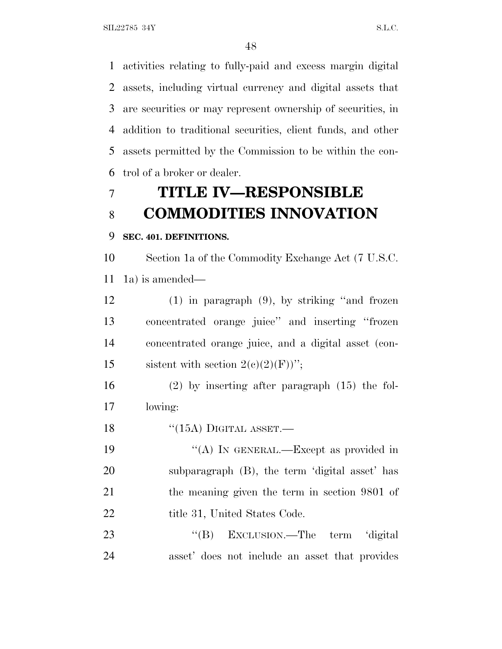activities relating to fully-paid and excess margin digital assets, including virtual currency and digital assets that are securities or may represent ownership of securities, in addition to traditional securities, client funds, and other assets permitted by the Commission to be within the con-trol of a broker or dealer.

# **TITLE IV—RESPONSIBLE COMMODITIES INNOVATION**

#### **SEC. 401. DEFINITIONS.**

 Section 1a of the Commodity Exchange Act (7 U.S.C. 1a) is amended—

 (1) in paragraph (9), by striking ''and frozen concentrated orange juice'' and inserting ''frozen concentrated orange juice, and a digital asset (con-15 sistent with section  $2(c)(2)(F)$ ";

 (2) by inserting after paragraph (15) the fol-lowing:

18 "(15A) DIGITAL ASSET.—

19 "(A) IN GENERAL.—Except as provided in subparagraph (B), the term 'digital asset' has the meaning given the term in section 9801 of 22 title 31, United States Code.

23 "'(B) EXCLUSION.—The term 'digital asset' does not include an asset that provides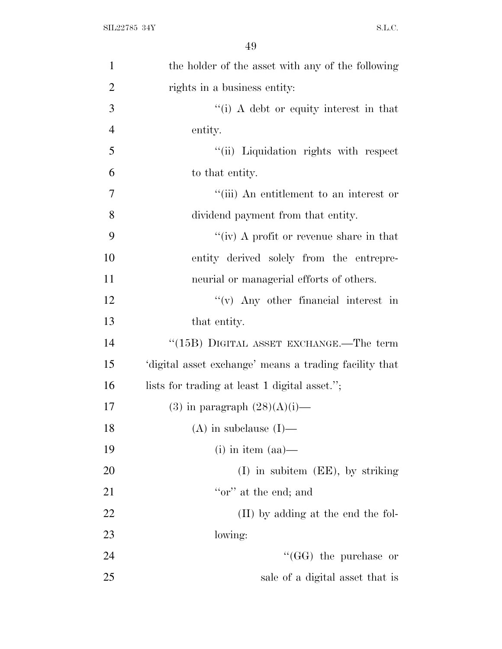| $\mathbf{1}$   | the holder of the asset with any of the following     |
|----------------|-------------------------------------------------------|
| $\overline{2}$ | rights in a business entity:                          |
| 3              | "(i) A debt or equity interest in that                |
| $\overline{4}$ | entity.                                               |
| 5              | "(ii) Liquidation rights with respect                 |
| 6              | to that entity.                                       |
| 7              | "(iii) An entitlement to an interest or               |
| 8              | dividend payment from that entity.                    |
| 9              | "(iv) A profit or revenue share in that               |
| 10             | entity derived solely from the entrepre-              |
| 11             | neurial or managerial efforts of others.              |
| 12             | $f'(v)$ Any other financial interest in               |
| 13             | that entity.                                          |
| 14             | "(15B) DIGITAL ASSET EXCHANGE.—The term               |
| 15             | digital asset exchange' means a trading facility that |
| 16             | lists for trading at least 1 digital asset.";         |
| 17             | $(3)$ in paragraph $(28)(A)(i)$ —                     |
| 18             | $(A)$ in subclause $(I)$ —                            |
| 19             | $(i)$ in item $(aa)$ —                                |
| 20             | $(I)$ in subitem $(EE)$ , by striking                 |
| 21             | "or" at the end; and                                  |
| 22             | (II) by adding at the end the fol-                    |
| 23             | lowing:                                               |
| 24             | $\cdot$ (GG) the purchase or                          |
| 25             | sale of a digital asset that is                       |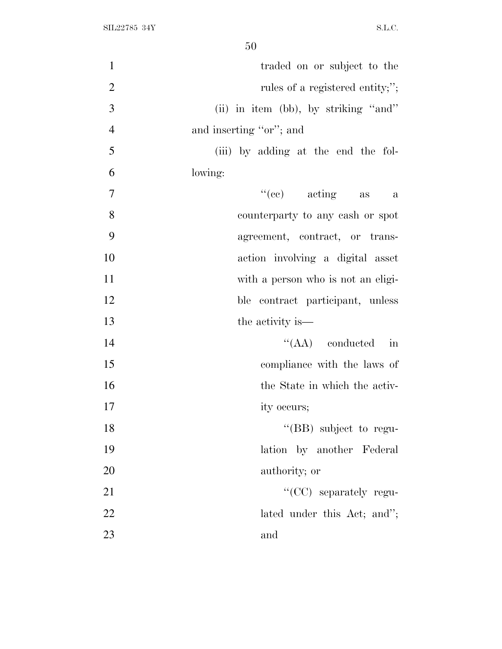| $\mathbf{1}$   | traded on or subject to the          |
|----------------|--------------------------------------|
| $\overline{2}$ | rules of a registered entity;";      |
| 3              | (ii) in item (bb), by striking "and" |
| $\overline{4}$ | and inserting "or"; and              |
| 5              | (iii) by adding at the end the fol-  |
| 6              | lowing:                              |
| $\tau$         | $\lq\lq$ (ce) acting as<br>$\alpha$  |
| 8              | counterparty to any cash or spot     |
| 9              | agreement, contract, or trans-       |
| 10             | action involving a digital asset     |
| 11             | with a person who is not an eligi-   |
| 12             | ble contract participant, unless     |
| 13             | the activity is—                     |
| 14             | $\lq\lq$ (AA) conducted in           |
| 15             | compliance with the laws of          |
| 16             | the State in which the activ-        |
| 17             | ity occurs;                          |
| 18             | "(BB) subject to regu-               |
| 19             | lation by another Federal            |
| 20             | authority; or                        |
| 21             | "(CC) separately regu-               |
| 22             | lated under this Act; and";          |
| 23             | and                                  |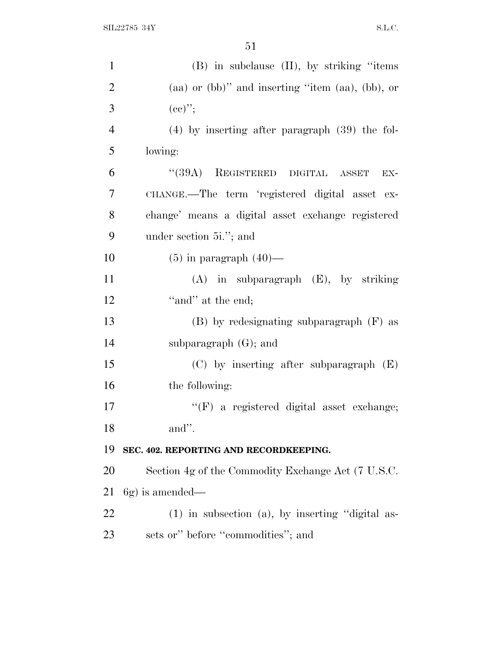| $\mathbf{1}$   | (B) in subclause (II), by striking "items                   |
|----------------|-------------------------------------------------------------|
| $\overline{2}$ | $(aa)$ or $(bb)$ " and inserting "item $(aa)$ , $(bb)$ , or |
| 3              | $(cc)$ ";                                                   |
| $\overline{4}$ | $(4)$ by inserting after paragraph $(39)$ the fol-          |
| 5              | lowing:                                                     |
| 6              | "(39A) REGISTERED DIGITAL ASSET<br>EX-                      |
| 7              | CHANGE.—The term 'registered digital asset ex-              |
| 8              | change' means a digital asset exchange registered           |
| 9              | under section 5 <i>i</i> ."; and                            |
| 10             | $(5)$ in paragraph $(40)$ —                                 |
| 11             | $(A)$ in subparagraph $(E)$ , by striking                   |
| 12             | "and" at the end;                                           |
| 13             | $(B)$ by redesignating subparagraph $(F)$ as                |
| 14             | subparagraph $(G)$ ; and                                    |
| 15             | $(C)$ by inserting after subparagraph $(E)$                 |
| 16             | the following:                                              |
| 17             | $\lq\lq(F)$ a registered digital asset exchange;            |
| 18             | and".                                                       |
| 19             | SEC. 402. REPORTING AND RECORDKEEPING.                      |
| 20             | Section 4g of the Commodity Exchange Act (7 U.S.C.          |
| 21             | $6g$ ) is amended—                                          |
| 22             | (1) in subsection (a), by inserting "digital as-            |
| 23             | sets or" before "commodities"; and                          |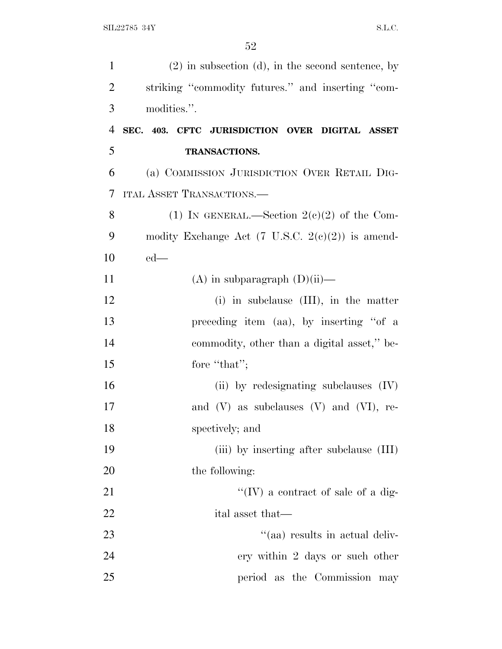| $\mathbf{1}$   | $(2)$ in subsection (d), in the second sentence, by         |
|----------------|-------------------------------------------------------------|
| $\overline{2}$ | striking "commodity futures." and inserting "com-           |
| 3              | modities.".                                                 |
| $\overline{4}$ | SEC. 403. CFTC JURISDICTION OVER DIGITAL ASSET              |
| 5              | <b>TRANSACTIONS.</b>                                        |
| 6              | (a) COMMISSION JURISDICTION OVER RETAIL DIG-                |
| 7              | <b>ITAL ASSET TRANSACTIONS.—</b>                            |
| 8              | (1) IN GENERAL.—Section $2(e)(2)$ of the Com-               |
| 9              | modity Exchange Act $(7 \text{ U.S.C. } 2(e)(2))$ is amend- |
| 10             | $ed$ —                                                      |
| 11             | (A) in subparagraph $(D)(ii)$ —                             |
| 12             | $(i)$ in subclause $(III)$ , in the matter                  |
| 13             | preceding item (aa), by inserting "of a                     |
| 14             | commodity, other than a digital asset," be-                 |
| 15             | fore "that";                                                |
| 16             | (ii) by redesignating subclauses $(IV)$                     |
| 17             | and $(V)$ as subclauses $(V)$ and $(VI)$ , re-              |
| 18             | spectively; and                                             |
| 19             | (iii) by inserting after subclause (III)                    |
| 20             | the following:                                              |
| 21             | "(IV) a contract of sale of a dig-                          |
| 22             | ital asset that—                                            |
| 23             | "(aa) results in actual deliv-                              |
| 24             | ery within 2 days or such other                             |
| 25             | period as the Commission may                                |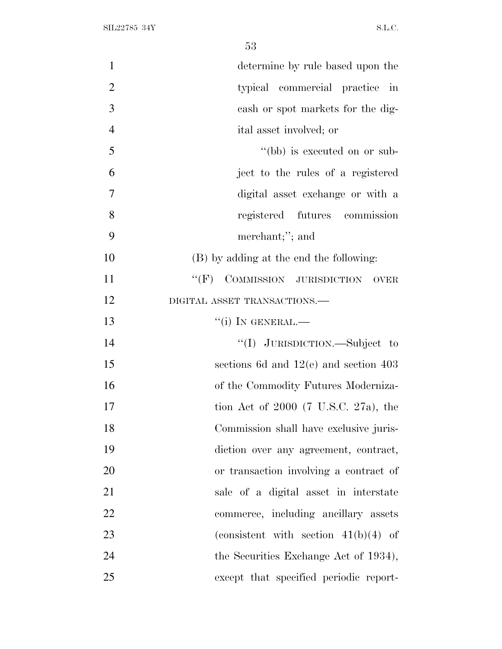| $\mathbf{1}$   | determine by rule based upon the                   |
|----------------|----------------------------------------------------|
| $\overline{2}$ | typical commercial practice in                     |
| 3              | cash or spot markets for the dig-                  |
| $\overline{4}$ | ital asset involved; or                            |
| 5              | "(bb) is executed on or sub-                       |
| 6              | ject to the rules of a registered                  |
| 7              | digital asset exchange or with a                   |
| 8              | registered futures commission                      |
| 9              | merchant;"; and                                    |
| 10             | (B) by adding at the end the following:            |
| 11             | COMMISSION JURISDICTION<br>$``$ (F)<br><b>OVER</b> |
| 12             | DIGITAL ASSET TRANSACTIONS.                        |
| 13             | $``(i)$ In GENERAL.—                               |
| 14             | "(I) JURISDICTION.—Subject to                      |
| 15             | sections 6d and $12(e)$ and section 403            |
| 16             | of the Commodity Futures Moderniza-                |
| 17             | tion Act of $2000$ (7 U.S.C. 27a), the             |
| 18             | Commission shall have exclusive juris-             |
| 19             | diction over any agreement, contract,              |
| 20             | or transaction involving a contract of             |
| 21             | sale of a digital asset in interstate              |
| 22             | commerce, including ancillary assets               |
| 23             | (consistent with section $41(b)(4)$ of             |
| 24             | the Securities Exchange Act of 1934),              |
| 25             | except that specified periodic report-             |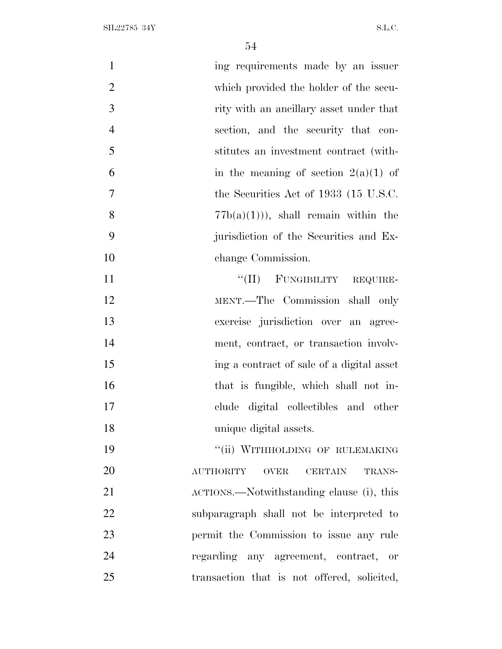| $\mathbf{1}$   | ing requirements made by an issuer                          |
|----------------|-------------------------------------------------------------|
| $\overline{2}$ | which provided the holder of the secu-                      |
| 3              | rity with an ancillary asset under that                     |
| $\overline{4}$ | section, and the security that con-                         |
| 5              | stitutes an investment contract (with-                      |
| 6              | in the meaning of section $2(a)(1)$ of                      |
| $\overline{7}$ | the Securities Act of 1933 (15 U.S.C.                       |
| 8              | $77b(a)(1)$ , shall remain within the                       |
| 9              | jurisdiction of the Securities and Ex-                      |
| 10             | change Commission.                                          |
| 11             | "(II) FUNGIBILITY REQUIRE-                                  |
| 12             | MENT.-The Commission shall only                             |
| 13             | exercise jurisdiction over an agree-                        |
| 14             | ment, contract, or transaction involv-                      |
| 15             | ing a contract of sale of a digital asset                   |
| 16             | that is fungible, which shall not in-                       |
| 17             | clude digital collectibles and other                        |
| 18             | unique digital assets.                                      |
| 19             | "(ii) WITHHOLDING OF RULEMAKING                             |
| 20             | <b>AUTHORITY</b><br><b>OVER</b><br><b>CERTAIN</b><br>TRANS- |
| 21             | ACTIONS.—Notwithstanding clause (i), this                   |
| 22             | subparagraph shall not be interpreted to                    |
| 23             | permit the Commission to issue any rule                     |
| 24             | regarding any agreement, contract, or                       |
| 25             | transaction that is not offered, solicited,                 |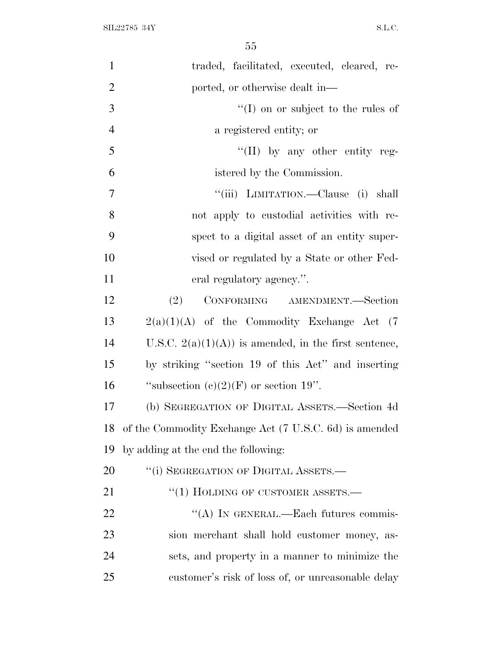| $\mathbf{1}$   | traded, facilitated, executed, cleared, re-            |
|----------------|--------------------------------------------------------|
| $\overline{2}$ | ported, or otherwise dealt in—                         |
| 3              | $\lq(1)$ on or subject to the rules of                 |
| $\overline{4}$ | a registered entity; or                                |
| 5              | "(II) by any other entity reg-                         |
| 6              | istered by the Commission.                             |
| 7              | "(iii) LIMITATION.—Clause (i) shall                    |
| 8              | not apply to custodial activities with re-             |
| 9              | spect to a digital asset of an entity super-           |
| 10             | vised or regulated by a State or other Fed-            |
| 11             | eral regulatory agency.".                              |
| 12             | (2)<br>CONFORMING AMENDMENT.-Section                   |
| 13             | $2(a)(1)(A)$ of the Commodity Exchange Act (7)         |
| 14             | U.S.C. $2(a)(1)(A)$ is amended, in the first sentence, |
| 15             | by striking "section 19 of this Act" and inserting     |
| 16             | "subsection $(c)(2)(F)$ or section 19".                |
| 17             | (b) SEGREGATION OF DIGITAL ASSETS.—Section 4d          |
| 18             | of the Commodity Exchange Act (7 U.S.C. 6d) is amended |
| 19             | by adding at the end the following:                    |
| 20             | "(i) SEGREGATION OF DIGITAL ASSETS.—                   |
| 21             | $\cdot\cdot(1)$ HOLDING OF CUSTOMER ASSETS.—           |
| 22             | "(A) IN GENERAL.—Each futures commis-                  |
| 23             | sion merchant shall hold customer money, as-           |
| 24             | sets, and property in a manner to minimize the         |
| 25             | customer's risk of loss of, or unreasonable delay      |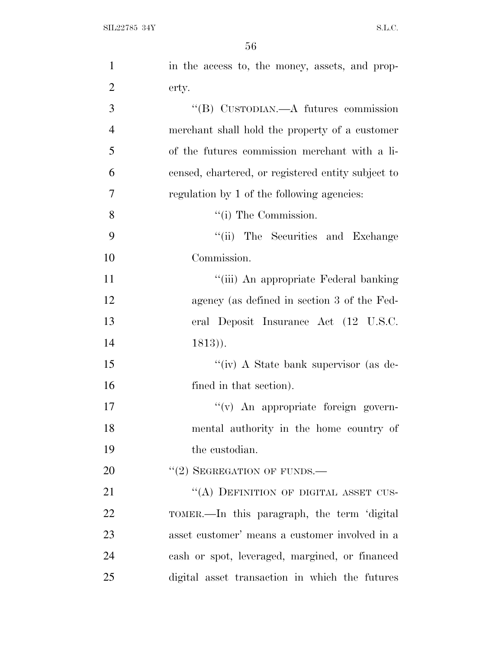| $\mathbf{1}$   | in the access to, the money, assets, and prop-     |
|----------------|----------------------------------------------------|
| $\overline{2}$ | erty.                                              |
| 3              | "(B) CUSTODIAN.—A futures commission               |
| $\overline{4}$ | merchant shall hold the property of a customer     |
| 5              | of the futures commission merchant with a li-      |
| 6              | censed, chartered, or registered entity subject to |
| 7              | regulation by 1 of the following agencies:         |
| 8              | $\lq\lq$ (i) The Commission.                       |
| 9              | "(ii) The Securities and Exchange                  |
| 10             | Commission.                                        |
| 11             | "(iii) An appropriate Federal banking              |
| 12             | agency (as defined in section 3 of the Fed-        |
| 13             | eral Deposit Insurance Act (12 U.S.C.              |
| 14             | $1813)$ ).                                         |
| 15             | "(iv) A State bank supervisor (as de-              |
| 16             | fined in that section).                            |
| 17             | $f'(v)$ An appropriate foreign govern-             |
| 18             | mental authority in the home country of            |
| 19             | the custodian.                                     |
| 20             | $''(2)$ SEGREGATION OF FUNDS.—                     |
| 21             | "(A) DEFINITION OF DIGITAL ASSET CUS-              |
| 22             | TOMER.—In this paragraph, the term 'digital        |
| 23             | asset customer' means a customer involved in a     |
| 24             | cash or spot, leveraged, margined, or financed     |
| 25             | digital asset transaction in which the futures     |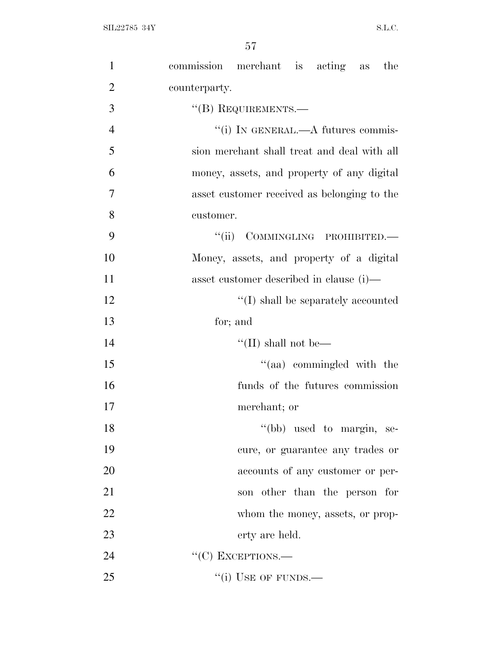| $\mathbf{1}$   | commission merchant is acting as the        |
|----------------|---------------------------------------------|
| $\overline{2}$ | counterparty.                               |
| 3              | $``$ (B) REQUIREMENTS.—                     |
| $\overline{4}$ | "(i) IN GENERAL.—A futures commis-          |
| 5              | sion merchant shall treat and deal with all |
| 6              | money, assets, and property of any digital  |
| $\overline{7}$ | asset customer received as belonging to the |
| 8              | customer.                                   |
| 9              | "(ii) COMMINGLING PROHIBITED.-              |
| 10             | Money, assets, and property of a digital    |
| 11             | asset customer described in clause (i)—     |
| 12             | "(I) shall be separately accounted          |
| 13             | for; and                                    |
| 14             | "(II) shall not be—                         |
| 15             | "(aa) commingled with the                   |
| 16             | funds of the futures commission             |
| 17             | merchant; or                                |
| 18             | "(bb) used to margin, se-                   |
| 19             | cure, or guarantee any trades or            |
| 20             | accounts of any customer or per-            |
| 21             | son other than the person for               |
| 22             | whom the money, assets, or prop-            |
| 23             | erty are held.                              |
| 24             | $``(C)$ EXCEPTIONS.—                        |
| 25             | $``(i)$ USE OF FUNDS.—                      |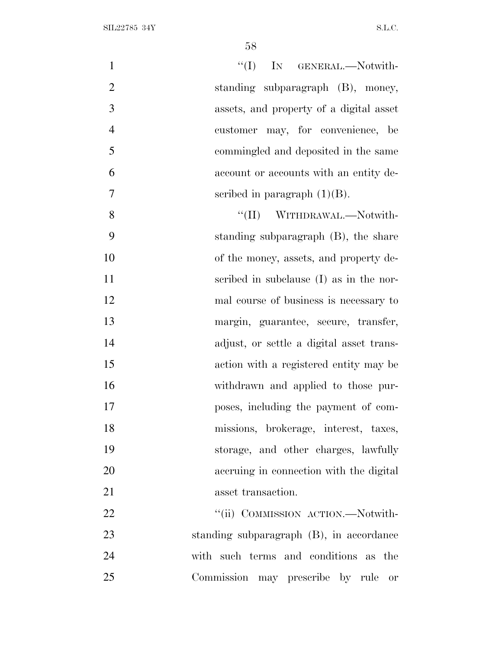| $\mathbf{1}$<br>$\lq\lq$ (I) IN GENERAL.—Notwith-   |  |
|-----------------------------------------------------|--|
| $\overline{2}$<br>standing subparagraph (B), money, |  |
| 3<br>assets, and property of a digital asset        |  |
| $\overline{4}$<br>customer may, for convenience, be |  |
| 5<br>commingled and deposited in the same           |  |
| 6<br>account or accounts with an entity de-         |  |
| $\overline{7}$<br>scribed in paragraph $(1)(B)$ .   |  |
| 8<br>"(II) WITHDRAWAL.—Notwith-                     |  |
| 9<br>standing subparagraph (B), the share           |  |
| 10<br>of the money, assets, and property de-        |  |
| 11<br>scribed in subclause (I) as in the nor-       |  |
| 12<br>mal course of business is necessary to        |  |
| 13<br>margin, guarantee, secure, transfer,          |  |
| 14<br>adjust, or settle a digital asset trans-      |  |
| 15<br>action with a registered entity may be        |  |
| 16<br>withdrawn and applied to those pur-           |  |
| 17<br>poses, including the payment of com-          |  |
| 18<br>missions, brokerage, interest, taxes,         |  |
| 19<br>storage, and other charges, lawfully          |  |
| 20<br>accruing in connection with the digital       |  |
| 21<br>asset transaction.                            |  |
| 22<br>"(ii) COMMISSION ACTION.—Notwith-             |  |
| 23<br>standing subparagraph (B), in accordance      |  |
| 24<br>with such terms and conditions as the         |  |
| 25<br>Commission may prescribe by rule or           |  |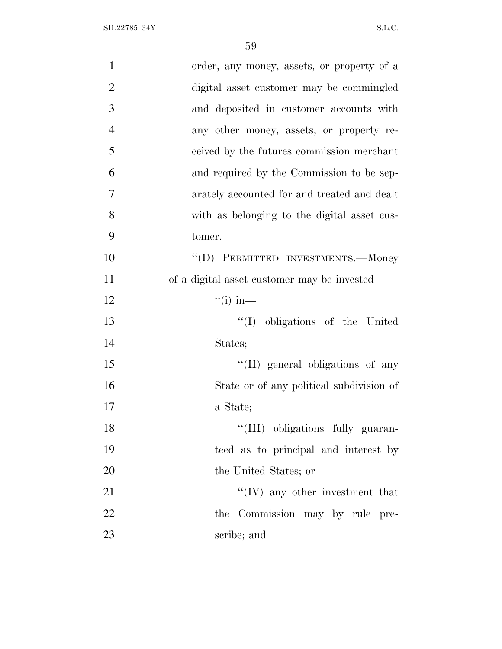SIL22785 34Y S.L.C.

| $\mathbf{1}$   | order, any money, assets, or property of a   |
|----------------|----------------------------------------------|
| $\overline{2}$ | digital asset customer may be commingled     |
| 3              | and deposited in customer accounts with      |
| $\overline{4}$ | any other money, assets, or property re-     |
| 5              | ceived by the futures commission merchant    |
| 6              | and required by the Commission to be sep-    |
| 7              | arately accounted for and treated and dealt  |
| 8              | with as belonging to the digital asset cus-  |
| 9              | tomer.                                       |
| 10             | "(D) PERMITTED INVESTMENTS.—Money            |
| 11             | of a digital asset customer may be invested— |
| 12             | $\lq($ i) in—                                |
| 13             | "(I) obligations of the United               |
| 14             | States;                                      |
| 15             | "(II) general obligations of any             |
| 16             | State or of any political subdivision of     |
| 17             | a State;                                     |
| 18             | "(III) obligations fully guaran-             |
| 19             | teed as to principal and interest by         |
| 20             | the United States; or                        |
| 21             | $\lq\lq (IV)$ any other investment that      |
| 22             | the Commission may by rule pre-              |
| 23             | scribe; and                                  |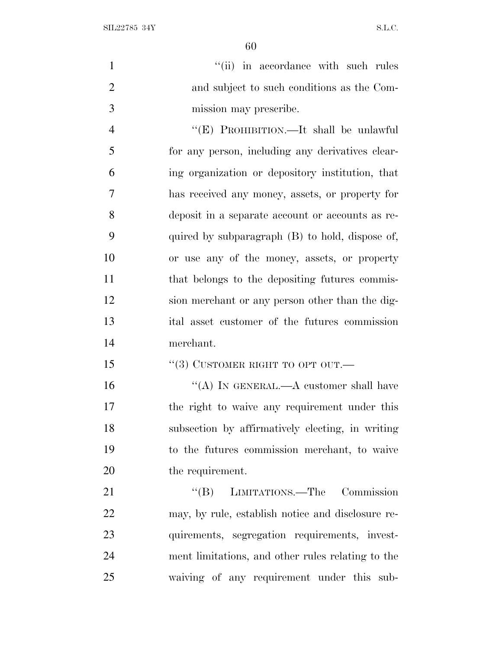SIL22785 34Y S.L.C.

1 ''(ii) in accordance with such rules and subject to such conditions as the Com-mission may prescribe.

 ''(E) PROHIBITION.—It shall be unlawful for any person, including any derivatives clear- ing organization or depository institution, that has received any money, assets, or property for deposit in a separate account or accounts as re- quired by subparagraph (B) to hold, dispose of, or use any of the money, assets, or property 11 that belongs to the depositing futures commis- sion merchant or any person other than the dig- ital asset customer of the futures commission merchant.

15 "(3) CUSTOMER RIGHT TO OPT OUT.—

16 "(A) IN GENERAL.—A customer shall have the right to waive any requirement under this subsection by affirmatively electing, in writing to the futures commission merchant, to waive 20 the requirement.

21 "(B) LIMITATIONS.—The Commission may, by rule, establish notice and disclosure re- quirements, segregation requirements, invest- ment limitations, and other rules relating to the waiving of any requirement under this sub-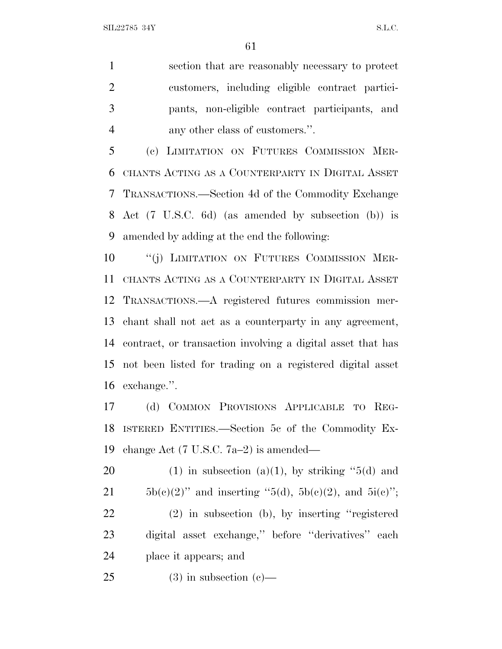section that are reasonably necessary to protect customers, including eligible contract partici- pants, non-eligible contract participants, and any other class of customers.''.

 (c) LIMITATION ON FUTURES COMMISSION MER- CHANTS ACTING AS A COUNTERPARTY IN DIGITAL ASSET TRANSACTIONS.—Section 4d of the Commodity Exchange Act (7 U.S.C. 6d) (as amended by subsection (b)) is amended by adding at the end the following:

10 "(j) LIMITATION ON FUTURES COMMISSION MER- CHANTS ACTING AS A COUNTERPARTY IN DIGITAL ASSET TRANSACTIONS.—A registered futures commission mer- chant shall not act as a counterparty in any agreement, contract, or transaction involving a digital asset that has not been listed for trading on a registered digital asset exchange.''.

 (d) COMMON PROVISIONS APPLICABLE TO REG- ISTERED ENTITIES.—Section 5c of the Commodity Ex-change Act (7 U.S.C. 7a–2) is amended—

20 (1) in subsection (a)(1), by striking  $-5(d)$  and 21 5b(e)(2)'' and inserting "5(d), 5b(e)(2), and 5i(e)''; (2) in subsection (b), by inserting ''registered digital asset exchange,'' before ''derivatives'' each place it appears; and

25 (3) in subsection  $(c)$ —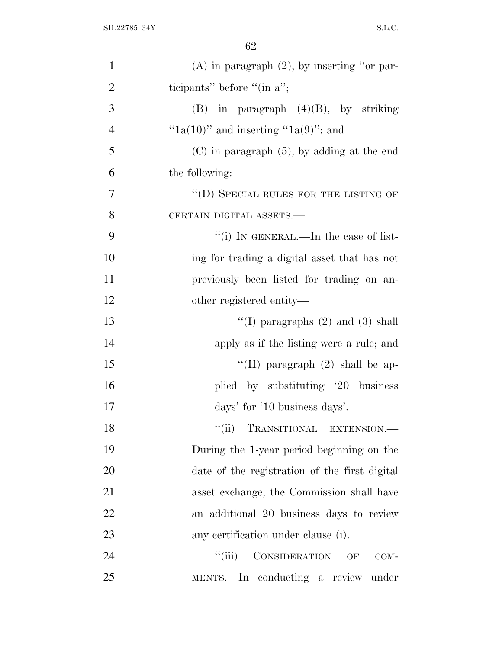| $\mathbf{1}$   | $(A)$ in paragraph $(2)$ , by inserting "or par- |
|----------------|--------------------------------------------------|
| $\overline{2}$ | ticipants" before "(in $a$ ";                    |
| 3              | $(B)$ in paragraph $(4)(B)$ , by striking        |
| $\overline{4}$ | " $1a(10)$ " and inserting " $1a(9)$ "; and      |
| 5              | $(C)$ in paragraph $(5)$ , by adding at the end  |
| 6              | the following:                                   |
| $\overline{7}$ | $\lq\lq$ (D) SPECIAL RULES FOR THE LISTING OF    |
| 8              | CERTAIN DIGITAL ASSETS.-                         |
| 9              | "(i) IN GENERAL.—In the case of list-            |
| 10             | ing for trading a digital asset that has not     |
| 11             | previously been listed for trading on an-        |
| 12             | other registered entity—                         |
| 13             | "(I) paragraphs $(2)$ and $(3)$ shall            |
| 14             | apply as if the listing were a rule; and         |
| 15             | "(II) paragraph $(2)$ shall be ap-               |
| 16             | plied by substituting '20 business               |
| 17             | days' for '10 business days'.                    |
| 18             | TRANSITIONAL EXTENSION.-<br>``(ii)               |
| 19             | During the 1-year period beginning on the        |
| 20             | date of the registration of the first digital    |
| 21             | asset exchange, the Commission shall have        |
| 22             | an additional 20 business days to review         |
| 23             | any certification under clause (i).              |
| 24             | CONSIDERATION OF<br>``(iii)<br>COM-              |
| 25             | MENTS.—In conducting a review under              |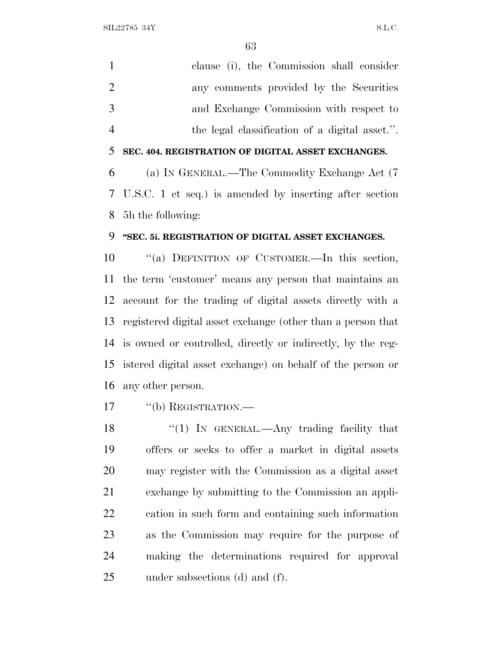$SLL2785$  34Y S.L.C.

 clause (i), the Commission shall consider any comments provided by the Securities and Exchange Commission with respect to the legal classification of a digital asset.''. **SEC. 404. REGISTRATION OF DIGITAL ASSET EXCHANGES.** (a) I<sup>N</sup> GENERAL.—The Commodity Exchange Act (7 U.S.C. 1 et seq.) is amended by inserting after section 5h the following:

#### **''SEC. 5i. REGISTRATION OF DIGITAL ASSET EXCHANGES.**

10 "(a) DEFINITION OF CUSTOMER.—In this section, the term 'customer' means any person that maintains an account for the trading of digital assets directly with a registered digital asset exchange (other than a person that is owned or controlled, directly or indirectly, by the reg- istered digital asset exchange) on behalf of the person or any other person.

17 "(b) REGISTRATION.—

18 "(1) In GENERAL.—Any trading facility that offers or seeks to offer a market in digital assets may register with the Commission as a digital asset exchange by submitting to the Commission an appli- cation in such form and containing such information as the Commission may require for the purpose of making the determinations required for approval under subsections (d) and (f).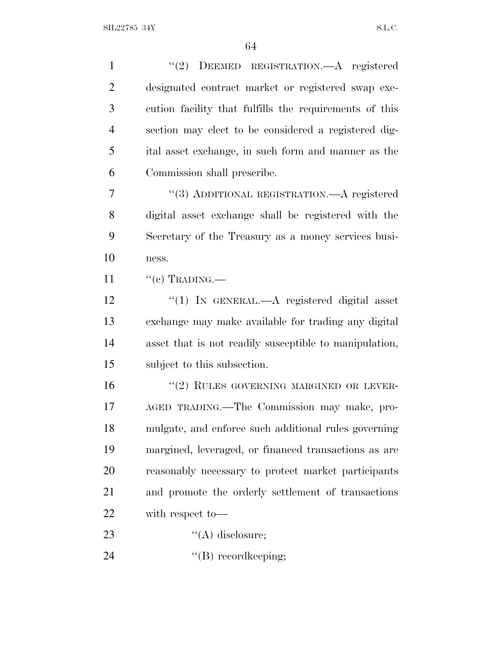| $\mathbf{1}$   | "(2) DEEMED REGISTRATION.—A registered                 |
|----------------|--------------------------------------------------------|
| $\overline{2}$ | designated contract market or registered swap exe-     |
| 3              | cution facility that fulfills the requirements of this |
| $\overline{4}$ | section may elect to be considered a registered dig-   |
| 5              | ital asset exchange, in such form and manner as the    |
| 6              | Commission shall prescribe.                            |
| 7              | "(3) ADDITIONAL REGISTRATION.—A registered             |
| 8              | digital asset exchange shall be registered with the    |
| 9              | Secretary of the Treasury as a money services busi-    |
| 10             | ness.                                                  |
| 11             | $``(c)$ TRADING.—                                      |
| 12             | "(1) IN GENERAL.—A registered digital asset            |
| 13             | exchange may make available for trading any digital    |
| 14             | asset that is not readily susceptible to manipulation, |
| 15             | subject to this subsection.                            |
| 16             | "(2) RULES GOVERNING MARGINED OR LEVER-                |
| 17             | AGED TRADING.—The Commission may make, pro-            |
| 18             | mulgate, and enforce such additional rules governing   |
| 19             | margined, leveraged, or financed transactions as are   |
| 20             | reasonably necessary to protect market participants    |
| 21             | and promote the orderly settlement of transactions     |
| 22             | with respect to-                                       |
| 23             | $\lq\lq$ disclosure;                                   |
| 24             | $\lq\lq(B)$ record keeping;                            |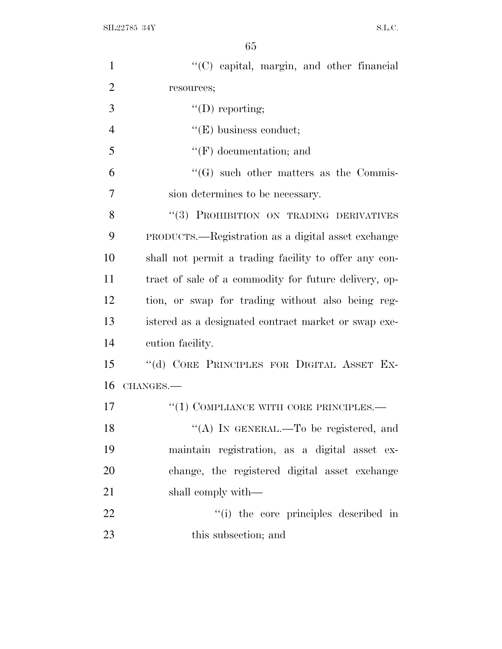$SLL22785$  34Y S.L.C.

| $\mathbf{1}$   | "(C) capital, margin, and other financial             |
|----------------|-------------------------------------------------------|
| $\overline{2}$ | resources;                                            |
| 3              | $\lq\lq$ (D) reporting;                               |
| $\overline{4}$ | $f'(E)$ business conduct;                             |
| 5              | $\lq\lq(F)$ documentation; and                        |
| 6              | $\lq\lq(G)$ such other matters as the Commis-         |
| 7              | sion determines to be necessary.                      |
| 8              | "(3) PROHIBITION ON TRADING DERIVATIVES               |
| 9              | PRODUCTS.—Registration as a digital asset exchange    |
| 10             | shall not permit a trading facility to offer any con- |
| 11             | tract of sale of a commodity for future delivery, op- |
| 12             | tion, or swap for trading without also being reg-     |
| 13             | istered as a designated contract market or swap exe-  |
| 14             | cution facility.                                      |
| 15             | "(d) CORE PRINCIPLES FOR DIGITAL ASSET EX-            |
| 16             | CHANGES.                                              |
| 17             | $``(1)$ COMPLIANCE WITH CORE PRINCIPLES.—             |
| 18             | "(A) IN GENERAL.—To be registered, and                |
| 19             | maintain registration, as a digital asset ex-         |
| 20             | change, the registered digital asset exchange         |
| 21             | shall comply with—                                    |
| 22             | "(i) the core principles described in                 |
| 23             | this subsection; and                                  |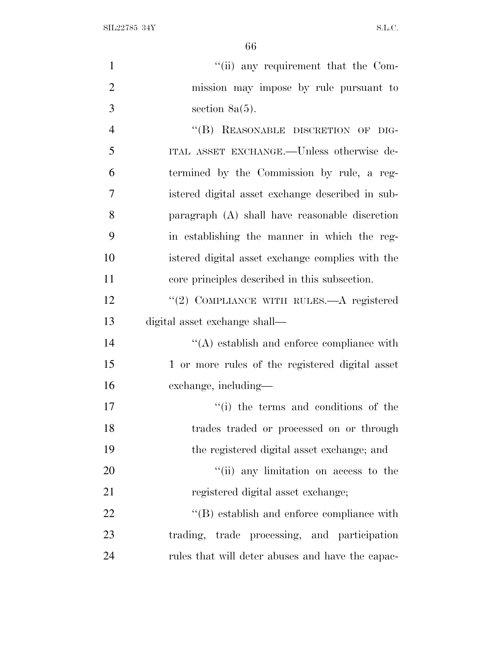$\text{SIL} 22785 \text{ } 34\text{Y} \tag{S.L.C.}$ 

| $\mathbf{1}$   | "(ii) any requirement that the Com-              |
|----------------|--------------------------------------------------|
| $\overline{2}$ | mission may impose by rule pursuant to           |
| 3              | section $8a(5)$ .                                |
| $\overline{4}$ | "(B) REASONABLE DISCRETION OF DIG-               |
| 5              | ITAL ASSET EXCHANGE.--Unless otherwise de-       |
| 6              | termined by the Commission by rule, a reg-       |
| $\overline{7}$ | istered digital asset exchange described in sub- |
| 8              | paragraph $(A)$ shall have reasonable discretion |
| 9              | in establishing the manner in which the reg-     |
| 10             | istered digital asset exchange complies with the |
| 11             | core principles described in this subsection.    |
| 12             | "(2) COMPLIANCE WITH RULES.—A registered         |
| 13             | digital asset exchange shall—                    |
| 14             | $\lq\lq$ establish and enforce compliance with   |
| 15             | 1 or more rules of the registered digital asset  |
| 16             | exchange, including—                             |
| 17             | "(i) the terms and conditions of the             |
| 18             | trades traded or processed on or through         |
| 19             | the registered digital asset exchange; and       |
| 20             | "(ii) any limitation on access to the            |
| 21             | registered digital asset exchange;               |
| 22             | $\lq\lq$ establish and enforce compliance with   |
| 23             | trading, trade processing, and participation     |
|                |                                                  |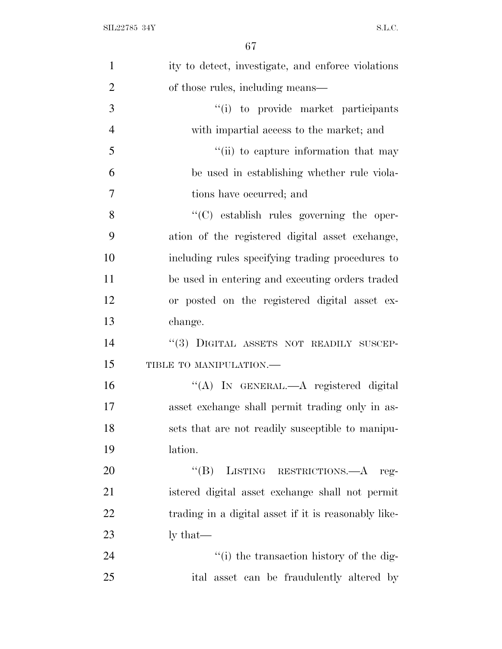| $\mathbf{1}$   | ity to detect, investigate, and enforce violations   |
|----------------|------------------------------------------------------|
| $\overline{2}$ | of those rules, including means—                     |
| 3              | "(i) to provide market participants                  |
| $\overline{4}$ | with impartial access to the market; and             |
| 5              | "(ii) to capture information that may                |
| 6              | be used in establishing whether rule viola-          |
| 7              | tions have occurred; and                             |
| 8              | "(C) establish rules governing the oper-             |
| 9              | ation of the registered digital asset exchange,      |
| 10             | including rules specifying trading procedures to     |
| 11             | be used in entering and executing orders traded      |
| 12             | or posted on the registered digital asset ex-        |
| 13             | change.                                              |
| 14             | "(3) DIGITAL ASSETS NOT READILY SUSCEP-              |
| 15             | TIBLE TO MANIPULATION.-                              |
| 16             | "(A) IN GENERAL.—A registered digital                |
| 17             | asset exchange shall permit trading only in as-      |
| 18             | sets that are not readily susceptible to manipu-     |
| 19             | lation.                                              |
| 20             | LISTING RESTRICTIONS.—A reg-<br>$\lq\lq (B)$         |
| 21             | istered digital asset exchange shall not permit      |
| 22             | trading in a digital asset if it is reasonably like- |
| 23             | $\frac{1}{x}$ that —                                 |
| 24             | "(i) the transaction history of the dig-             |
| 25             | ital asset can be fraudulently altered by            |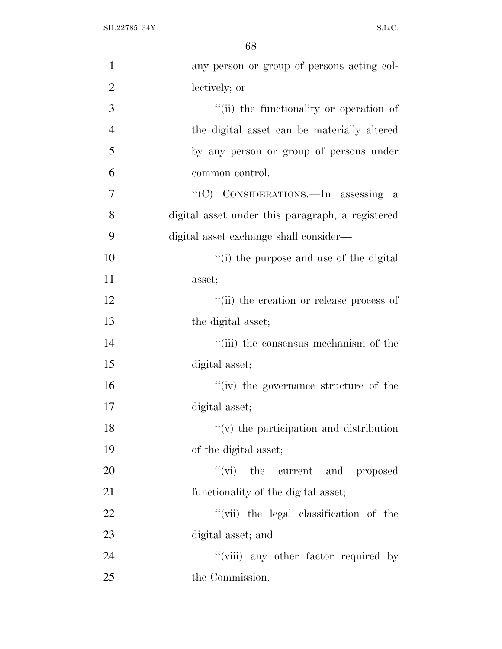$\text{SIL} 22785 \text{ } 34\text{Y} \tag{S.L.C.}$ 

| $\mathbf{1}$   | any person or group of persons acting col-       |
|----------------|--------------------------------------------------|
| $\overline{2}$ | lectively; or                                    |
| 3              | "(ii) the functionality or operation of          |
| $\overline{4}$ | the digital asset can be materially altered      |
| 5              | by any person or group of persons under          |
| 6              | common control.                                  |
| 7              | "(C) CONSIDERATIONS.—In assessing a              |
| 8              | digital asset under this paragraph, a registered |
| 9              | digital asset exchange shall consider—           |
| 10             | "(i) the purpose and use of the digital          |
| 11             | asset;                                           |
| 12             | "(ii) the creation or release process of         |
| 13             | the digital asset;                               |
| 14             | "(iii) the consensus mechanism of the            |
| 15             | digital asset;                                   |
| 16             | "(iv) the governance structure of the            |
| 17             | digital asset;                                   |
| 18             | $f'(v)$ the participation and distribution       |
| 19             | of the digital asset;                            |
| 20             | "(vi) the current and proposed                   |
| 21             | functionality of the digital asset;              |
| 22             | "(vii) the legal classification of the           |
| 23             | digital asset; and                               |
| 24             | "(viii) any other factor required by             |
| 25             | the Commission.                                  |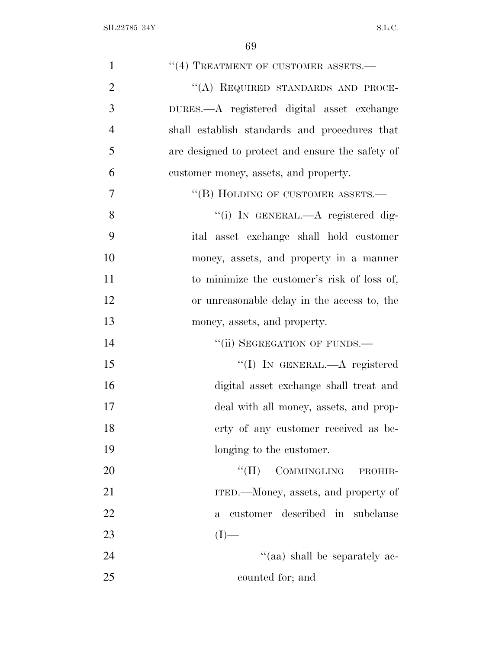| $\mathbf{1}$   | $``(4)$ TREATMENT OF CUSTOMER ASSETS.—           |
|----------------|--------------------------------------------------|
| $\overline{2}$ | "(A) REQUIRED STANDARDS AND PROCE-               |
| 3              | DURES.—A registered digital asset exchange       |
| $\overline{4}$ | shall establish standards and procedures that    |
| 5              | are designed to protect and ensure the safety of |
| 6              | customer money, assets, and property.            |
| 7              | "(B) HOLDING OF CUSTOMER ASSETS.-                |
| 8              | "(i) IN GENERAL.—A registered dig-               |
| 9              | ital asset exchange shall hold customer          |
| 10             | money, assets, and property in a manner          |
| 11             | to minimize the customer's risk of loss of,      |
| 12             | or unreasonable delay in the access to, the      |
| 13             | money, assets, and property.                     |
| 14             | "(ii) SEGREGATION OF FUNDS.-                     |
| 15             | "(I) IN GENERAL.—A registered                    |
| 16             | digital asset exchange shall treat and           |
| 17             | deal with all money, assets, and prop-           |
| 18             | erty of any customer received as be-             |
| 19             | longing to the customer.                         |
| 20             | COMMINGLING<br>``(II)<br>PROHIB-                 |
| 21             | ITED.—Money, assets, and property of             |
| 22             | customer described in subclause<br>$\mathbf{a}$  |
| 23             | $(I)$ —                                          |
| 24             | "(aa) shall be separately ac-                    |
| 25             | counted for; and                                 |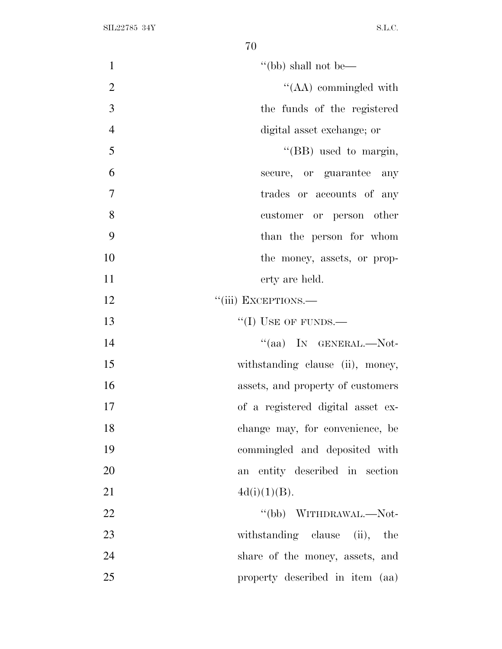| $\mathbf{1}$   | "(bb) shall not be—               |
|----------------|-----------------------------------|
| $\overline{2}$ | $\lq\lq$ (AA) commingled with     |
| 3              | the funds of the registered       |
| $\overline{4}$ | digital asset exchange; or        |
| 5              | "(BB) used to margin,             |
| 6              | secure, or guarantee any          |
| 7              | trades or accounts of any         |
| 8              | customer or person other          |
| 9              | than the person for whom          |
| 10             | the money, assets, or prop-       |
| 11             | erty are held.                    |
| 12             | "(iii) EXCEPTIONS.-               |
| 13             | $``(I)$ USE OF FUNDS.—            |
| 14             | "(aa) IN GENERAL.—Not-            |
| 15             | withstanding clause (ii), money,  |
| 16             | assets, and property of customers |
| 17             | of a registered digital asset ex- |
| 18             | change may, for convenience, be   |
| 19             | commingled and deposited with     |
| 20             | an entity described in section    |
| 21             | 4d(i)(1)(B).                      |
| 22             | "(bb) WITHDRAWAL.—Not-            |
| 23             | withstanding clause (ii), the     |
| 24             | share of the money, assets, and   |
| 25             | property described in item (aa)   |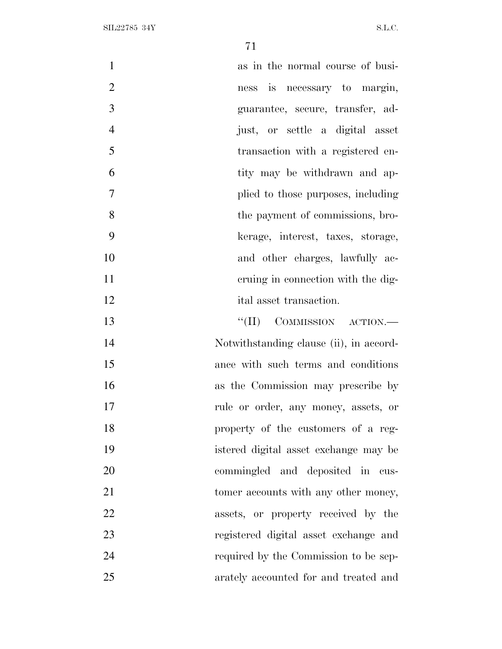| $\mathbf{1}$<br>as in the normal course of busi-  |  |
|---------------------------------------------------|--|
| $\overline{2}$<br>ness is necessary to margin,    |  |
| 3<br>guarantee, secure, transfer, ad-             |  |
| $\overline{4}$<br>just, or settle a digital asset |  |
| 5<br>transaction with a registered en-            |  |
| 6<br>tity may be withdrawn and ap-                |  |
| 7<br>plied to those purposes, including           |  |
| 8<br>the payment of commissions, bro-             |  |
| 9<br>kerage, interest, taxes, storage,            |  |
| 10<br>and other charges, lawfully ac-             |  |
| 11<br>eruing in connection with the dig-          |  |
| 12<br>ital asset transaction.                     |  |
| $``(II)$ COMMISSION ACTION.—<br>13                |  |
| 14<br>Notwithstanding clause (ii), in accord-     |  |
| 15<br>ance with such terms and conditions         |  |
| 16<br>as the Commission may prescribe by          |  |
| 17<br>rule or order, any money, assets, or        |  |
| 18<br>property of the customers of a reg-         |  |
| 19<br>istered digital asset exchange may be       |  |
| 20<br>commingled and deposited in cus-            |  |
| 21<br>tomer accounts with any other money,        |  |
| 22<br>assets, or property received by the         |  |
| 23<br>registered digital asset exchange and       |  |
| 24<br>required by the Commission to be sep-       |  |
| 25<br>arately accounted for and treated and       |  |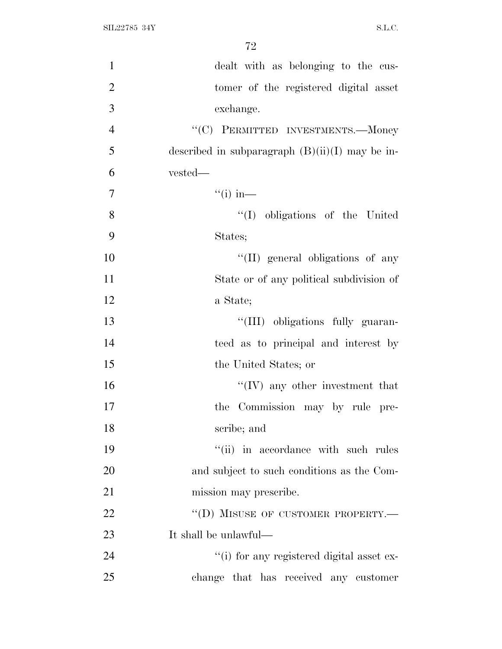| $\mathbf{1}$   | dealt with as belonging to the cus-               |
|----------------|---------------------------------------------------|
| $\mathbf{2}$   | tomer of the registered digital asset             |
| 3              | exchange.                                         |
| $\overline{4}$ | "(C) PERMITTED INVESTMENTS.—Money                 |
| 5              | described in subparagraph $(B)(ii)(I)$ may be in- |
| 6              | vested—                                           |
| $\overline{7}$ | $\lq($ i) in—                                     |
| 8              | "(I) obligations of the United                    |
| 9              | States;                                           |
| 10             | "(II) general obligations of any                  |
| 11             | State or of any political subdivision of          |
| 12             | a State;                                          |
| 13             | "(III) obligations fully guaran-                  |
| 14             | teed as to principal and interest by              |
| 15             | the United States; or                             |
| 16             | $\lq\lq (IV)$ any other investment that           |
| 17             | the Commission may by rule pre-                   |
| 18             | scribe; and                                       |
| 19             | "(ii) in accordance with such rules               |
| 20             | and subject to such conditions as the Com-        |
| 21             | mission may prescribe.                            |
| 22             | "(D) MISUSE OF CUSTOMER PROPERTY.-                |
| 23             | It shall be unlawful—                             |
| 24             | "(i) for any registered digital asset ex-         |
| 25             | change that has received any customer             |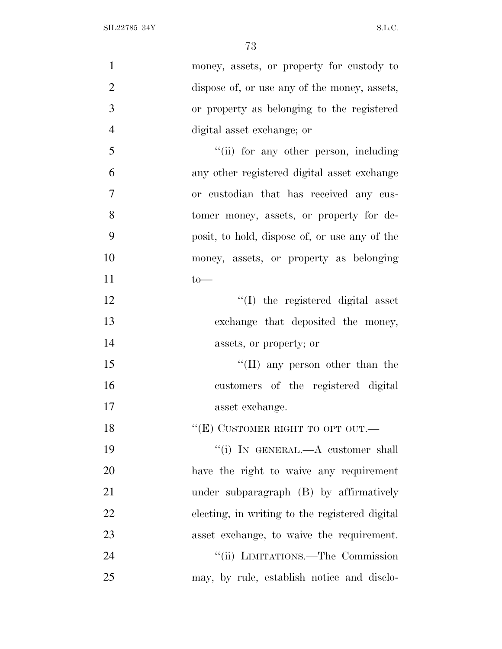| $\mathbf{1}$   | money, assets, or property for custody to      |
|----------------|------------------------------------------------|
| $\overline{2}$ | dispose of, or use any of the money, assets,   |
| 3              | or property as belonging to the registered     |
| $\overline{4}$ | digital asset exchange; or                     |
| 5              | "(ii) for any other person, including          |
| 6              | any other registered digital asset exchange    |
| $\overline{7}$ | or custodian that has received any cus-        |
| 8              | tomer money, assets, or property for de-       |
| 9              | posit, to hold, dispose of, or use any of the  |
| 10             | money, assets, or property as belonging        |
| 11             | $to-$                                          |
| 12             | $\lq\lq$ (I) the registered digital asset      |
| 13             | exchange that deposited the money,             |
| 14             | assets, or property; or                        |
| 15             | "(II) any person other than the                |
| 16             | customers of the registered digital            |
| 17             | asset exchange.                                |
| 18             | "(E) CUSTOMER RIGHT TO OPT OUT.-               |
| 19             | "(i) IN GENERAL.—A customer shall              |
| 20             | have the right to waive any requirement        |
| 21             | under subparagraph (B) by affirmatively        |
| 22             | electing, in writing to the registered digital |
| 23             | asset exchange, to waive the requirement.      |
| 24             | "(ii) LIMITATIONS.—The Commission              |
| 25             | may, by rule, establish notice and disclo-     |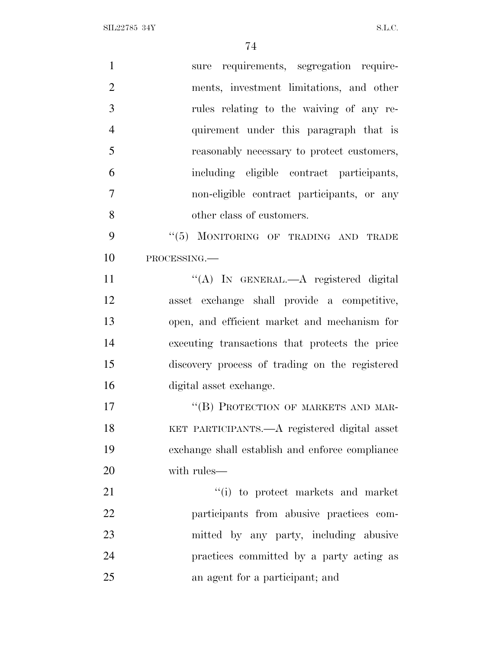| $\mathbf{1}$   | sure requirements, segregation require-         |
|----------------|-------------------------------------------------|
| $\overline{2}$ | ments, investment limitations, and other        |
| 3              | rules relating to the waiving of any re-        |
| $\overline{4}$ | quirement under this paragraph that is          |
| 5              | reasonably necessary to protect customers,      |
| 6              | including eligible contract participants,       |
| $\overline{7}$ | non-eligible contract participants, or any      |
| 8              | other class of customers.                       |
| 9              | "(5) MONITORING OF TRADING AND TRADE            |
| 10             | PROCESSING.                                     |
| 11             | "(A) IN GENERAL.—A registered digital           |
| 12             | asset exchange shall provide a competitive,     |
| 13             | open, and efficient market and mechanism for    |
| 14             | executing transactions that protects the price  |
| 15             | discovery process of trading on the registered  |
| 16             | digital asset exchange.                         |
| 17             | "(B) PROTECTION OF MARKETS AND MAR-             |
| 18             | KET PARTICIPANTS.—A registered digital asset    |
| 19             | exchange shall establish and enforce compliance |
| 20             | with rules—                                     |
| 21             | "(i) to protect markets and market              |
| 22             | participants from abusive practices com-        |
| 23             | mitted by any party, including abusive          |
| 24             | practices committed by a party acting as        |
| 25             | an agent for a participant; and                 |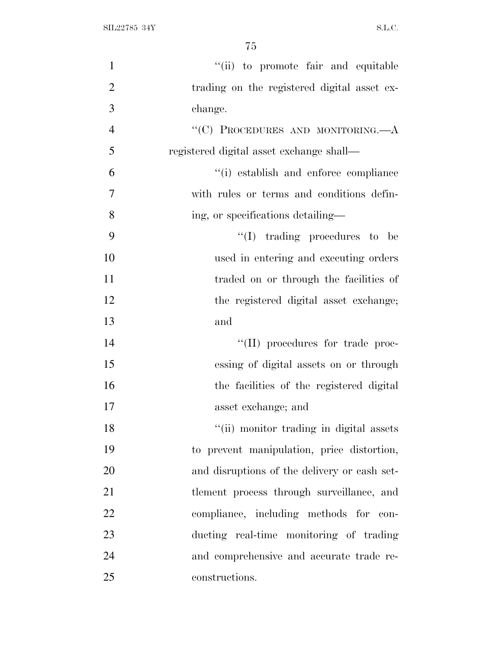| $\mathbf{1}$   | "(ii) to promote fair and equitable          |
|----------------|----------------------------------------------|
| $\overline{2}$ | trading on the registered digital asset ex-  |
| 3              | change.                                      |
| $\overline{4}$ | "(C) PROCEDURES AND MONITORING.-A            |
| 5              | registered digital asset exchange shall—     |
| 6              | "(i) establish and enforce compliance        |
| 7              | with rules or terms and conditions defin-    |
| 8              | ing, or specifications detailing—            |
| 9              | $\lq\lq$ (I) trading procedures to be        |
| 10             | used in entering and executing orders        |
| 11             | traded on or through the facilities of       |
| 12             | the registered digital asset exchange;       |
| 13             | and                                          |
| 14             | "(II) procedures for trade proc-             |
| 15             | essing of digital assets on or through       |
| 16             | the facilities of the registered digital     |
| 17             | asset exchange; and                          |
| 18             | "(ii) monitor trading in digital assets      |
| 19             | to prevent manipulation, price distortion,   |
| 20             | and disruptions of the delivery or cash set- |
| 21             | tlement process through surveillance, and    |
| 22             | compliance, including methods for con-       |
| 23             | ducting real-time monitoring of trading      |
| 24             | and comprehensive and accurate trade re-     |
| 25             | constructions.                               |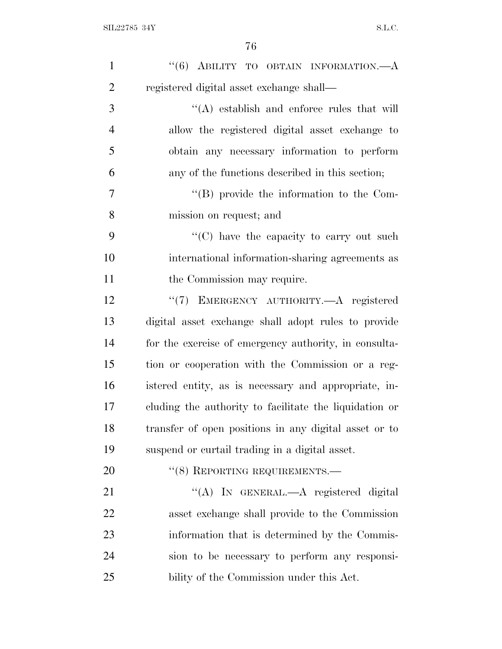| $\mathbf{1}$   | " $(6)$ ABILITY TO OBTAIN INFORMATION.— $A$            |
|----------------|--------------------------------------------------------|
| $\overline{2}$ | registered digital asset exchange shall—               |
| 3              | $\lq\lq$ establish and enforce rules that will         |
| $\overline{4}$ | allow the registered digital asset exchange to         |
| 5              | obtain any necessary information to perform            |
| 6              | any of the functions described in this section;        |
| 7              | $\lq\lq$ (B) provide the information to the Com-       |
| 8              | mission on request; and                                |
| 9              | $\lq\lq$ (C) have the capacity to carry out such       |
| 10             | international information-sharing agreements as        |
| 11             | the Commission may require.                            |
| 12             | "(7) EMERGENCY AUTHORITY.—A registered                 |
| 13             | digital asset exchange shall adopt rules to provide    |
| 14             | for the exercise of emergency authority, in consulta-  |
| 15             | tion or cooperation with the Commission or a reg-      |
| 16             | istered entity, as is necessary and appropriate, in-   |
| 17             | cluding the authority to facilitate the liquidation or |
| 18             | transfer of open positions in any digital asset or to  |
| 19             | suspend or curtail trading in a digital asset.         |
| 20             | "(8) REPORTING REQUIREMENTS.-                          |
| 21             | "(A) IN GENERAL.—A registered digital                  |
| 22             | asset exchange shall provide to the Commission         |
| 23             | information that is determined by the Commis-          |
| 24             | sion to be necessary to perform any responsi-          |
| 25             | bility of the Commission under this Act.               |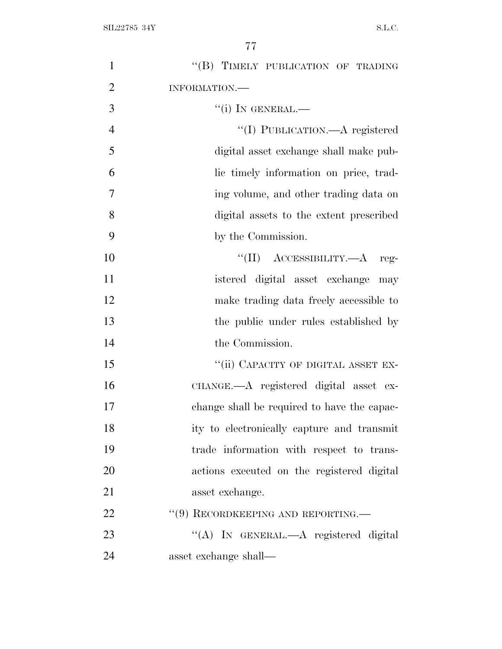| 1              | "(B) TIMELY PUBLICATION OF TRADING          |
|----------------|---------------------------------------------|
| $\overline{2}$ | INFORMATION.                                |
| 3              | $``(i)$ In GENERAL.—                        |
| $\overline{4}$ | "(I) PUBLICATION.—A registered              |
| 5              | digital asset exchange shall make pub-      |
| 6              | lic timely information on price, trad-      |
| 7              | ing volume, and other trading data on       |
| 8              | digital assets to the extent prescribed     |
| 9              | by the Commission.                          |
| 10             | $``(II)$ ACCESSIBILITY.—A reg-              |
| 11             | istered digital asset exchange may          |
| 12             | make trading data freely accessible to      |
| 13             | the public under rules established by       |
| 14             | the Commission.                             |
| 15             | "(ii) CAPACITY OF DIGITAL ASSET EX-         |
| 16             | CHANGE.—A registered digital asset ex-      |
| 17             | change shall be required to have the capac- |
| 18             | ity to electronically capture and transmit  |
| 19             | trade information with respect to trans-    |
| 20             | actions executed on the registered digital  |
| 21             | asset exchange.                             |
| 22             | "(9) RECORDKEEPING AND REPORTING.—          |
| 23             | "(A) IN GENERAL.—A registered digital       |
| 24             | asset exchange shall—                       |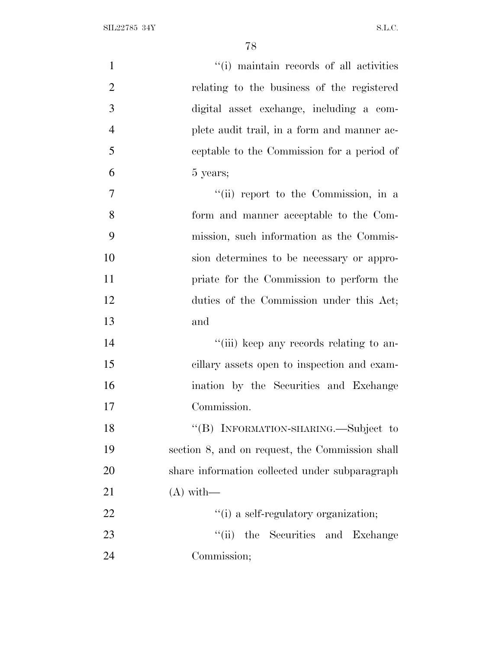| $\mathbf{1}$   | "(i) maintain records of all activities         |
|----------------|-------------------------------------------------|
| $\overline{2}$ | relating to the business of the registered      |
| 3              | digital asset exchange, including a com-        |
| $\overline{4}$ | plete audit trail, in a form and manner ac-     |
| 5              | ceptable to the Commission for a period of      |
| 6              | 5 years;                                        |
| $\overline{7}$ | "(ii) report to the Commission, in a            |
| 8              | form and manner acceptable to the Com-          |
| 9              | mission, such information as the Commis-        |
| 10             | sion determines to be necessary or appro-       |
| 11             | priate for the Commission to perform the        |
| 12             | duties of the Commission under this Act;        |
| 13             | and                                             |
| 14             | "(iii) keep any records relating to an-         |
| 15             | cillary assets open to inspection and exam-     |
| 16             | ination by the Securities and Exchange          |
| 17             | Commission.                                     |
| 18             | "(B) INFORMATION-SHARING.—Subject to            |
| 19             | section 8, and on request, the Commission shall |
| 20             | share information collected under subparagraph  |
| 21             | $(A)$ with —                                    |
| 22             | "(i) a self-regulatory organization;            |
| 23             | "(ii) the Securities and Exchange               |
| 24             | Commission;                                     |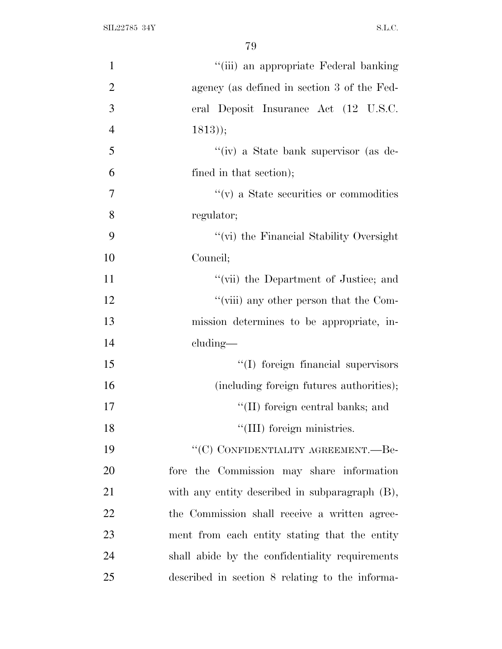| $\mathbf{1}$   | "(iii) an appropriate Federal banking           |
|----------------|-------------------------------------------------|
| $\overline{2}$ | agency (as defined in section 3 of the Fed-     |
| 3              | eral Deposit Insurance Act (12 U.S.C.           |
| $\overline{4}$ | $(1813)$ ;                                      |
| 5              | "(iv) a State bank supervisor (as de-           |
| 6              | fined in that section);                         |
| $\overline{7}$ | $``(v)$ a State securities or commodities       |
| 8              | regulator;                                      |
| 9              | "(vi) the Financial Stability Oversight         |
| 10             | Council;                                        |
| 11             | "(vii) the Department of Justice; and           |
| 12             | "(viii) any other person that the Com-          |
| 13             | mission determines to be appropriate, in-       |
| 14             | $cluding$ —                                     |
| 15             | "(I) foreign financial supervisors              |
| 16             | (including foreign futures authorities);        |
| 17             | "(II) foreign central banks; and                |
| 18             | "(III) foreign ministries.                      |
| 19             | "(C) CONFIDENTIALITY AGREEMENT.—Be-             |
| 20             | fore the Commission may share information       |
| 21             | with any entity described in subparagraph (B),  |
| 22             | the Commission shall receive a written agree-   |
| 23             | ment from each entity stating that the entity   |
| 24             | shall abide by the confidentiality requirements |
| 25             | described in section 8 relating to the informa- |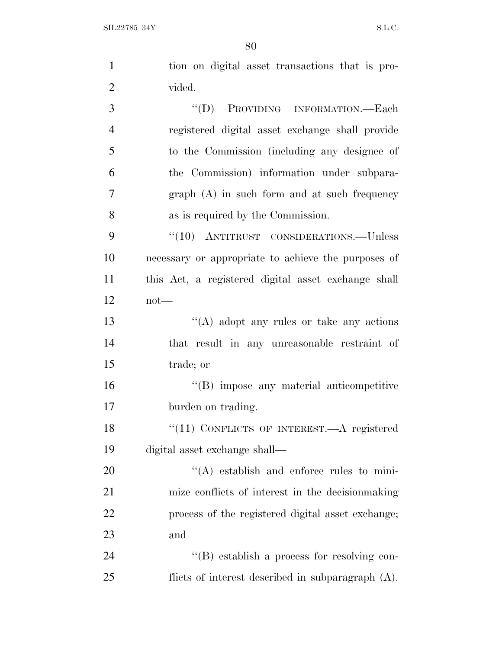$SLL22785$  34Y S.L.C.

| $\mathbf{1}$   | tion on digital asset transactions that is pro-      |
|----------------|------------------------------------------------------|
| $\overline{2}$ | vided.                                               |
| 3              | "(D) PROVIDING INFORMATION.—Each                     |
| $\overline{4}$ | registered digital asset exchange shall provide      |
| 5              | to the Commission (including any designee of         |
| 6              | the Commission) information under subpara-           |
| $\overline{7}$ | $graph(A)$ in such form and at such frequency        |
| 8              | as is required by the Commission.                    |
| 9              | $``(10)$ ANTITRUST CONSIDERATIONS.—Unless            |
| 10             | necessary or appropriate to achieve the purposes of  |
| 11             | this Act, a registered digital asset exchange shall  |
| 12             | $not$ —                                              |
| 13             | "(A) adopt any rules or take any actions             |
| 14             | that result in any unreasonable restraint of         |
| 15             | trade; or                                            |
| 16             | "(B) impose any material anticompetitive             |
| 17             | burden on trading.                                   |
| 18             | "(11) CONFLICTS OF INTEREST.—A registered            |
| 19             | digital asset exchange shall—                        |
| 20             | $\lq\lq$ establish and enforce rules to mini-        |
| 21             | mize conflicts of interest in the decision making    |
| 22             | process of the registered digital asset exchange;    |
| 23             | and                                                  |
| 24             | "(B) establish a process for resolving con-          |
| 25             | flicts of interest described in subparagraph $(A)$ . |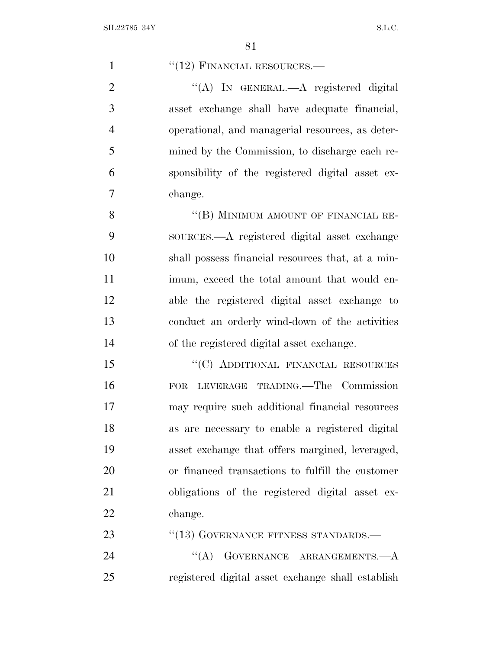| $\mathbf{1}$   | $``(12)$ FINANCIAL RESOURCES.—                    |
|----------------|---------------------------------------------------|
| $\overline{2}$ | "(A) IN GENERAL.—A registered digital             |
| 3              | asset exchange shall have adequate financial,     |
| $\overline{4}$ | operational, and managerial resources, as deter-  |
| 5              | mined by the Commission, to discharge each re-    |
| 6              | sponsibility of the registered digital asset ex-  |
| 7              | change.                                           |
| 8              | "(B) MINIMUM AMOUNT OF FINANCIAL RE-              |
| 9              | sources.—A registered digital asset exchange      |
| 10             | shall possess financial resources that, at a min- |
| 11             | imum, exceed the total amount that would en-      |
| 12             | able the registered digital asset exchange to     |
| 13             | conduct an orderly wind-down of the activities    |
| 14             | of the registered digital asset exchange.         |
| 15             | "(C) ADDITIONAL FINANCIAL RESOURCES               |
| 16             | LEVERAGE TRADING. The Commission<br><b>FOR</b>    |
| 17             | may require such additional financial resources   |
| 18             | as are necessary to enable a registered digital   |
| 19             | asset exchange that offers margined, leveraged,   |
| 20             | or financed transactions to fulfill the customer  |
| 21             | obligations of the registered digital asset ex-   |
| 22             | change.                                           |
| 23             | $``(13)$ GOVERNANCE FITNESS STANDARDS.—           |
| 24             | $\lq\lq (A)$<br>GOVERNANCE ARRANGEMENTS.- A       |
| 25             | registered digital asset exchange shall establish |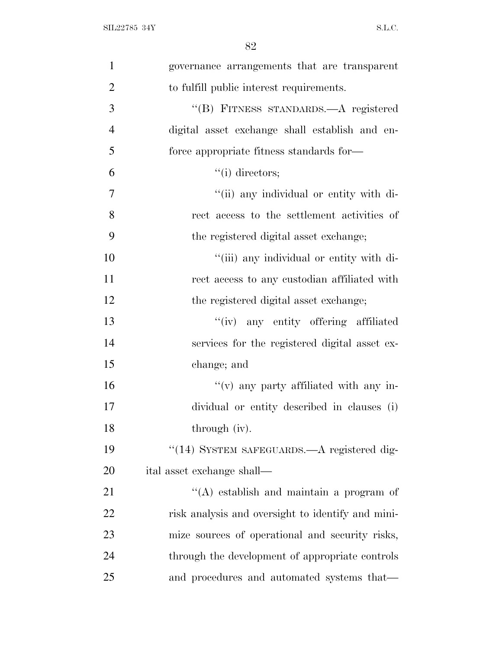| $\mathbf{1}$   | governance arrangements that are transparent      |
|----------------|---------------------------------------------------|
| $\overline{2}$ | to fulfill public interest requirements.          |
| 3              | "(B) FITNESS STANDARDS.—A registered              |
| $\overline{4}$ | digital asset exchange shall establish and en-    |
| 5              | force appropriate fitness standards for—          |
| 6              | $``(i)$ directors;                                |
| $\overline{7}$ | "(ii) any individual or entity with di-           |
| 8              | rect access to the settlement activities of       |
| 9              | the registered digital asset exchange;            |
| 10             | "(iii) any individual or entity with di-          |
| 11             | rect access to any custodian affiliated with      |
| 12             | the registered digital asset exchange;            |
| 13             | "(iv) any entity offering affiliated              |
| 14             | services for the registered digital asset ex-     |
| 15             | change; and                                       |
| 16             | $f'(v)$ any party affiliated with any in-         |
| 17             | dividual or entity described in clauses (i)       |
| 18             | through (iv).                                     |
| 19             | "(14) SYSTEM SAFEGUARDS.—A registered dig-        |
| 20             | ital asset exchange shall—                        |
| 21             | $\lq\lq$ establish and maintain a program of      |
| 22             | risk analysis and oversight to identify and mini- |
| 23             | mize sources of operational and security risks,   |
| 24             | through the development of appropriate controls   |
| 25             | and procedures and automated systems that—        |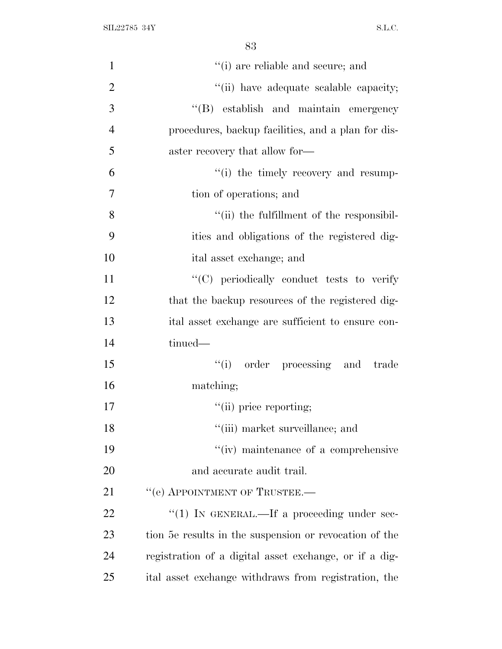| $\mathbf{1}$   | "(i) are reliable and secure; and                      |
|----------------|--------------------------------------------------------|
| $\overline{2}$ | "(ii) have adequate scalable capacity;                 |
| 3              | "(B) establish and maintain emergency                  |
| $\overline{4}$ | procedures, backup facilities, and a plan for dis-     |
| 5              | aster recovery that allow for—                         |
| 6              | "(i) the timely recovery and resump-                   |
| $\overline{7}$ | tion of operations; and                                |
| 8              | "(ii) the fulfillment of the responsibil-              |
| 9              | ities and obligations of the registered dig-           |
| 10             | ital asset exchange; and                               |
| 11             | "(C) periodically conduct tests to verify              |
| 12             | that the backup resources of the registered dig-       |
| 13             | ital asset exchange are sufficient to ensure con-      |
| 14             | tinued—                                                |
| 15             | "(i) order processing and trade                        |
| 16             | matching;                                              |
| 17             | "(ii) price reporting;                                 |
| 18             | "(iii) market surveillance; and                        |
| 19             | $\lq\lq$ maintenance of a comprehensive                |
| 20             | and accurate audit trail.                              |
| 21             | "(e) APPOINTMENT OF TRUSTEE.-                          |
| 22             | "(1) IN GENERAL.—If a proceeding under sec-            |
| 23             | tion 5e results in the suspension or revocation of the |
| 24             | registration of a digital asset exchange, or if a dig- |
| 25             | ital asset exchange withdraws from registration, the   |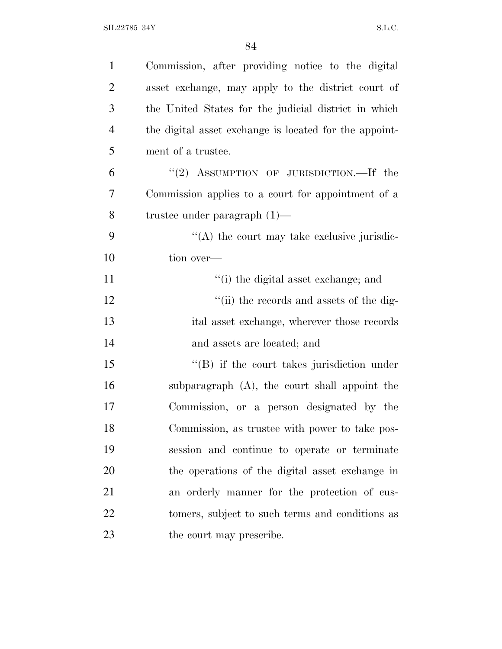| $\mathbf{1}$   | Commission, after providing notice to the digital      |
|----------------|--------------------------------------------------------|
| $\overline{2}$ | asset exchange, may apply to the district court of     |
| 3              | the United States for the judicial district in which   |
| $\overline{4}$ | the digital asset exchange is located for the appoint- |
| 5              | ment of a trustee.                                     |
| 6              | "(2) ASSUMPTION OF JURISDICTION.—If the                |
| 7              | Commission applies to a court for appointment of a     |
| 8              | trustee under paragraph $(1)$ —                        |
| 9              | $\lq\lq$ the court may take exclusive jurisdic-        |
| 10             | tion over—                                             |
| 11             | "(i) the digital asset exchange; and                   |
| 12             | "(ii) the records and assets of the dig-               |
| 13             | ital asset exchange, wherever those records            |
| 14             | and assets are located; and                            |
| 15             | $\lq\lq (B)$ if the court takes jurisdiction under     |
| 16             | subparagraph $(A)$ , the court shall appoint the       |
| 17             | Commission, or a person designated by the              |
| 18             | Commission, as trustee with power to take pos-         |
| 19             | session and continue to operate or terminate           |
| 20             | the operations of the digital asset exchange in        |
| 21             | an orderly manner for the protection of cus-           |
| 22             | tomers, subject to such terms and conditions as        |
| 23             | the court may prescribe.                               |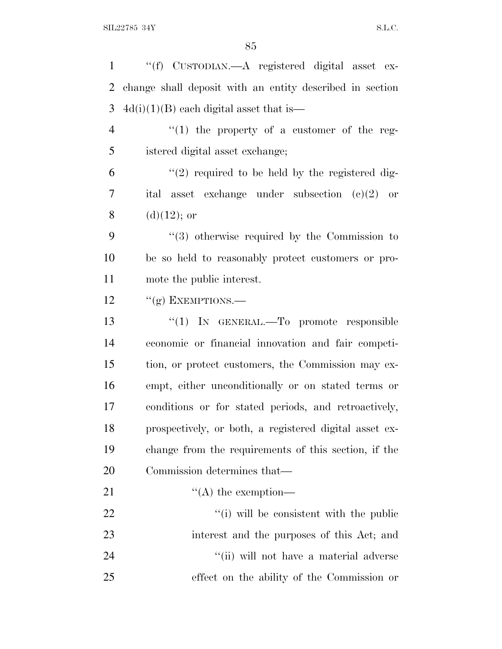| $\mathbf{1}$   | "(f) CUSTODIAN.—A registered digital asset ex-           |
|----------------|----------------------------------------------------------|
| 2              | change shall deposit with an entity described in section |
| 3              | $4d(i)(1)(B)$ each digital asset that is—                |
| $\overline{4}$ | "(1) the property of a customer of the reg-              |
| 5              | istered digital asset exchange;                          |
| 6              | $\lq(2)$ required to be held by the registered dig-      |
| 7              | asset exchange under subsection $(e)(2)$ or<br>ital      |
| 8              | $(d)(12)$ ; or                                           |
| 9              | $(3)$ otherwise required by the Commission to            |
| 10             | be so held to reasonably protect customers or pro-       |
| 11             | mote the public interest.                                |
| 12             | " $(g)$ EXEMPTIONS.—                                     |
| 13             | "(1) IN GENERAL.—To promote responsible                  |
| 14             | economic or financial innovation and fair competi-       |
| 15             | tion, or protect customers, the Commission may ex-       |
| 16             | empt, either unconditionally or on stated terms or       |
| 17             | conditions or for stated periods, and retroactively,     |
| 18             | prospectively, or both, a registered digital asset ex-   |
| 19             | change from the requirements of this section, if the     |
| 20             | Commission determines that—                              |
| 21             | $\lq\lq$ the exemption—                                  |
| 22             | "(i) will be consistent with the public                  |
| 23             | interest and the purposes of this Act; and               |
| 24             | "(ii) will not have a material adverse                   |
| 25             | effect on the ability of the Commission or               |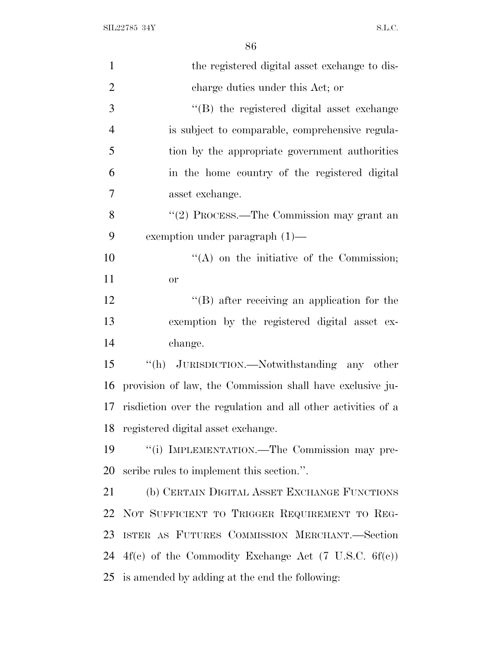$\text{SIL} 22785 \text{ } 34\text{Y} \tag{S.L.C.}$ 

| $\mathbf{1}$   | the registered digital asset exchange to dis-                |
|----------------|--------------------------------------------------------------|
| $\overline{2}$ | charge duties under this Act; or                             |
| 3              | "(B) the registered digital asset exchange                   |
| $\overline{4}$ | is subject to comparable, comprehensive regula-              |
| 5              | tion by the appropriate government authorities               |
| 6              | in the home country of the registered digital                |
| 7              | asset exchange.                                              |
| 8              | "(2) PROCESS.—The Commission may grant an                    |
| 9              | exemption under paragraph $(1)$ —                            |
| 10             | $\lq\lq$ on the initiative of the Commission;                |
| 11             | <b>or</b>                                                    |
| 12             | $\lq\lq$ after receiving an application for the              |
| 13             | exemption by the registered digital asset ex-                |
| 14             | change.                                                      |
| 15             | "(h) JURISDICTION.—Notwithstanding any other                 |
| 16             | provision of law, the Commission shall have exclusive ju-    |
| 17             | risdiction over the regulation and all other activities of a |
| 18             | registered digital asset exchange.                           |
| 19             | "(i) IMPLEMENTATION.—The Commission may pre-                 |
| 20             | scribe rules to implement this section.".                    |
| 21             | (b) CERTAIN DIGITAL ASSET EXCHANGE FUNCTIONS                 |
| 22             | NOT SUFFICIENT TO TRIGGER REQUIREMENT TO REG-                |
| 23             | ISTER AS FUTURES COMMISSION MERCHANT.-Section                |
| 24             | $4f(c)$ of the Commodity Exchange Act (7 U.S.C. 6f(c))       |
| 25             | is amended by adding at the end the following:               |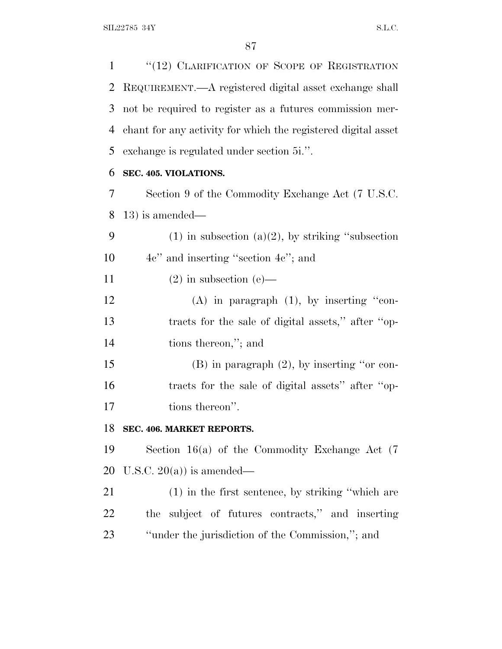1 "(12) CLARIFICATION OF SCOPE OF REGISTRATION REQUIREMENT.—A registered digital asset exchange shall not be required to register as a futures commission mer- chant for any activity for which the registered digital asset exchange is regulated under section 5i.''.

# **SEC. 405. VIOLATIONS.**

 Section 9 of the Commodity Exchange Act (7 U.S.C. 13) is amended—

| - 9 | $(1)$ in subsection $(a)(2)$ , by striking "subsection" |
|-----|---------------------------------------------------------|
| 10  | $4e$ " and inserting "section $4e$ "; and               |
|     |                                                         |

11 (2) in subsection (e)—

12 (A) in paragraph (1), by inserting "con- tracts for the sale of digital assets,'' after ''op-tions thereon,''; and

 (B) in paragraph (2), by inserting ''or con- tracts for the sale of digital assets'' after ''op-17 tions thereon''.

#### **SEC. 406. MARKET REPORTS.**

 Section 16(a) of the Commodity Exchange Act (7 20 U.S.C.  $20(a)$  is amended—

 (1) in the first sentence, by striking ''which are the subject of futures contracts,'' and inserting ''under the jurisdiction of the Commission,''; and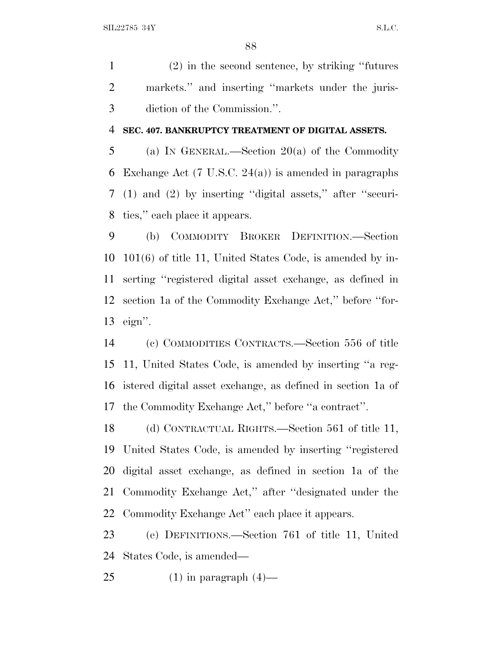(2) in the second sentence, by striking ''futures markets.'' and inserting ''markets under the juris-diction of the Commission.''.

#### **SEC. 407. BANKRUPTCY TREATMENT OF DIGITAL ASSETS.**

 (a) I<sup>N</sup> GENERAL.—Section 20(a) of the Commodity Exchange Act (7 U.S.C. 24(a)) is amended in paragraphs (1) and (2) by inserting ''digital assets,'' after ''securi-ties,'' each place it appears.

 (b) COMMODITY BROKER DEFINITION.—Section 101(6) of title 11, United States Code, is amended by in- serting ''registered digital asset exchange, as defined in section 1a of the Commodity Exchange Act,'' before ''for-eign''.

 (c) COMMODITIES CONTRACTS.—Section 556 of title 11, United States Code, is amended by inserting ''a reg- istered digital asset exchange, as defined in section 1a of the Commodity Exchange Act,'' before ''a contract''.

 (d) CONTRACTUAL RIGHTS.—Section 561 of title 11, United States Code, is amended by inserting ''registered digital asset exchange, as defined in section 1a of the Commodity Exchange Act,'' after ''designated under the Commodity Exchange Act'' each place it appears.

 (e) DEFINITIONS.—Section 761 of title 11, United States Code, is amended—

25 (1) in paragraph  $(4)$ —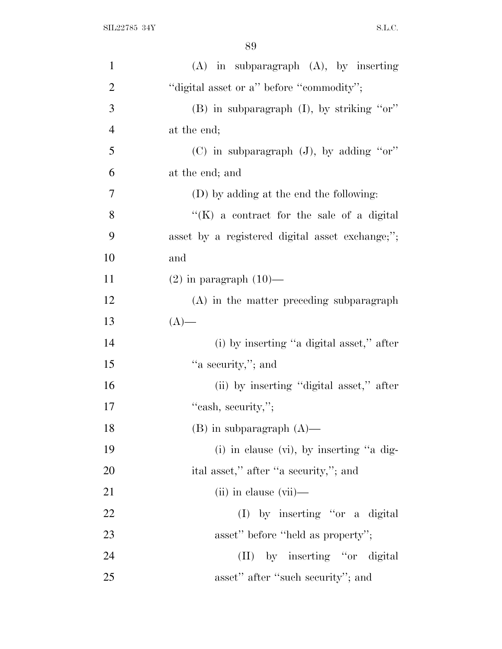| $\mathbf{1}$   | $(A)$ in subparagraph $(A)$ , by inserting      |
|----------------|-------------------------------------------------|
| $\overline{2}$ | "digital asset or a" before "commodity";        |
| 3              | (B) in subparagraph (I), by striking "or"       |
| 4              | at the end;                                     |
| 5              | (C) in subparagraph $(J)$ , by adding "or"      |
| 6              | at the end; and                                 |
| 7              | (D) by adding at the end the following:         |
| 8              | "(K) a contract for the sale of a digital       |
| 9              | asset by a registered digital asset exchange;"; |
| 10             | and                                             |
| 11             | $(2)$ in paragraph $(10)$ —                     |
| 12             | (A) in the matter preceding subparagraph        |
| 13             | $(A)$ —                                         |
| 14             | (i) by inserting "a digital asset," after       |
| 15             | "a security,"; and                              |
| 16             | (ii) by inserting "digital asset," after        |
| 17             | "cash, security,";                              |
| 18             | $(B)$ in subparagraph $(A)$ —                   |
| 19             | $(i)$ in clause $(vi)$ , by inserting "a dig-   |
| 20             | ital asset," after "a security,"; and           |
| 21             | $(ii)$ in clause $(vii)$ —                      |
| <u>22</u>      | $(I)$ by inserting "or a digital                |
| 23             | asset" before "held as property";               |
| 24             | (II) by inserting "or digital                   |
| 25             | asset" after "such security"; and               |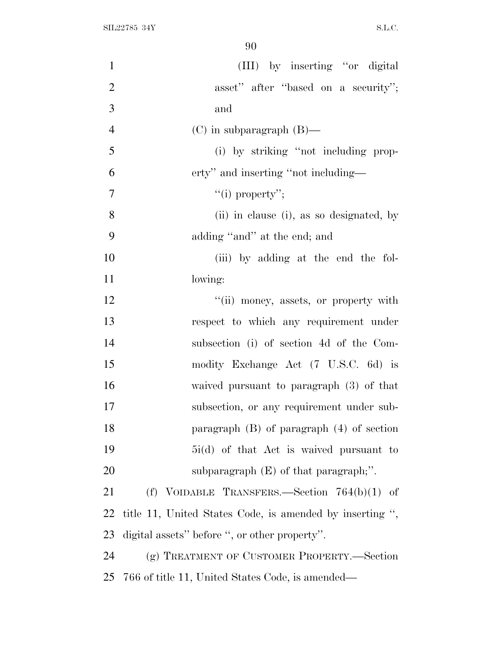| $\mathbf{1}$   | (III) by inserting "or digital                           |
|----------------|----------------------------------------------------------|
| $\overline{2}$ | asset" after "based on a security";                      |
| 3              | and                                                      |
| $\overline{4}$ | $(C)$ in subparagraph $(B)$ —                            |
| 5              | (i) by striking "not including prop-                     |
| 6              | erty" and inserting "not including—                      |
| 7              | "(i) property";                                          |
| 8              | (ii) in clause (i), as so designated, by                 |
| 9              | adding "and" at the end; and                             |
| 10             | (iii) by adding at the end the fol-                      |
| 11             | lowing:                                                  |
| 12             | "(ii) money, assets, or property with                    |
| 13             | respect to which any requirement under                   |
| 14             | subsection (i) of section 4d of the Com-                 |
| 15             | modity Exchange Act (7 U.S.C. 6d) is                     |
| 16             | waived pursuant to paragraph $(3)$ of that               |
| 17             | subsection, or any requirement under sub-                |
| 18             | paragraph $(B)$ of paragraph $(4)$ of section            |
| 19             | 5i(d) of that Act is waived pursuant to                  |
| 20             | subparagraph $(E)$ of that paragraph;".                  |
| 21             | (f) VOIDABLE TRANSFERS.—Section $764(b)(1)$ of           |
| 22             | title 11, United States Code, is amended by inserting ", |
| 23             | digital assets" before ", or other property".            |
| 24             | (g) TREATMENT OF CUSTOMER PROPERTY.—Section              |
| 25             | 766 of title 11, United States Code, is amended—         |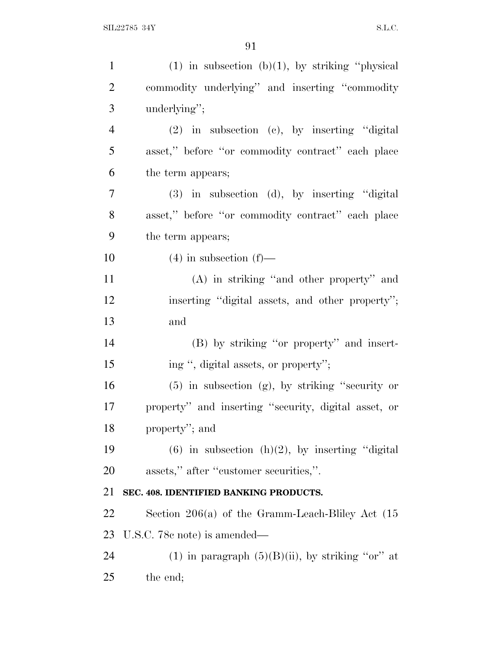| $\mathbf{1}$   | $(1)$ in subsection $(b)(1)$ , by striking "physical  |
|----------------|-------------------------------------------------------|
| $\overline{2}$ | commodity underlying" and inserting "commodity        |
| 3              | underlying";                                          |
| $\overline{4}$ | $(2)$ in subsection $(e)$ , by inserting "digital     |
| 5              | asset," before "or commodity contract" each place     |
| 6              | the term appears;                                     |
| $\tau$         | $(3)$ in subsection $(d)$ , by inserting "digital     |
| 8              | asset," before "or commodity contract" each place     |
| 9              | the term appears;                                     |
| 10             | $(4)$ in subsection $(f)$ —                           |
| 11             | $(A)$ in striking "and other property" and            |
| 12             | inserting "digital assets, and other property";       |
| 13             | and                                                   |
| 14             | (B) by striking "or property" and insert-             |
| 15             | ing ", digital assets, or property";                  |
| 16             | $(5)$ in subsection $(g)$ , by striking "security or  |
| 17             | property" and inserting "security, digital asset, or  |
| 18             | property"; and                                        |
| 19             | $(6)$ in subsection $(h)(2)$ , by inserting "digital" |
| 20             | assets," after "customer securities,".                |
| 21             | SEC. 408. IDENTIFIED BANKING PRODUCTS.                |
| 22             | Section $206(a)$ of the Gramm-Leach-Bliley Act $(15)$ |
| 23             | U.S.C. 78c note) is amended—                          |
| 24             | (1) in paragraph $(5)(B)(ii)$ , by striking "or" at   |
| 25             | the end;                                              |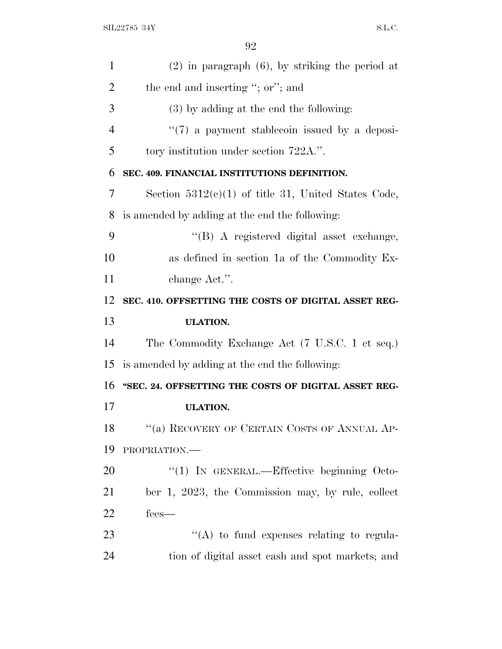| 1              | $(2)$ in paragraph $(6)$ , by striking the period at  |
|----------------|-------------------------------------------------------|
| $\overline{2}$ | the end and inserting "; or"; and                     |
| 3              | $(3)$ by adding at the end the following:             |
| $\overline{4}$ | $\lq(7)$ a payment stablecoin issued by a deposi-     |
| 5              | tory institution under section 722A.".                |
| 6              | SEC. 409. FINANCIAL INSTITUTIONS DEFINITION.          |
| 7              | Section $5312(c)(1)$ of title 31, United States Code, |
| 8              | is amended by adding at the end the following:        |
| 9              | "(B) A registered digital asset exchange,             |
| 10             | as defined in section 1a of the Commodity Ex-         |
| 11             | change Act.".                                         |
| 12             | SEC. 410. OFFSETTING THE COSTS OF DIGITAL ASSET REG-  |
|                |                                                       |
| 13             | <b>ULATION.</b>                                       |
| 14             | The Commodity Exchange Act (7 U.S.C. 1 et seq.)       |
| 15             | is amended by adding at the end the following:        |
| 16             | "SEC. 24. OFFSETTING THE COSTS OF DIGITAL ASSET REG-  |
| 17             | <b>ULATION.</b>                                       |
| 18             | "(a) RECOVERY OF CERTAIN COSTS OF ANNUAL AP-          |
| 19             | PROPRIATION.                                          |
| 20             | "(1) IN GENERAL.—Effective beginning Octo-            |
| 21             | ber 1, 2023, the Commission may, by rule, collect     |
| 22             | fees—                                                 |
| 23             | $\lq\lq$ to fund expenses relating to regula-         |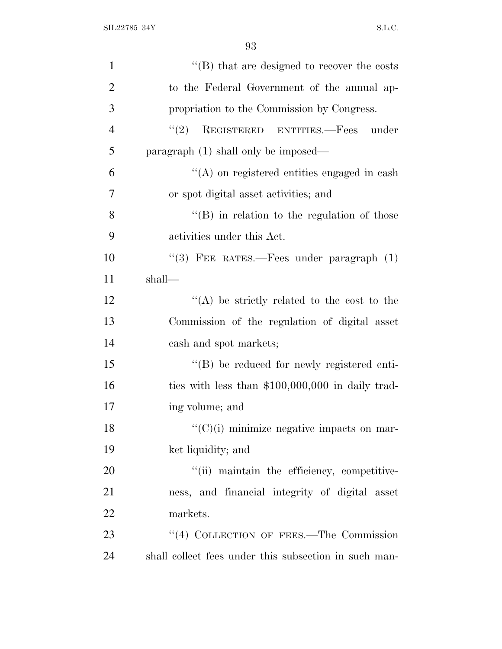| $\mathbf{1}$   | $\lq\lq$ that are designed to recover the costs       |
|----------------|-------------------------------------------------------|
| $\overline{2}$ | to the Federal Government of the annual ap-           |
| 3              | propriation to the Commission by Congress.            |
| $\overline{4}$ | REGISTERED ENTITIES.-Fees under<br>(2)                |
| 5              | $\alpha$ paragraph $(1)$ shall only be imposed—       |
| 6              | $\lq\lq$ on registered entities engaged in cash       |
| 7              | or spot digital asset activities; and                 |
| 8              | "(B) in relation to the regulation of those           |
| 9              | activities under this Act.                            |
| 10             | "(3) FEE RATES.—Fees under paragraph $(1)$            |
| 11             | shall—                                                |
| 12             | "(A) be strictly related to the cost to the           |
| 13             | Commission of the regulation of digital asset         |
| 14             | cash and spot markets;                                |
| 15             | "(B) be reduced for newly registered enti-            |
| 16             | ties with less than $$100,000,000$ in daily trad-     |
| 17             | ing volume; and                                       |
| 18             | $\lq\lq$ (C)(i) minimize negative impacts on mar-     |
| 19             | ket liquidity; and                                    |
| 20             | "(ii) maintain the efficiency, competitive-           |
| 21             | ness, and financial integrity of digital asset        |
| 22             | markets.                                              |
| 23             | "(4) COLLECTION OF FEES.—The Commission               |
| 24             | shall collect fees under this subsection in such man- |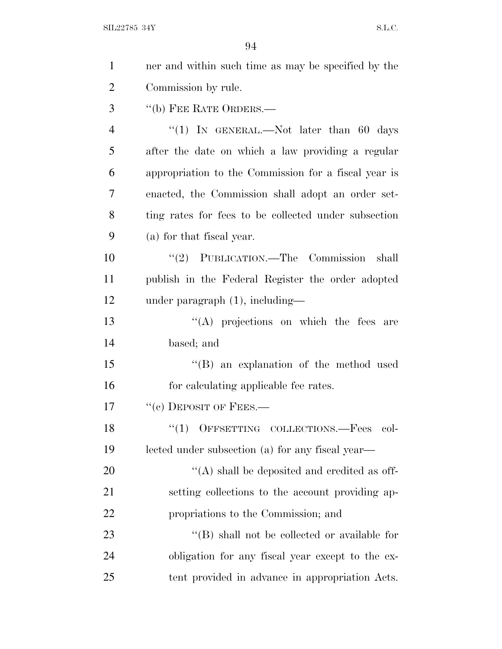| $\mathbf{1}$   | ner and within such time as may be specified by the  |
|----------------|------------------------------------------------------|
| $\overline{2}$ | Commission by rule.                                  |
| 3              | "(b) FEE RATE ORDERS.—                               |
| 4              | "(1) IN GENERAL.—Not later than 60 days              |
| 5              | after the date on which a law providing a regular    |
| 6              | appropriation to the Commission for a fiscal year is |
| 7              | enacted, the Commission shall adopt an order set-    |
| 8              | ting rates for fees to be collected under subsection |
| 9              | (a) for that fiscal year.                            |
| 10             | "(2) PUBLICATION.—The Commission shall               |
| 11             | publish in the Federal Register the order adopted    |
| 12             | under paragraph $(1)$ , including—                   |
| 13             | $\lq\lq$ projections on which the fees are           |
| 14             | based; and                                           |
| 15             | "(B) an explanation of the method used               |
| 16             | for calculating applicable fee rates.                |
| 17             | $``(c)$ DEPOSIT OF FEES.—                            |
| 18             | $(1)$ OFFSETTING COLLECTIONS. Fees col-              |
| 19             | lected under subsection (a) for any fiscal year—     |
| 20             | $\lq\lq$ shall be deposited and credited as off-     |
| 21             | setting collections to the account providing ap-     |
| 22             | propriations to the Commission; and                  |
| 23             | $\lq\lq$ (B) shall not be collected or available for |
| 24             | obligation for any fiscal year except to the ex-     |
| 25             | tent provided in advance in appropriation Acts.      |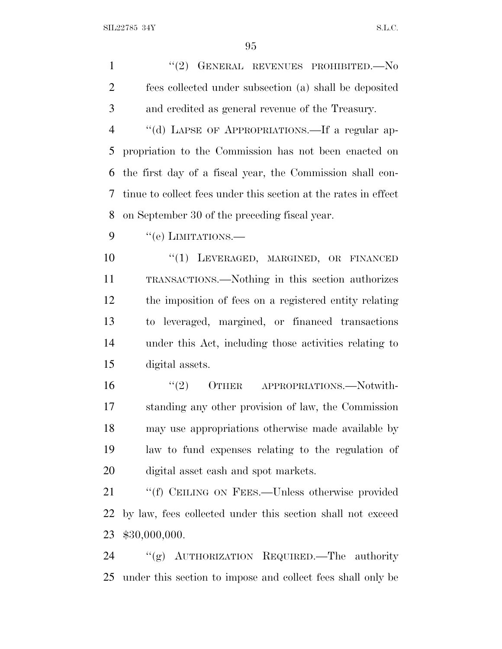SIL22785 34Y S.L.C.

1 "(2) GENERAL REVENUES PROHIBITED. No fees collected under subsection (a) shall be deposited and credited as general revenue of the Treasury. 4 "(d) LAPSE OF APPROPRIATIONS.—If a regular ap- propriation to the Commission has not been enacted on the first day of a fiscal year, the Commission shall con- tinue to collect fees under this section at the rates in effect on September 30 of the preceding fiscal year.  $9 \t``(e)$  LIMITATIONS.— 10 "(1) LEVERAGED, MARGINED, OR FINANCED TRANSACTIONS.—Nothing in this section authorizes the imposition of fees on a registered entity relating to leveraged, margined, or financed transactions under this Act, including those activities relating to digital assets. 16 "(2) OTHER APPROPRIATIONS.—Notwith- standing any other provision of law, the Commission may use appropriations otherwise made available by law to fund expenses relating to the regulation of digital asset cash and spot markets. 21 ""(f) CEILING ON FEES.—Unless otherwise provided by law, fees collected under this section shall not exceed \$30,000,000. ''(g) AUTHORIZATION REQUIRED.—The authority

under this section to impose and collect fees shall only be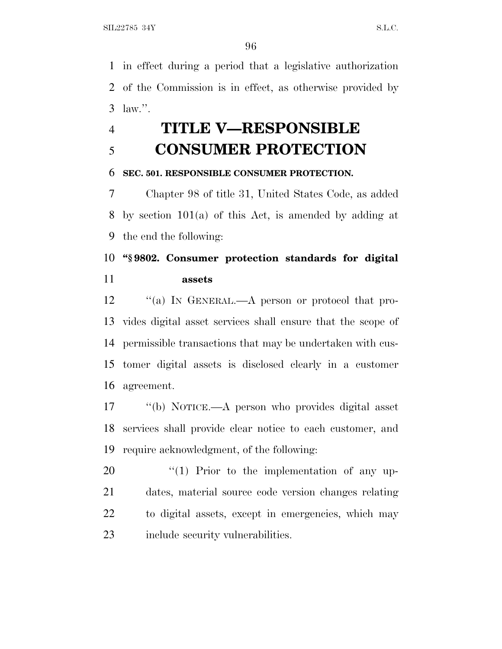in effect during a period that a legislative authorization of the Commission is in effect, as otherwise provided by law.''.

# **TITLE V—RESPONSIBLE CONSUMER PROTECTION**

#### **SEC. 501. RESPONSIBLE CONSUMER PROTECTION.**

 Chapter 98 of title 31, United States Code, as added by section 101(a) of this Act, is amended by adding at the end the following:

# **''§ 9802. Consumer protection standards for digital assets**

12 "(a) In GENERAL.—A person or protocol that pro- vides digital asset services shall ensure that the scope of permissible transactions that may be undertaken with cus- tomer digital assets is disclosed clearly in a customer agreement.

 ''(b) NOTICE.—A person who provides digital asset services shall provide clear notice to each customer, and require acknowledgment, of the following:

 $\frac{1}{20}$   $\frac{1}{20}$  Prior to the implementation of any up- dates, material source code version changes relating to digital assets, except in emergencies, which may 23 include security vulnerabilities.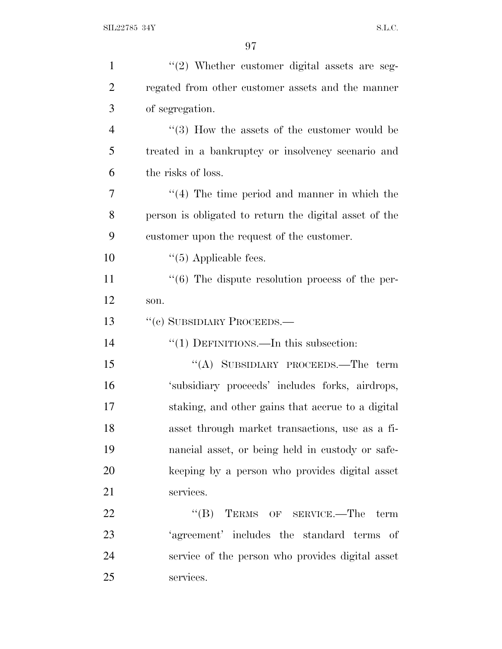| $\mathbf{1}$   | $"(2)$ Whether customer digital assets are seg-                  |
|----------------|------------------------------------------------------------------|
| $\overline{2}$ | regated from other customer assets and the manner                |
| 3              | of segregation.                                                  |
| $\overline{4}$ | $\cdot\cdot$ (3) How the assets of the customer would be         |
| 5              | treated in a bankruptcy or insolvency scenario and               |
| 6              | the risks of loss.                                               |
| 7              | $\cdot$ (4) The time period and manner in which the              |
| 8              | person is obligated to return the digital asset of the           |
| 9              | customer upon the request of the customer.                       |
| 10             | $\cdot$ (5) Applicable fees.                                     |
| 11             | $\cdot\cdot\cdot$ (6) The dispute resolution process of the per- |
| 12             | son.                                                             |
| 13             | "(c) SUBSIDIARY PROCEEDS.—                                       |
| 14             | "(1) DEFINITIONS.—In this subsection:                            |
| 15             | "(A) SUBSIDIARY PROCEEDS.—The term                               |
| 16             | 'subsidiary proceeds' includes forks, airdrops,                  |
| 17             | staking, and other gains that accrue to a digital                |
| 18             | asset through market transactions, use as a fi-                  |
| 19             | nancial asset, or being held in custody or safe-                 |
| 20             | keeping by a person who provides digital asset                   |
| 21             | services.                                                        |
| 22             | $\lq\lq (B)$ TERMS OF SERVICE.—The term                          |
| 23             | 'agreement' includes the standard terms of                       |
| 24             | service of the person who provides digital asset                 |
| 25             | services.                                                        |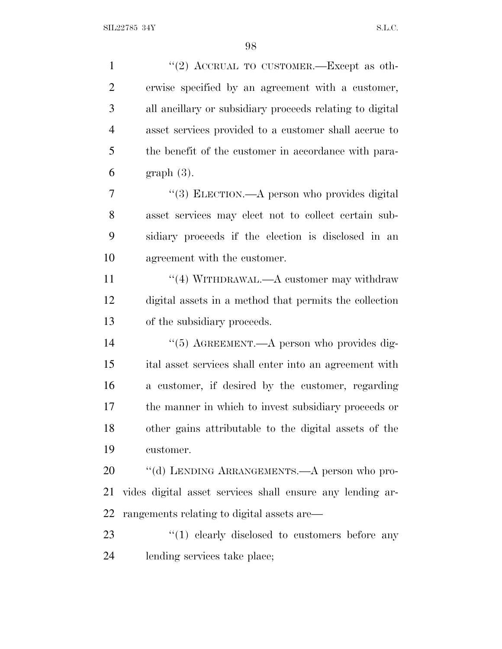| $\mathbf{1}$   | "(2) ACCRUAL TO CUSTOMER.—Except as oth-                  |
|----------------|-----------------------------------------------------------|
| $\overline{2}$ | erwise specified by an agreement with a customer,         |
| 3              | all ancillary or subsidiary proceeds relating to digital  |
| $\overline{4}$ | asset services provided to a customer shall accrue to     |
| 5              | the benefit of the customer in accordance with para-      |
| 6              | $graph(3)$ .                                              |
| 7              | "(3) ELECTION.—A person who provides digital              |
| 8              | asset services may elect not to collect certain sub-      |
| 9              | sidiary proceeds if the election is disclosed in an       |
| 10             | agreement with the customer.                              |
| 11             | "(4) WITHDRAWAL.—A customer may withdraw                  |
| 12             | digital assets in a method that permits the collection    |
| 13             | of the subsidiary proceeds.                               |
| 14             | "(5) AGREEMENT.—A person who provides dig-                |
| 15             | ital asset services shall enter into an agreement with    |
| 16             | a customer, if desired by the customer, regarding         |
| 17             | the manner in which to invest subsidiary proceeds or      |
| 18             | other gains attributable to the digital assets of the     |
| 19             | customer.                                                 |
| 20             | "(d) LENDING ARRANGEMENTS.—A person who pro-              |
| 21             | vides digital asset services shall ensure any lending ar- |
| 22             | rangements relating to digital assets are—                |
| 23             | $(1)$ clearly disclosed to customers before any           |
| 24             | lending services take place;                              |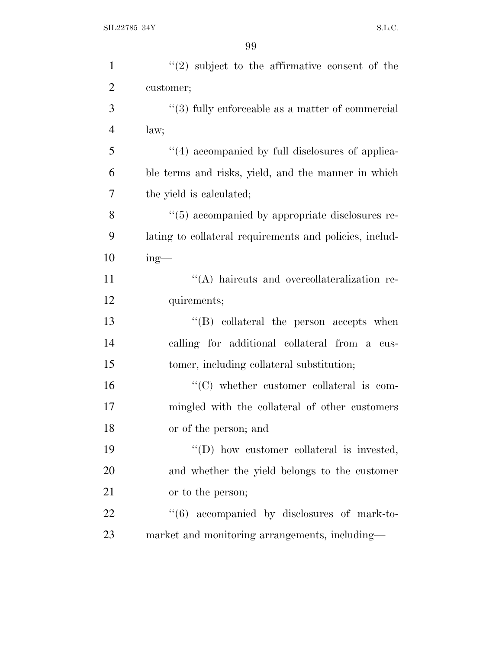| $\mathbf{1}$   | $(2)$ subject to the affirmative consent of the              |
|----------------|--------------------------------------------------------------|
| $\overline{2}$ | customer;                                                    |
| 3              | $"$ (3) fully enforceable as a matter of commercial          |
| $\overline{4}$ | law;                                                         |
| 5              | "(4) accompanied by full disclosures of applica-             |
| 6              | ble terms and risks, yield, and the manner in which          |
| 7              | the yield is calculated;                                     |
| 8              | "(5) accompanied by appropriate disclosures re-              |
| 9              | lating to collateral requirements and policies, includ-      |
| 10             | $ing$ —                                                      |
| 11             | "(A) haircuts and overcollateralization re-                  |
| 12             | quirements;                                                  |
| 13             | $\lq\lq$ collateral the person accepts when                  |
| 14             | calling for additional collateral from a cus-                |
| 15             | tomer, including collateral substitution;                    |
| 16             | $\lq\lq$ whether customer collateral is com-                 |
| 17             | mingled with the collateral of other customers               |
| 18             | or of the person; and                                        |
| 19             | "(D) how customer collateral is invested,                    |
| 20             | and whether the yield belongs to the customer                |
| 21             | or to the person;                                            |
| 22             | $\cdot\cdot\cdot$ (6) accompanied by disclosures of mark-to- |
| 23             | market and monitoring arrangements, including—               |
|                |                                                              |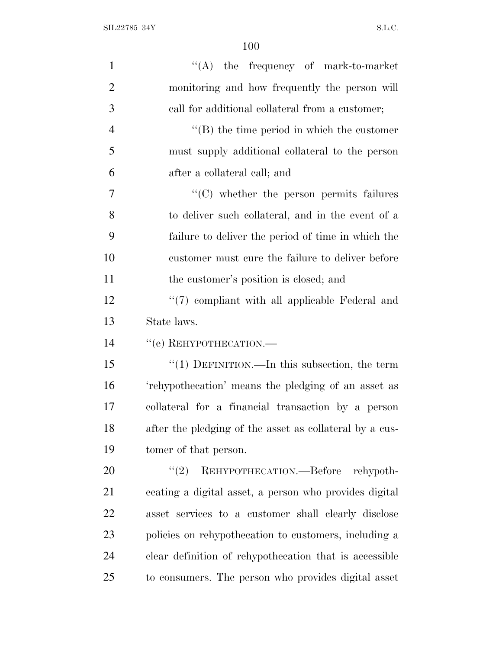| $\mathbf{1}$   | $\lq\lq$ the frequency of mark-to-market                |
|----------------|---------------------------------------------------------|
| $\overline{2}$ | monitoring and how frequently the person will           |
| 3              | call for additional collateral from a customer;         |
| $\overline{4}$ | $\lq\lq$ the time period in which the customer          |
| 5              | must supply additional collateral to the person         |
| 6              | after a collateral call; and                            |
| 7              | "(C) whether the person permits failures                |
| 8              | to deliver such collateral, and in the event of a       |
| 9              | failure to deliver the period of time in which the      |
| 10             | customer must cure the failure to deliver before        |
| 11             | the customer's position is closed; and                  |
| 12             | $\lq(7)$ compliant with all applicable Federal and      |
| 13             | State laws.                                             |
| 14             | "(e) REHYPOTHECATION.-                                  |
| 15             | " $(1)$ DEFINITION.—In this subsection, the term        |
| 16             | 'rehypothecation' means the pledging of an asset as     |
| 17             | collateral for a financial transaction by a person      |
| 18             | after the pledging of the asset as collateral by a cus- |
| 19             | tomer of that person.                                   |
| 20             | (2)<br>REHYPOTHECATION.—Before<br>rehypoth-             |
| 21             | ecating a digital asset, a person who provides digital  |
| 22             | asset services to a customer shall clearly disclose     |
| 23             | policies on rehypothecation to customers, including a   |
| 24             | clear definition of rehypothecation that is accessible  |
| 25             | to consumers. The person who provides digital asset     |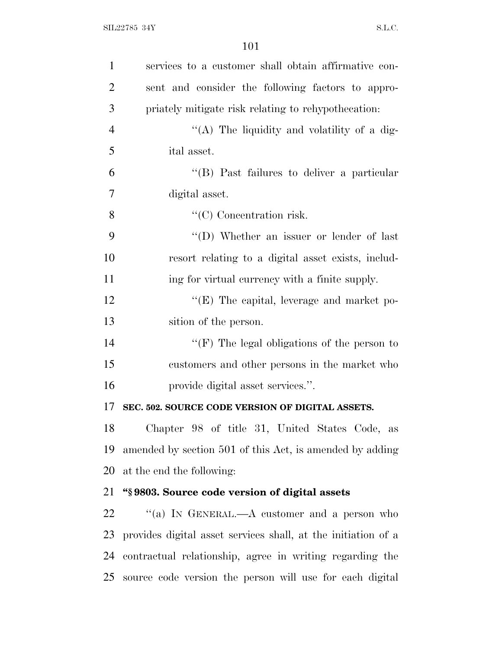| $\mathbf{1}$   | services to a customer shall obtain affirmative con-          |
|----------------|---------------------------------------------------------------|
| $\overline{2}$ | sent and consider the following factors to appro-             |
| 3              | priately mitigate risk relating to rehypothecation:           |
| $\overline{4}$ | "(A) The liquidity and volatility of a dig-                   |
| 5              | ital asset.                                                   |
| 6              | "(B) Past failures to deliver a particular                    |
| 7              | digital asset.                                                |
| 8              | $``(C)$ Concentration risk.                                   |
| 9              | "(D) Whether an issuer or lender of last                      |
| 10             | resort relating to a digital asset exists, includ-            |
| 11             | ing for virtual currency with a finite supply.                |
| 12             | $\lq\lq$ (E) The capital, leverage and market po-             |
| 13             | sition of the person.                                         |
| 14             | "(F) The legal obligations of the person to                   |
| 15             | customers and other persons in the market who                 |
| 16             | provide digital asset services.".                             |
| 17             | SEC. 502. SOURCE CODE VERSION OF DIGITAL ASSETS.              |
| 18             | Chapter 98 of title 31, United States Code, as                |
| 19             | amended by section 501 of this Act, is amended by adding      |
| 20             | at the end the following:                                     |
| 21             | "\\$9803. Source code version of digital assets               |
| 22             | "(a) IN GENERAL.—A customer and a person who                  |
| 23             | provides digital asset services shall, at the initiation of a |
| 24             | contractual relationship, agree in writing regarding the      |
| 25             | source code version the person will use for each digital      |
|                |                                                               |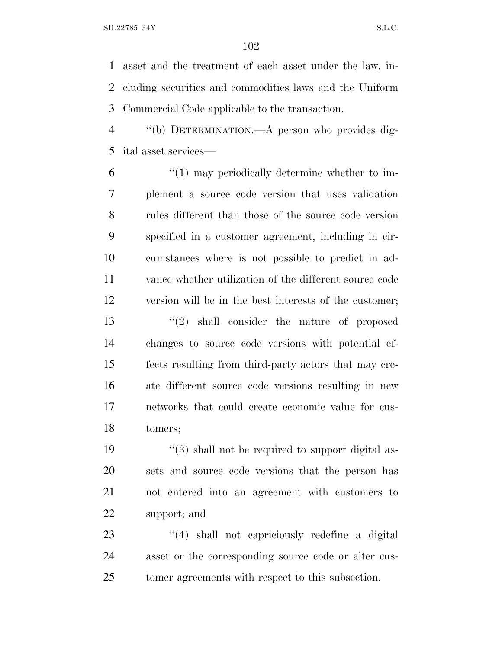asset and the treatment of each asset under the law, in- cluding securities and commodities laws and the Uniform Commercial Code applicable to the transaction.

 ''(b) DETERMINATION.—A person who provides dig-ital asset services—

 "(1) may periodically determine whether to im- plement a source code version that uses validation rules different than those of the source code version specified in a customer agreement, including in cir- cumstances where is not possible to predict in ad- vance whether utilization of the different source code version will be in the best interests of the customer; ''(2) shall consider the nature of proposed changes to source code versions with potential ef- fects resulting from third-party actors that may cre- ate different source code versions resulting in new networks that could create economic value for cus-tomers;

 $\frac{1}{3}$  shall not be required to support digital as- sets and source code versions that the person has not entered into an agreement with customers to support; and

23 ''(4) shall not capriciously redefine a digital asset or the corresponding source code or alter cus-tomer agreements with respect to this subsection.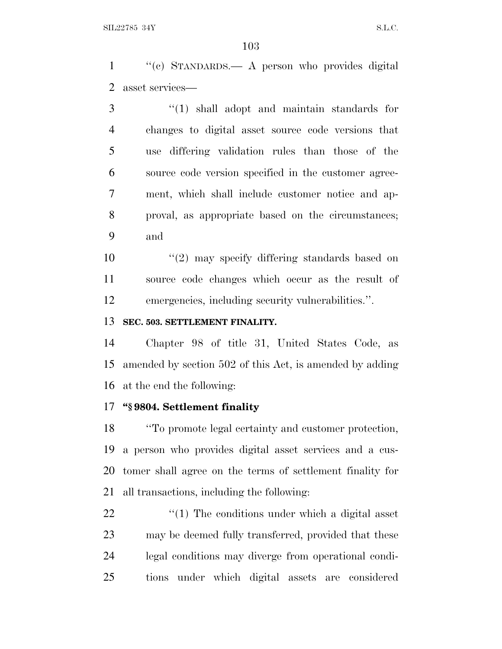''(c) STANDARDS.— A person who provides digital asset services—

 ''(1) shall adopt and maintain standards for changes to digital asset source code versions that use differing validation rules than those of the source code version specified in the customer agree- ment, which shall include customer notice and ap- proval, as appropriate based on the circumstances; and

10 ''(2) may specify differing standards based on source code changes which occur as the result of emergencies, including security vulnerabilities.''.

# **SEC. 503. SETTLEMENT FINALITY.**

 Chapter 98 of title 31, United States Code, as amended by section 502 of this Act, is amended by adding at the end the following:

# **''§ 9804. Settlement finality**

 ''To promote legal certainty and customer protection, a person who provides digital asset services and a cus- tomer shall agree on the terms of settlement finality for all transactions, including the following:

 $\frac{1}{22}$  ''(1) The conditions under which a digital asset may be deemed fully transferred, provided that these legal conditions may diverge from operational condi-tions under which digital assets are considered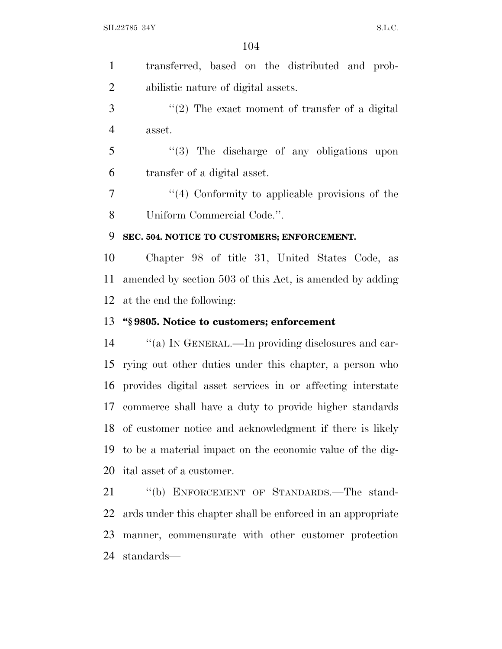transferred, based on the distributed and prob-abilistic nature of digital assets.

 ''(2) The exact moment of transfer of a digital asset.

 ''(3) The discharge of any obligations upon transfer of a digital asset.

 ''(4) Conformity to applicable provisions of the Uniform Commercial Code.''.

# **SEC. 504. NOTICE TO CUSTOMERS; ENFORCEMENT.**

 Chapter 98 of title 31, United States Code, as amended by section 503 of this Act, is amended by adding at the end the following:

# **''§ 9805. Notice to customers; enforcement**

 ''(a) I<sup>N</sup> GENERAL.—In providing disclosures and car- rying out other duties under this chapter, a person who provides digital asset services in or affecting interstate commerce shall have a duty to provide higher standards of customer notice and acknowledgment if there is likely to be a material impact on the economic value of the dig-ital asset of a customer.

 ''(b) ENFORCEMENT OF STANDARDS.—The stand- ards under this chapter shall be enforced in an appropriate manner, commensurate with other customer protection standards—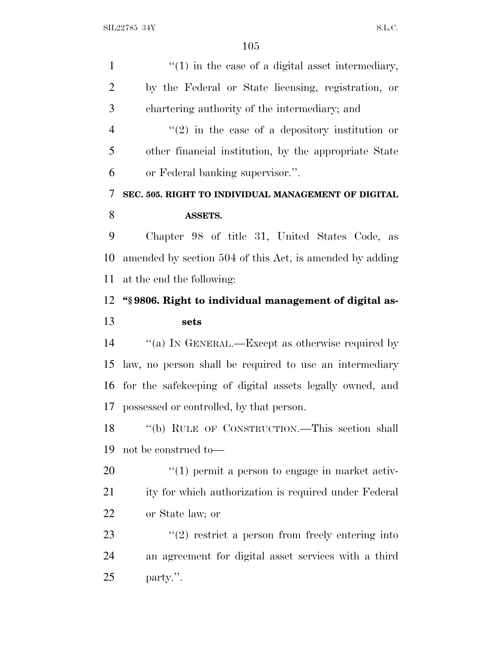| $\mathbf{1}$   | $\lq(1)$ in the case of a digital asset intermediary,    |
|----------------|----------------------------------------------------------|
| $\overline{2}$ | by the Federal or State licensing, registration, or      |
| 3              | chartering authority of the intermediary; and            |
| $\overline{4}$ | $\lq(2)$ in the case of a depository institution or      |
| 5              | other financial institution, by the appropriate State    |
| 6              | or Federal banking supervisor.".                         |
| 7              | SEC. 505. RIGHT TO INDIVIDUAL MANAGEMENT OF DIGITAL      |
| 8              | ASSETS.                                                  |
| 9              | Chapter 98 of title 31, United States Code, as           |
| 10             | amended by section 504 of this Act, is amended by adding |
| 11             | at the end the following:                                |
| 12             | "\\$9806. Right to individual management of digital as-  |
| 13             | sets                                                     |
| 14             | "(a) IN GENERAL.—Except as otherwise required by         |
| 15             | law, no person shall be required to use an intermediary  |
| 16             | for the safekeeping of digital assets legally owned, and |
| 17             | possessed or controlled, by that person.                 |
| 18             | "(b) RULE OF CONSTRUCTION.—This section shall            |
| 19             | not be construed to—                                     |
| 20             | $\lq(1)$ permit a person to engage in market activ-      |
| 21             | ity for which authorization is required under Federal    |
| 22             | or State law; or                                         |
| 23             | $"(2)$ restrict a person from freely entering into       |
| 24             | an agreement for digital asset services with a third     |
| 25             | party.".                                                 |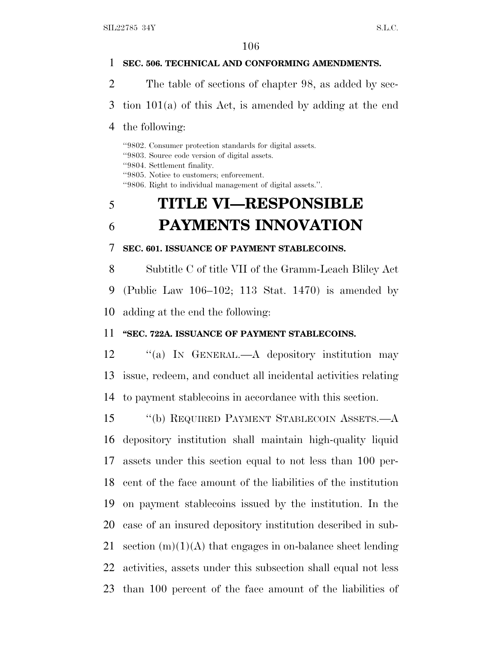#### **SEC. 506. TECHNICAL AND CONFORMING AMENDMENTS.**

The table of sections of chapter 98, as added by sec-

tion 101(a) of this Act, is amended by adding at the end

#### the following:

''9802. Consumer protection standards for digital assets. ''9803. Source code version of digital assets. ''9804. Settlement finality. ''9805. Notice to customers; enforcement. ''9806. Right to individual management of digital assets.''.

# **TITLE VI—RESPONSIBLE PAYMENTS INNOVATION**

**SEC. 601. ISSUANCE OF PAYMENT STABLECOINS.**

 Subtitle C of title VII of the Gramm-Leach Bliley Act (Public Law 106–102; 113 Stat. 1470) is amended by adding at the end the following:

### **''SEC. 722A. ISSUANCE OF PAYMENT STABLECOINS.**

12 "(a) IN GENERAL.—A depository institution may issue, redeem, and conduct all incidental activities relating to payment stablecoins in accordance with this section.

 ''(b) REQUIRED PAYMENT STABLECOIN ASSETS.—A depository institution shall maintain high-quality liquid assets under this section equal to not less than 100 per- cent of the face amount of the liabilities of the institution on payment stablecoins issued by the institution. In the case of an insured depository institution described in sub-21 section  $(m)(1)(A)$  that engages in on-balance sheet lending activities, assets under this subsection shall equal not less than 100 percent of the face amount of the liabilities of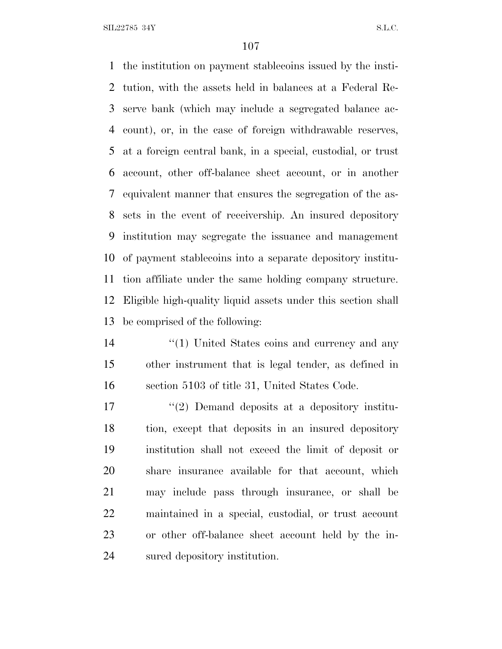SIL22785 34Y S.L.C.

 the institution on payment stablecoins issued by the insti- tution, with the assets held in balances at a Federal Re- serve bank (which may include a segregated balance ac- count), or, in the case of foreign withdrawable reserves, at a foreign central bank, in a special, custodial, or trust account, other off-balance sheet account, or in another equivalent manner that ensures the segregation of the as- sets in the event of receivership. An insured depository institution may segregate the issuance and management of payment stablecoins into a separate depository institu- tion affiliate under the same holding company structure. Eligible high-quality liquid assets under this section shall be comprised of the following:

14 ''(1) United States coins and currency and any other instrument that is legal tender, as defined in section 5103 of title 31, United States Code.

17 ''(2) Demand deposits at a depository institu- tion, except that deposits in an insured depository institution shall not exceed the limit of deposit or share insurance available for that account, which may include pass through insurance, or shall be maintained in a special, custodial, or trust account or other off-balance sheet account held by the in-sured depository institution.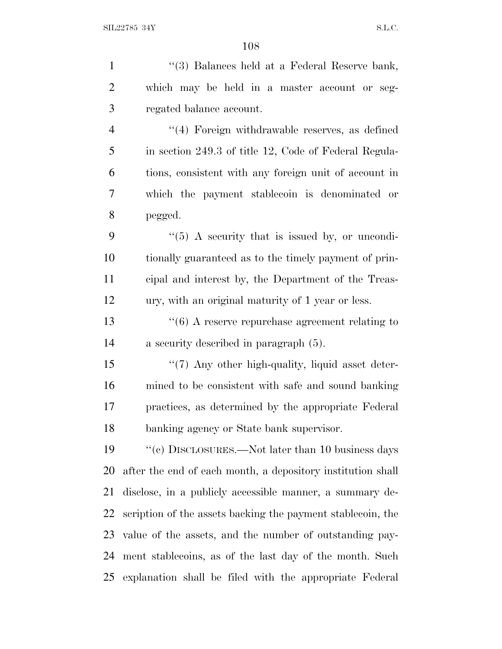1 ''(3) Balances held at a Federal Reserve bank, which may be held in a master account or seg- regated balance account. 4 "(4) Foreign withdrawable reserves, as defined in section 249.3 of title 12, Code of Federal Regula- tions, consistent with any foreign unit of account in which the payment stablecoin is denominated or pegged. "(5) A security that is issued by, or uncondi- tionally guaranteed as to the timely payment of prin- cipal and interest by, the Department of the Treas- ury, with an original maturity of 1 year or less. 13 ''(6) A reserve repurchase agreement relating to a security described in paragraph (5). 15 "(7) Any other high-quality, liquid asset deter- mined to be consistent with safe and sound banking practices, as determined by the appropriate Federal banking agency or State bank supervisor. ''(c) DISCLOSURES.—Not later than 10 business days after the end of each month, a depository institution shall disclose, in a publicly accessible manner, a summary de- scription of the assets backing the payment stablecoin, the value of the assets, and the number of outstanding pay- ment stablecoins, as of the last day of the month. Such explanation shall be filed with the appropriate Federal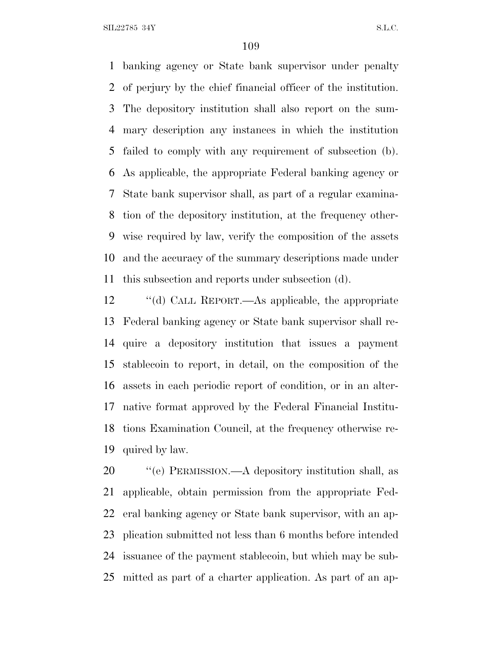banking agency or State bank supervisor under penalty of perjury by the chief financial officer of the institution. The depository institution shall also report on the sum- mary description any instances in which the institution failed to comply with any requirement of subsection (b). As applicable, the appropriate Federal banking agency or State bank supervisor shall, as part of a regular examina- tion of the depository institution, at the frequency other- wise required by law, verify the composition of the assets and the accuracy of the summary descriptions made under this subsection and reports under subsection (d).

 ''(d) CALL REPORT.—As applicable, the appropriate Federal banking agency or State bank supervisor shall re- quire a depository institution that issues a payment stablecoin to report, in detail, on the composition of the assets in each periodic report of condition, or in an alter- native format approved by the Federal Financial Institu- tions Examination Council, at the frequency otherwise re-quired by law.

 ''(e) PERMISSION.—A depository institution shall, as applicable, obtain permission from the appropriate Fed- eral banking agency or State bank supervisor, with an ap- plication submitted not less than 6 months before intended issuance of the payment stablecoin, but which may be sub-mitted as part of a charter application. As part of an ap-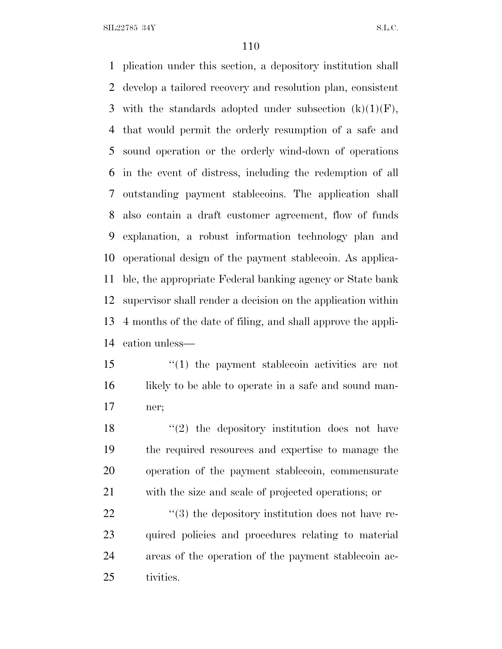plication under this section, a depository institution shall develop a tailored recovery and resolution plan, consistent 3 with the standards adopted under subsection  $(k)(1)(F)$ , that would permit the orderly resumption of a safe and sound operation or the orderly wind-down of operations in the event of distress, including the redemption of all outstanding payment stablecoins. The application shall also contain a draft customer agreement, flow of funds explanation, a robust information technology plan and operational design of the payment stablecoin. As applica- ble, the appropriate Federal banking agency or State bank supervisor shall render a decision on the application within 4 months of the date of filing, and shall approve the appli-cation unless—

 ''(1) the payment stablecoin activities are not 16 likely to be able to operate in a safe and sound man-ner;

18 ''(2) the depository institution does not have the required resources and expertise to manage the operation of the payment stablecoin, commensurate with the size and scale of projected operations; or

  $(3)$  the depository institution does not have re- quired policies and procedures relating to material areas of the operation of the payment stablecoin ac-tivities.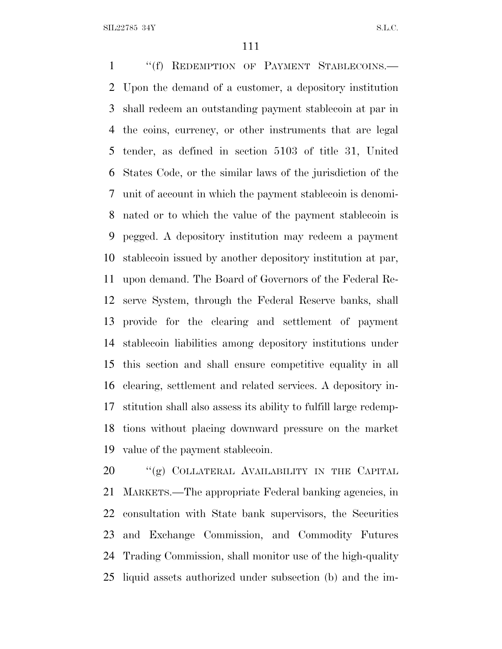1 "(f) REDEMPTION OF PAYMENT STABLECOINS.— Upon the demand of a customer, a depository institution shall redeem an outstanding payment stablecoin at par in the coins, currency, or other instruments that are legal tender, as defined in section 5103 of title 31, United States Code, or the similar laws of the jurisdiction of the unit of account in which the payment stablecoin is denomi- nated or to which the value of the payment stablecoin is pegged. A depository institution may redeem a payment stablecoin issued by another depository institution at par, upon demand. The Board of Governors of the Federal Re- serve System, through the Federal Reserve banks, shall provide for the clearing and settlement of payment stablecoin liabilities among depository institutions under this section and shall ensure competitive equality in all clearing, settlement and related services. A depository in- stitution shall also assess its ability to fulfill large redemp- tions without placing downward pressure on the market value of the payment stablecoin.

20 "(g) COLLATERAL AVAILABILITY IN THE CAPITAL MARKETS.—The appropriate Federal banking agencies, in consultation with State bank supervisors, the Securities and Exchange Commission, and Commodity Futures Trading Commission, shall monitor use of the high-quality liquid assets authorized under subsection (b) and the im-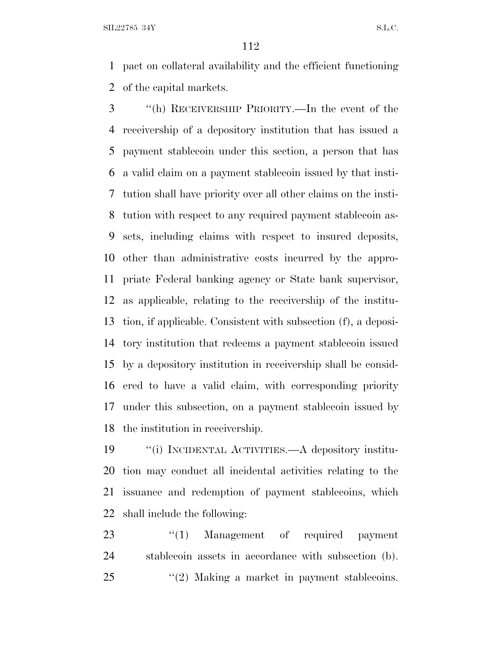pact on collateral availability and the efficient functioning of the capital markets.

 ''(h) RECEIVERSHIP PRIORITY.—In the event of the receivership of a depository institution that has issued a payment stablecoin under this section, a person that has a valid claim on a payment stablecoin issued by that insti- tution shall have priority over all other claims on the insti- tution with respect to any required payment stablecoin as- sets, including claims with respect to insured deposits, other than administrative costs incurred by the appro- priate Federal banking agency or State bank supervisor, as applicable, relating to the receivership of the institu- tion, if applicable. Consistent with subsection (f), a deposi- tory institution that redeems a payment stablecoin issued by a depository institution in receivership shall be consid- ered to have a valid claim, with corresponding priority under this subsection, on a payment stablecoin issued by the institution in receivership.

 ''(i) INCIDENTAL ACTIVITIES.—A depository institu- tion may conduct all incidental activities relating to the issuance and redemption of payment stablecoins, which shall include the following:

23 "(1) Management of required payment stablecoin assets in accordance with subsection (b). 25 "(2) Making a market in payment stablecoins.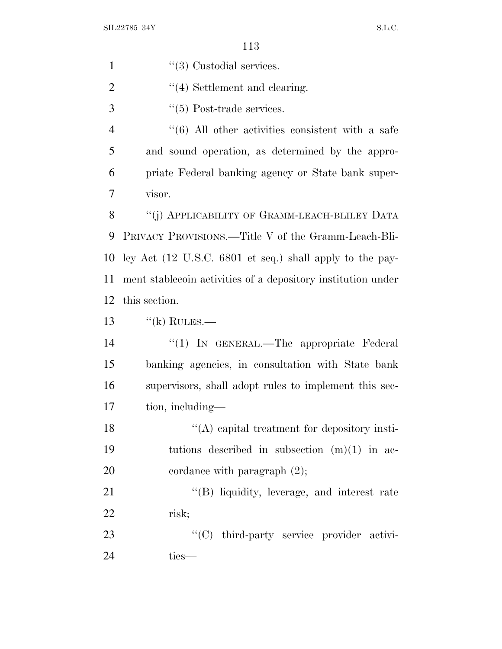| $\mathbf{1}$   | $\lq(3)$ Custodial services.                                 |
|----------------|--------------------------------------------------------------|
| $\overline{2}$ | $\lq(4)$ Settlement and clearing.                            |
| 3              | $\lq(5)$ Post-trade services.                                |
| $\overline{4}$ | $\cdot\cdot$ (6) All other activities consistent with a safe |
| 5              | and sound operation, as determined by the appro-             |
| 6              | priate Federal banking agency or State bank super-           |
| 7              | visor.                                                       |
| 8              | "(j) APPLICABILITY OF GRAMM-LEACH-BLILEY DATA                |
| 9              | PRIVACY PROVISIONS.—Title V of the Gramm-Leach-Bli-          |
| 10             | ley Act (12 U.S.C. 6801 et seq.) shall apply to the pay-     |
| 11             | ment stablecoin activities of a depository institution under |
| 12             | this section.                                                |
| 13             | $\lq\lq$ (k) RULES.—                                         |
| 14             | "(1) IN GENERAL.—The appropriate Federal                     |
| 15             | banking agencies, in consultation with State bank            |
| 16             | supervisors, shall adopt rules to implement this sec-        |
| 17             | tion, including—                                             |
| 18             | $\lq\lq$ capital treatment for depository insti-             |
| 19             | tutions described in subsection $(m)(1)$ in ac-              |
| 20             | cordance with paragraph $(2)$ ;                              |
| 21             | "(B) liquidity, leverage, and interest rate                  |
| 22             | risk;                                                        |
| 23             | "(C) third-party service provider activi-                    |
| 24             | ties-                                                        |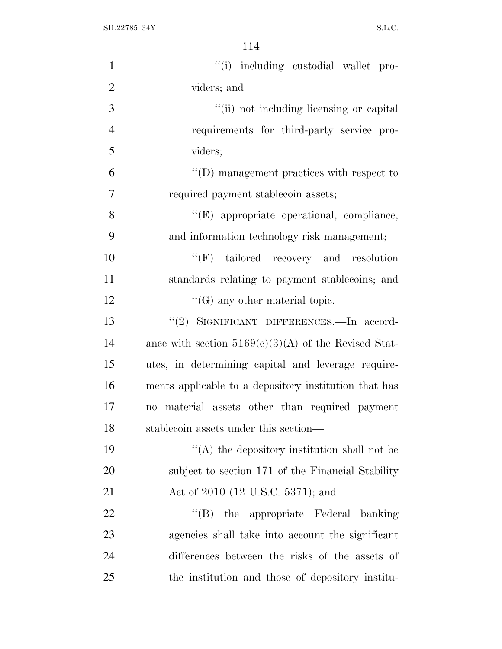$\text{SIL} 22785 \text{ } 34\text{Y} \tag{S.L.C.}$ 

| $\mathbf{1}$   | "(i) including custodial wallet pro-                   |
|----------------|--------------------------------------------------------|
| $\mathfrak{2}$ | viders; and                                            |
| 3              | "(ii) not including licensing or capital               |
| $\overline{4}$ | requirements for third-party service pro-              |
| 5              | viders;                                                |
| 6              | $\lq\lq$ (D) management practices with respect to      |
| $\overline{7}$ | required payment stablecoin assets;                    |
| 8              | "(E) appropriate operational, compliance,              |
| 9              | and information technology risk management;            |
| 10             | $\lq\lq(F)$ tailored recovery and resolution           |
| 11             | standards relating to payment stablecoins; and         |
| 12             | $\lq\lq(G)$ any other material topic.                  |
| 13             | "(2) SIGNIFICANT DIFFERENCES.—In accord-               |
| 14             | ance with section $5169(c)(3)(A)$ of the Revised Stat- |
| 15             | utes, in determining capital and leverage require-     |
| 16             | ments applicable to a depository institution that has  |
| 17             | no material assets other than required payment         |
| 18             | stablecoin assets under this section—                  |
| 19             | $\lq\lq$ the depository institution shall not be       |
| 20             | subject to section 171 of the Financial Stability      |
| 21             | Act of 2010 (12 U.S.C. 5371); and                      |
| 22             | "(B) the appropriate Federal banking                   |
| 23             | agencies shall take into account the significant       |
| 24             | differences between the risks of the assets of         |
| 25             | the institution and those of depository institu-       |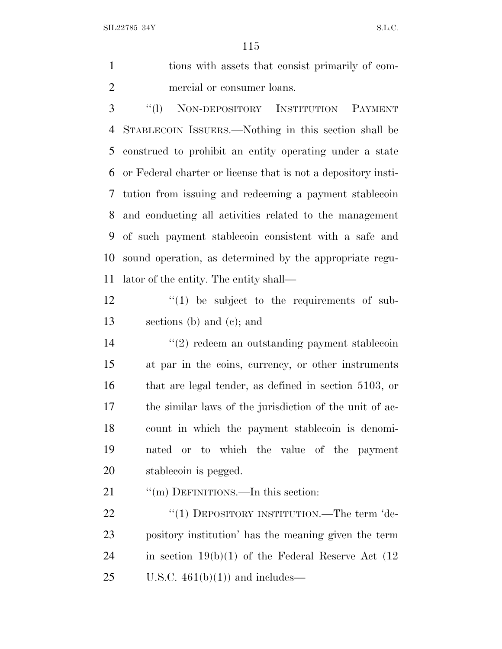tions with assets that consist primarily of com-mercial or consumer loans.

 ''(l) NON-DEPOSITORY INSTITUTION PAYMENT STABLECOIN ISSUERS.—Nothing in this section shall be construed to prohibit an entity operating under a state or Federal charter or license that is not a depository insti- tution from issuing and redeeming a payment stablecoin and conducting all activities related to the management of such payment stablecoin consistent with a safe and sound operation, as determined by the appropriate regu-lator of the entity. The entity shall—

 ''(1) be subject to the requirements of sub-sections (b) and (c); and

 ''(2) redeem an outstanding payment stablecoin at par in the coins, currency, or other instruments that are legal tender, as defined in section 5103, or the similar laws of the jurisdiction of the unit of ac- count in which the payment stablecoin is denomi- nated or to which the value of the payment stablecoin is pegged.

21 ""(m) DEFINITIONS.—In this section:

22 "(1) DEPOSITORY INSTITUTION.—The term 'de- pository institution' has the meaning given the term 24 in section  $19(b)(1)$  of the Federal Reserve Act  $(12)$ 25 U.S.C.  $461(b)(1)$  and includes—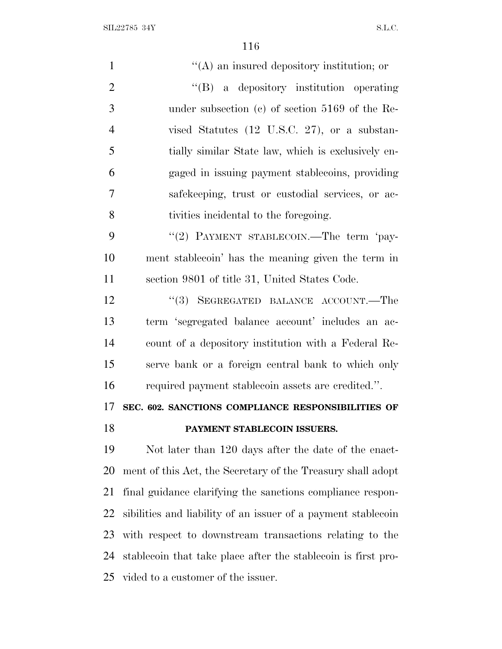| $\mathbf{1}$   | $\lq\lq$ an insured depository institution; or                |
|----------------|---------------------------------------------------------------|
| $\overline{2}$ | "(B) a depository institution operating                       |
| 3              | under subsection (c) of section $5169$ of the Re-             |
| $\overline{4}$ | vised Statutes $(12 \text{ U.S.C. } 27)$ , or a substan-      |
| 5              | tially similar State law, which is exclusively en-            |
| 6              | gaged in issuing payment stablecoins, providing               |
| 7              | safekeeping, trust or custodial services, or ac-              |
| 8              | tivities incidental to the foregoing.                         |
| 9              | "(2) PAYMENT STABLECOIN.—The term 'pay-                       |
| 10             | ment stablecoin' has the meaning given the term in            |
| 11             | section 9801 of title 31, United States Code.                 |
| 12             | "(3) SEGREGATED BALANCE ACCOUNT.—The                          |
| 13             | term 'segregated balance account' includes an ac-             |
| 14             | count of a depository institution with a Federal Re-          |
| 15             | serve bank or a foreign central bank to which only            |
| 16             | required payment stablecoin assets are credited.".            |
|                |                                                               |
|                | SEC. 602. SANCTIONS COMPLIANCE RESPONSIBILITIES OF            |
| 17<br>18       | PAYMENT STABLECOIN ISSUERS.                                   |
| 19             | Not later than 120 days after the date of the enact-          |
| 20             | ment of this Act, the Secretary of the Treasury shall adopt   |
| 21             | final guidance clarifying the sanctions compliance respon-    |
| 22             | sibilities and liability of an issuer of a payment stablecoin |
| 23             | with respect to downstream transactions relating to the       |

vided to a customer of the issuer.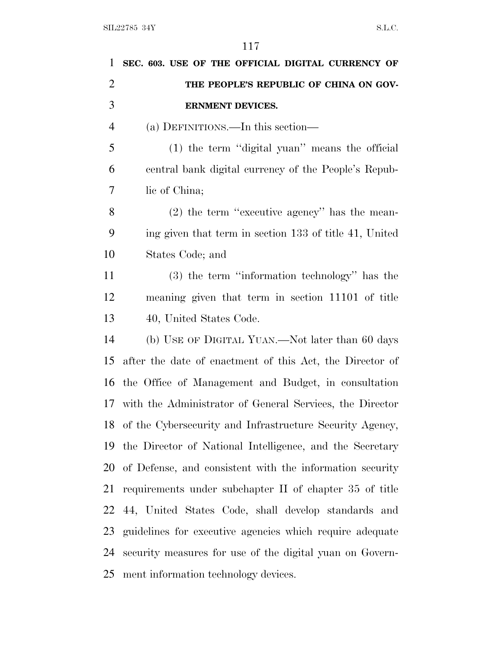| 1              | SEC. 603. USE OF THE OFFICIAL DIGITAL CURRENCY OF           |
|----------------|-------------------------------------------------------------|
| $\overline{2}$ | THE PEOPLE'S REPUBLIC OF CHINA ON GOV-                      |
| 3              | <b>ERNMENT DEVICES.</b>                                     |
| $\overline{4}$ | (a) DEFINITIONS.—In this section—                           |
| 5              | (1) the term "digital yuan" means the official              |
| 6              | central bank digital currency of the People's Repub-        |
| 7              | lic of China;                                               |
| 8              | $(2)$ the term "executive agency" has the mean-             |
| 9              | ing given that term in section 133 of title 41, United      |
| 10             | States Code; and                                            |
| 11             | $(3)$ the term "information technology" has the             |
| 12             | meaning given that term in section 11101 of title           |
| 13             | 40, United States Code.                                     |
| 14             | (b) USE OF DIGITAL YUAN.—Not later than 60 days             |
| 15             | after the date of enactment of this Act, the Director of    |
| 16             | the Office of Management and Budget, in consultation        |
|                | 17 with the Administrator of General Services, the Director |
|                | 18 of the Cybersecurity and Infrastructure Security Agency, |
| 19             | the Director of National Intelligence, and the Secretary    |
| 20             | of Defense, and consistent with the information security    |
| 21             | requirements under subchapter II of chapter 35 of title     |
| 22             | 44, United States Code, shall develop standards and         |
| 23             | guidelines for executive agencies which require adequate    |
| 24             | security measures for use of the digital yuan on Govern-    |
| 25             | ment information technology devices.                        |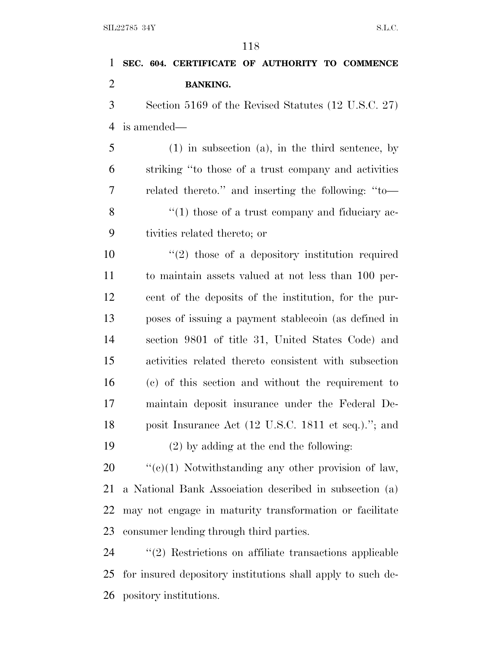| 1              | SEC. 604. CERTIFICATE OF AUTHORITY TO COMMENCE              |
|----------------|-------------------------------------------------------------|
| $\overline{2}$ | <b>BANKING.</b>                                             |
| 3              | Section 5169 of the Revised Statutes (12 U.S.C. 27)         |
| $\overline{4}$ | is amended—                                                 |
| 5              | $(1)$ in subsection $(a)$ , in the third sentence, by       |
| 6              | striking "to those of a trust company and activities        |
| 7              | related thereto." and inserting the following: "to-         |
| 8              | $\lq(1)$ those of a trust company and fiduciary ac-         |
| 9              | tivities related thereto; or                                |
| 10             | $\lq(2)$ those of a depository institution required         |
| 11             | to maintain assets valued at not less than 100 per-         |
| 12             | cent of the deposits of the institution, for the pur-       |
| 13             | poses of issuing a payment stablecoin (as defined in        |
| 14             | section 9801 of title 31, United States Code) and           |
| 15             | activities related thereto consistent with subsection       |
| 16             | (c) of this section and without the requirement to          |
| 17             | maintain deposit insurance under the Federal De-            |
| 18             | posit Insurance Act (12 U.S.C. 1811 et seq.)."; and         |
| 19             | $(2)$ by adding at the end the following:                   |
| 20             | " $(e)(1)$ Notwithstanding any other provision of law,      |
| 21             | a National Bank Association described in subsection (a)     |
| 22             | may not engage in maturity transformation or facilitate     |
| 23             | consumer lending through third parties.                     |
| 24             | $"(2)$ Restrictions on affiliate transactions applicable    |
| 25             | for insured depository institutions shall apply to such de- |
|                |                                                             |

pository institutions.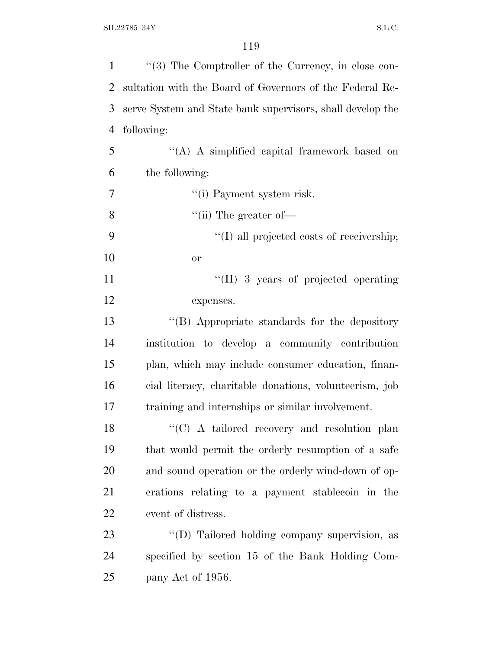| $\mathbf{1}$   | "(3) The Comptroller of the Currency, in close con-        |
|----------------|------------------------------------------------------------|
| 2              | sultation with the Board of Governors of the Federal Re-   |
| 3              | serve System and State bank supervisors, shall develop the |
| $\overline{4}$ | following:                                                 |
| 5              | "(A) A simplified capital framework based on               |
| 6              | the following:                                             |
| 7              | "(i) Payment system risk.                                  |
| 8              | "(ii) The greater of $\equiv$                              |
| 9              | "(I) all projected costs of receivership;                  |
| 10             | <b>or</b>                                                  |
| 11             | "(II) 3 years of projected operating                       |
| 12             | expenses.                                                  |
| 13             | "(B) Appropriate standards for the depository              |
| 14             | institution to develop a community contribution            |
| 15             | plan, which may include consumer education, finan-         |
| 16             | cial literacy, charitable donations, volunteerism, job     |
| 17             | training and internships or similar involvement.           |
| 18             | "(C) A tailored recovery and resolution plan               |
| 19             | that would permit the orderly resumption of a safe         |
| 20             | and sound operation or the orderly wind-down of op-        |
| 21             | erations relating to a payment stablecoin in the           |
| 22             | event of distress.                                         |
| 23             | "(D) Tailored holding company supervision, as              |
| 24             | specified by section 15 of the Bank Holding Com-           |
| 25             | pany Act of 1956.                                          |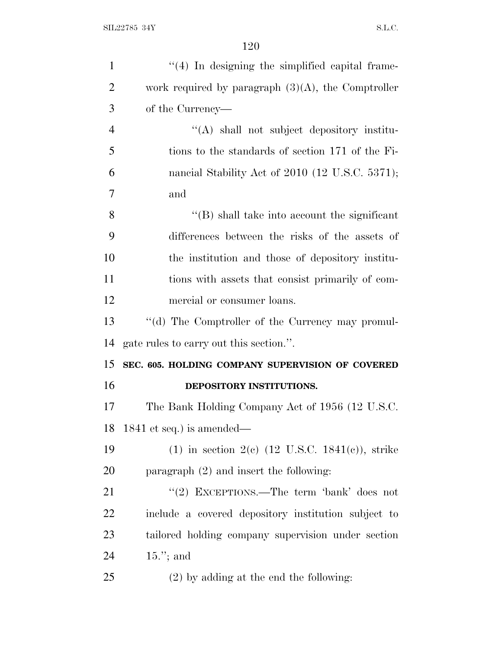| $\mathbf{1}$   | $\lq(4)$ In designing the simplified capital frame-         |
|----------------|-------------------------------------------------------------|
| $\overline{2}$ | work required by paragraph $(3)(A)$ , the Comptroller       |
| 3              | of the Currency—                                            |
| $\overline{4}$ | "(A) shall not subject depository institu-                  |
| 5              | tions to the standards of section 171 of the Fi-            |
| 6              | nancial Stability Act of 2010 (12 U.S.C. 5371);             |
| $\overline{7}$ | and                                                         |
| 8              | $\lq\lq$ (B) shall take into account the significant        |
| 9              | differences between the risks of the assets of              |
| 10             | the institution and those of depository institu-            |
| 11             | tions with assets that consist primarily of com-            |
| 12             | mercial or consumer loans.                                  |
| 13             | "(d) The Comptroller of the Currency may promul-            |
| 14             | gate rules to carry out this section.".                     |
| 15             | SEC. 605. HOLDING COMPANY SUPERVISION OF COVERED            |
| 16             | DEPOSITORY INSTITUTIONS.                                    |
| 17             | The Bank Holding Company Act of 1956 (12 U.S.C.             |
| 18             | 1841 et seq.) is amended—                                   |
| 19             | (1) in section 2(c) $(12 \text{ U.S.C. } 1841(c))$ , strike |
| 20             | paragraph $(2)$ and insert the following:                   |
| 21             | "(2) EXCEPTIONS.—The term 'bank' does not                   |
| 22             | include a covered depository institution subject to         |
| 23             | tailored holding company supervision under section          |
| 24             | $15.'$ ; and                                                |
| 25             | $(2)$ by adding at the end the following:                   |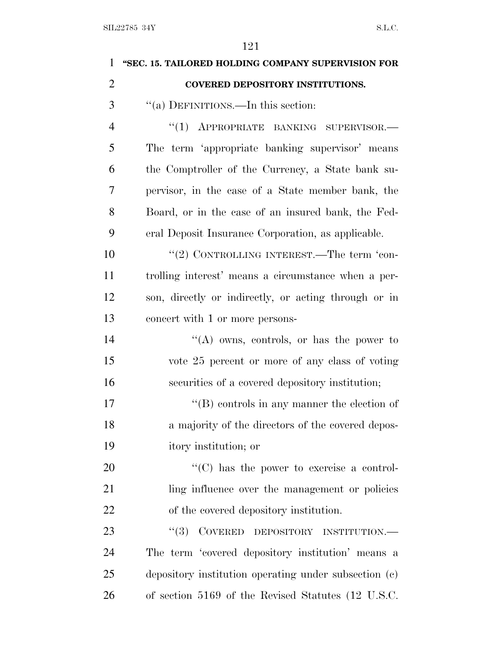| $\mathbf{1}$   | "SEC. 15. TAILORED HOLDING COMPANY SUPERVISION FOR                                                      |
|----------------|---------------------------------------------------------------------------------------------------------|
| $\overline{2}$ | <b>COVERED DEPOSITORY INSTITUTIONS.</b>                                                                 |
| 3              | "(a) DEFINITIONS.—In this section:                                                                      |
| $\overline{4}$ | "(1) APPROPRIATE BANKING SUPERVISOR.-                                                                   |
| 5              | The term 'appropriate banking supervisor' means                                                         |
| 6              | the Comptroller of the Currency, a State bank su-                                                       |
| 7              | pervisor, in the case of a State member bank, the                                                       |
| 8              | Board, or in the case of an insured bank, the Fed-                                                      |
| 9              | eral Deposit Insurance Corporation, as applicable.                                                      |
| 10             | "(2) CONTROLLING INTEREST.—The term 'con-                                                               |
| 11             | trolling interest' means a circumstance when a per-                                                     |
| 12             | son, directly or indirectly, or acting through or in                                                    |
| 13             | concert with 1 or more persons-                                                                         |
| 14             | "(A) owns, controls, or has the power to                                                                |
| 15             | vote 25 percent or more of any class of voting                                                          |
| 16             | securities of a covered depository institution;                                                         |
| 17             | $\lq\lq (B)$ controls in any manner the election of                                                     |
| 18             | a majority of the directors of the covered depos-                                                       |
| 19             | itory institution; or                                                                                   |
| 20             | $\lq\lq$ (C) has the power to exercise a control-                                                       |
| 21             | ling influence over the management or policies                                                          |
| 22             | of the covered depository institution.                                                                  |
| 23             | $\textbf{CoverRED} \quad \textbf{DEPOSITION} \textbf{P} \quad \textbf{INSTITUTION} \textbf{---}$<br>(3) |
| 24             | The term 'covered depository institution' means a                                                       |
| 25             | depository institution operating under subsection (c)                                                   |
| 26             | of section 5169 of the Revised Statutes (12 U.S.C.                                                      |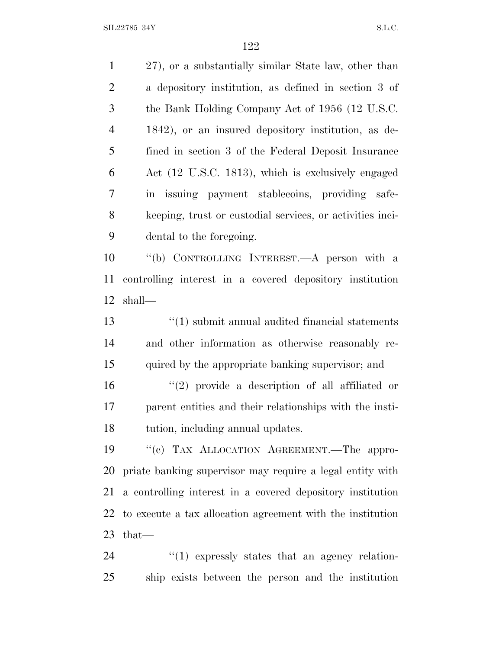27), or a substantially similar State law, other than a depository institution, as defined in section 3 of the Bank Holding Company Act of 1956 (12 U.S.C. 1842), or an insured depository institution, as de- fined in section 3 of the Federal Deposit Insurance Act (12 U.S.C. 1813), which is exclusively engaged in issuing payment stablecoins, providing safe- keeping, trust or custodial services, or activities inci- dental to the foregoing. ''(b) CONTROLLING INTEREST.—A person with a controlling interest in a covered depository institution

shall—

 ''(1) submit annual audited financial statements and other information as otherwise reasonably re-quired by the appropriate banking supervisor; and

 ''(2) provide a description of all affiliated or parent entities and their relationships with the insti-tution, including annual updates.

 ''(c) TAX ALLOCATION AGREEMENT.—The appro- priate banking supervisor may require a legal entity with a controlling interest in a covered depository institution to execute a tax allocation agreement with the institution that—

  $\qquad$   $\qquad$   $\qquad$   $\qquad$   $\qquad$   $\qquad$   $\qquad$   $\qquad$   $\qquad$   $\qquad$   $\qquad$   $\qquad$   $\qquad$   $\qquad$   $\qquad$   $\qquad$   $\qquad$   $\qquad$   $\qquad$   $\qquad$   $\qquad$   $\qquad$   $\qquad$   $\qquad$   $\qquad$   $\qquad$   $\qquad$   $\qquad$   $\qquad$   $\qquad$   $\qquad$   $\qquad$   $\qquad$   $\qquad$   $\qquad$   $\qquad$  ship exists between the person and the institution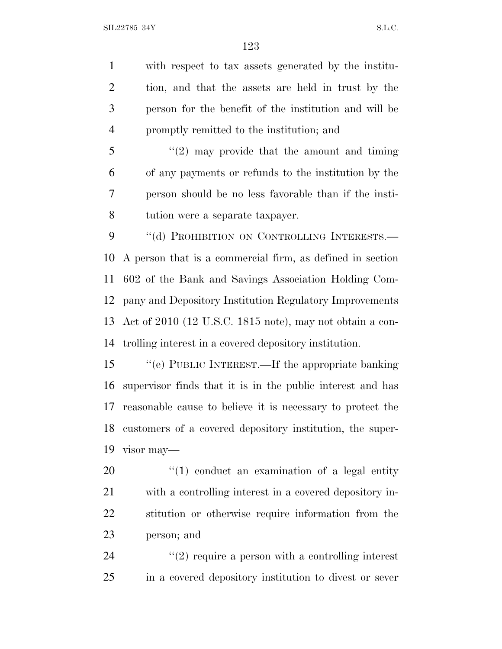with respect to tax assets generated by the institu- tion, and that the assets are held in trust by the person for the benefit of the institution and will be promptly remitted to the institution; and

 "(2) may provide that the amount and timing of any payments or refunds to the institution by the person should be no less favorable than if the insti-tution were a separate taxpayer.

9 "(d) PROHIBITION ON CONTROLLING INTERESTS.— A person that is a commercial firm, as defined in section 602 of the Bank and Savings Association Holding Com- pany and Depository Institution Regulatory Improvements Act of 2010 (12 U.S.C. 1815 note), may not obtain a con-trolling interest in a covered depository institution.

 ''(e) PUBLIC INTEREST.—If the appropriate banking supervisor finds that it is in the public interest and has reasonable cause to believe it is necessary to protect the customers of a covered depository institution, the super-visor may—

 ''(1) conduct an examination of a legal entity with a controlling interest in a covered depository in- stitution or otherwise require information from the person; and

24  $(2)$  require a person with a controlling interest in a covered depository institution to divest or sever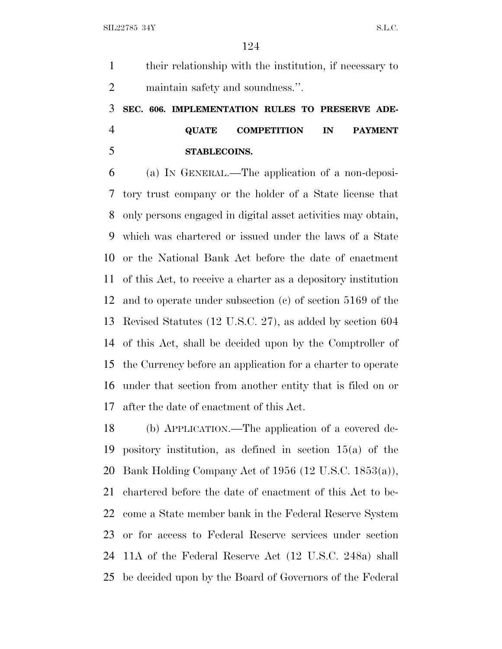their relationship with the institution, if necessary to maintain safety and soundness.''.

# **SEC. 606. IMPLEMENTATION RULES TO PRESERVE ADE- QUATE COMPETITION IN PAYMENT STABLECOINS.**

 (a) I<sup>N</sup> GENERAL.—The application of a non-deposi- tory trust company or the holder of a State license that only persons engaged in digital asset activities may obtain, which was chartered or issued under the laws of a State or the National Bank Act before the date of enactment of this Act, to receive a charter as a depository institution and to operate under subsection (c) of section 5169 of the Revised Statutes (12 U.S.C. 27), as added by section 604 of this Act, shall be decided upon by the Comptroller of the Currency before an application for a charter to operate under that section from another entity that is filed on or after the date of enactment of this Act.

 (b) APPLICATION.—The application of a covered de- pository institution, as defined in section 15(a) of the Bank Holding Company Act of 1956 (12 U.S.C. 1853(a)), chartered before the date of enactment of this Act to be- come a State member bank in the Federal Reserve System or for access to Federal Reserve services under section 11A of the Federal Reserve Act (12 U.S.C. 248a) shall be decided upon by the Board of Governors of the Federal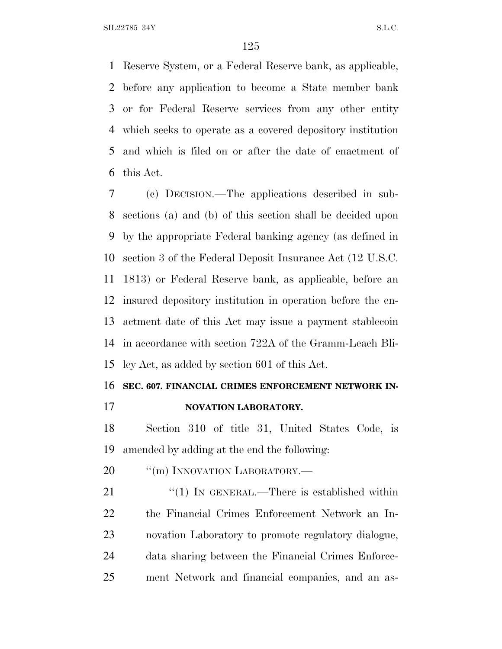Reserve System, or a Federal Reserve bank, as applicable, before any application to become a State member bank or for Federal Reserve services from any other entity which seeks to operate as a covered depository institution and which is filed on or after the date of enactment of this Act.

 (c) DECISION.—The applications described in sub- sections (a) and (b) of this section shall be decided upon by the appropriate Federal banking agency (as defined in section 3 of the Federal Deposit Insurance Act (12 U.S.C. 1813) or Federal Reserve bank, as applicable, before an insured depository institution in operation before the en- actment date of this Act may issue a payment stablecoin in accordance with section 722A of the Gramm-Leach Bli-ley Act, as added by section 601 of this Act.

### **SEC. 607. FINANCIAL CRIMES ENFORCEMENT NETWORK IN-**

**NOVATION LABORATORY.**

 Section 310 of title 31, United States Code, is amended by adding at the end the following:

20 <sup>"</sup>(m) INNOVATION LABORATORY.—

21 "(1) IN GENERAL.—There is established within the Financial Crimes Enforcement Network an In- novation Laboratory to promote regulatory dialogue, data sharing between the Financial Crimes Enforce-ment Network and financial companies, and an as-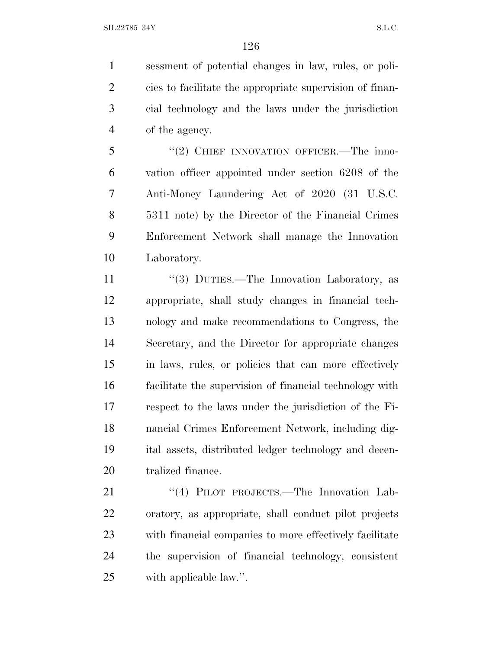sessment of potential changes in law, rules, or poli- cies to facilitate the appropriate supervision of finan- cial technology and the laws under the jurisdiction of the agency.

5 "(2) CHIEF INNOVATION OFFICER.—The inno- vation officer appointed under section 6208 of the Anti-Money Laundering Act of 2020 (31 U.S.C. 5311 note) by the Director of the Financial Crimes Enforcement Network shall manage the Innovation Laboratory.

11 ''(3) DUTIES.—The Innovation Laboratory, as appropriate, shall study changes in financial tech- nology and make recommendations to Congress, the Secretary, and the Director for appropriate changes in laws, rules, or policies that can more effectively facilitate the supervision of financial technology with respect to the laws under the jurisdiction of the Fi- nancial Crimes Enforcement Network, including dig- ital assets, distributed ledger technology and decen-20 tralized finance.

21 "(4) PILOT PROJECTS.—The Innovation Lab- oratory, as appropriate, shall conduct pilot projects with financial companies to more effectively facilitate the supervision of financial technology, consistent with applicable law.''.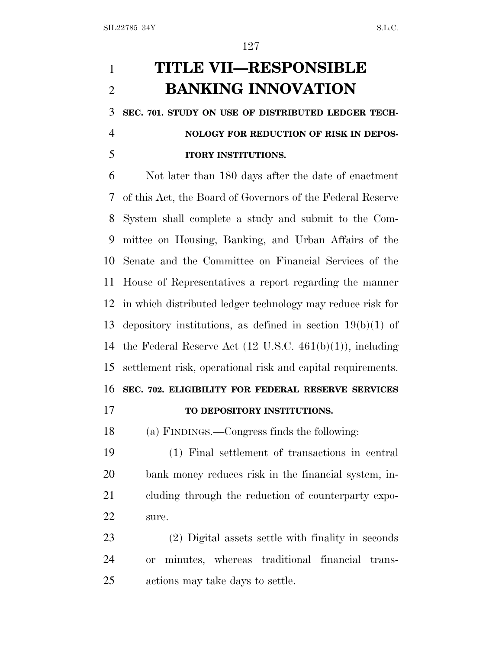# **TITLE VII—RESPONSIBLE BANKING INNOVATION**

**SEC. 701. STUDY ON USE OF DISTRIBUTED LEDGER TECH-**

### **NOLOGY FOR REDUCTION OF RISK IN DEPOS-ITORY INSTITUTIONS.**

 Not later than 180 days after the date of enactment of this Act, the Board of Governors of the Federal Reserve System shall complete a study and submit to the Com- mittee on Housing, Banking, and Urban Affairs of the Senate and the Committee on Financial Services of the House of Representatives a report regarding the manner in which distributed ledger technology may reduce risk for depository institutions, as defined in section 19(b)(1) of the Federal Reserve Act (12 U.S.C. 461(b)(1)), including settlement risk, operational risk and capital requirements. **SEC. 702. ELIGIBILITY FOR FEDERAL RESERVE SERVICES TO DEPOSITORY INSTITUTIONS.**

(a) FINDINGS.—Congress finds the following:

 (1) Final settlement of transactions in central bank money reduces risk in the financial system, in- cluding through the reduction of counterparty expo-sure.

 (2) Digital assets settle with finality in seconds or minutes, whereas traditional financial trans-actions may take days to settle.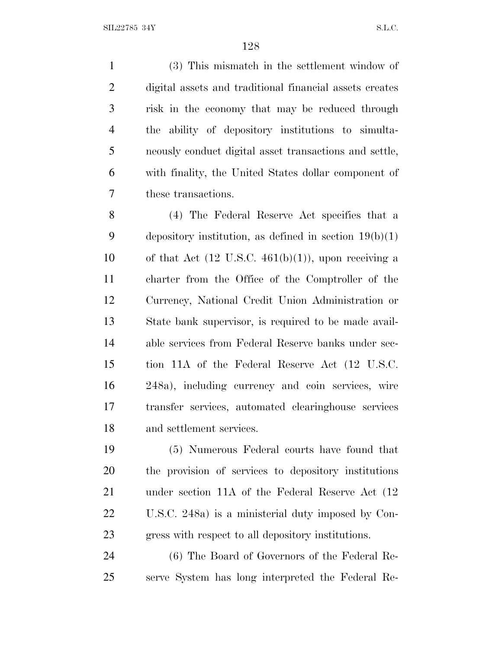(3) This mismatch in the settlement window of digital assets and traditional financial assets creates risk in the economy that may be reduced through the ability of depository institutions to simulta- neously conduct digital asset transactions and settle, with finality, the United States dollar component of these transactions.

 (4) The Federal Reserve Act specifies that a 9 depository institution, as defined in section  $19(b)(1)$ 10 of that Act  $(12 \text{ U.S.C. } 461(b)(1))$ , upon receiving a charter from the Office of the Comptroller of the Currency, National Credit Union Administration or State bank supervisor, is required to be made avail- able services from Federal Reserve banks under sec- tion 11A of the Federal Reserve Act (12 U.S.C. 248a), including currency and coin services, wire transfer services, automated clearinghouse services and settlement services.

 (5) Numerous Federal courts have found that the provision of services to depository institutions under section 11A of the Federal Reserve Act (12 U.S.C. 248a) is a ministerial duty imposed by Con-gress with respect to all depository institutions.

 (6) The Board of Governors of the Federal Re-serve System has long interpreted the Federal Re-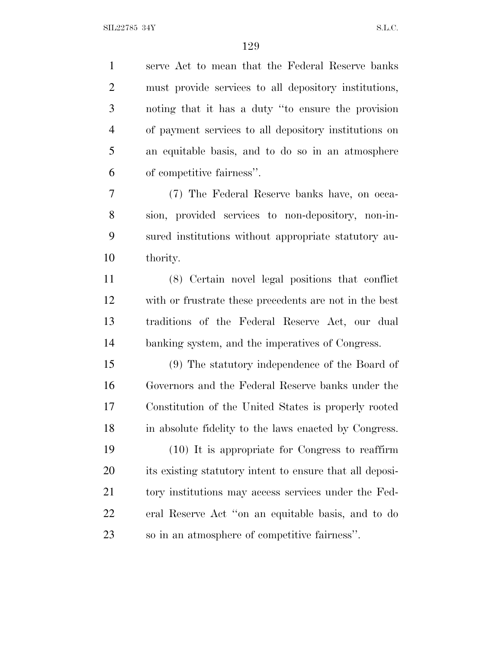serve Act to mean that the Federal Reserve banks must provide services to all depository institutions, noting that it has a duty ''to ensure the provision of payment services to all depository institutions on an equitable basis, and to do so in an atmosphere of competitive fairness''.

 (7) The Federal Reserve banks have, on occa- sion, provided services to non-depository, non-in- sured institutions without appropriate statutory au-thority.

 (8) Certain novel legal positions that conflict with or frustrate these precedents are not in the best traditions of the Federal Reserve Act, our dual banking system, and the imperatives of Congress.

 (9) The statutory independence of the Board of Governors and the Federal Reserve banks under the Constitution of the United States is properly rooted in absolute fidelity to the laws enacted by Congress.

 (10) It is appropriate for Congress to reaffirm its existing statutory intent to ensure that all deposi-21 tory institutions may access services under the Fed- eral Reserve Act ''on an equitable basis, and to do so in an atmosphere of competitive fairness''.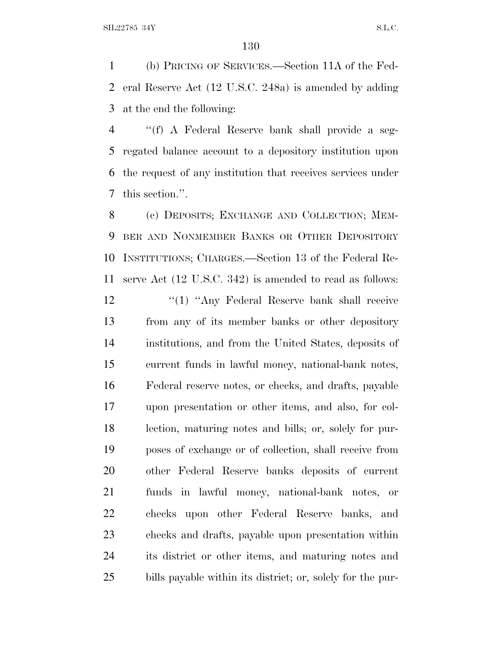(b) PRICING OF SERVICES.—Section 11A of the Fed- eral Reserve Act (12 U.S.C. 248a) is amended by adding at the end the following:

 ''(f) A Federal Reserve bank shall provide a seg- regated balance account to a depository institution upon the request of any institution that receives services under this section.''.

 (c) DEPOSITS; EXCHANGE AND COLLECTION; MEM- BER AND NONMEMBER BANKS OR OTHER DEPOSITORY INSTITUTIONS; CHARGES.—Section 13 of the Federal Re-serve Act (12 U.S.C. 342) is amended to read as follows:

12 ''(1) "Any Federal Reserve bank shall receive from any of its member banks or other depository institutions, and from the United States, deposits of current funds in lawful money, national-bank notes, Federal reserve notes, or checks, and drafts, payable upon presentation or other items, and also, for col- lection, maturing notes and bills; or, solely for pur- poses of exchange or of collection, shall receive from other Federal Reserve banks deposits of current funds in lawful money, national-bank notes, or checks upon other Federal Reserve banks, and checks and drafts, payable upon presentation within its district or other items, and maturing notes and bills payable within its district; or, solely for the pur-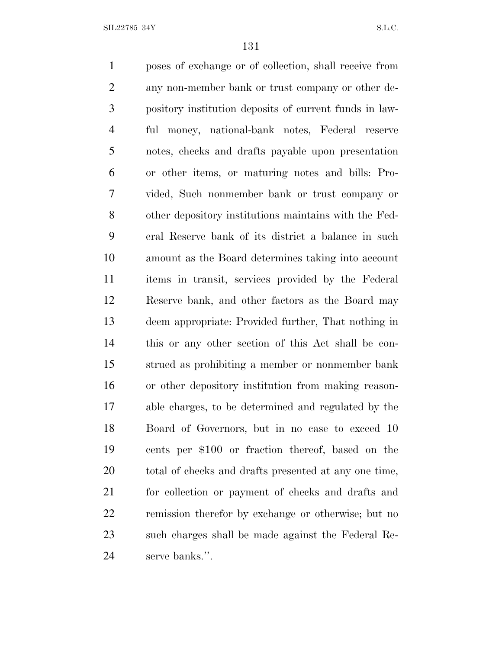poses of exchange or of collection, shall receive from any non-member bank or trust company or other de- pository institution deposits of current funds in law- ful money, national-bank notes, Federal reserve notes, checks and drafts payable upon presentation or other items, or maturing notes and bills: Pro- vided, Such nonmember bank or trust company or other depository institutions maintains with the Fed- eral Reserve bank of its district a balance in such amount as the Board determines taking into account items in transit, services provided by the Federal Reserve bank, and other factors as the Board may deem appropriate: Provided further, That nothing in this or any other section of this Act shall be con- strued as prohibiting a member or nonmember bank or other depository institution from making reason- able charges, to be determined and regulated by the Board of Governors, but in no case to exceed 10 cents per \$100 or fraction thereof, based on the 20 total of checks and drafts presented at any one time, for collection or payment of checks and drafts and remission therefor by exchange or otherwise; but no such charges shall be made against the Federal Re-serve banks.''.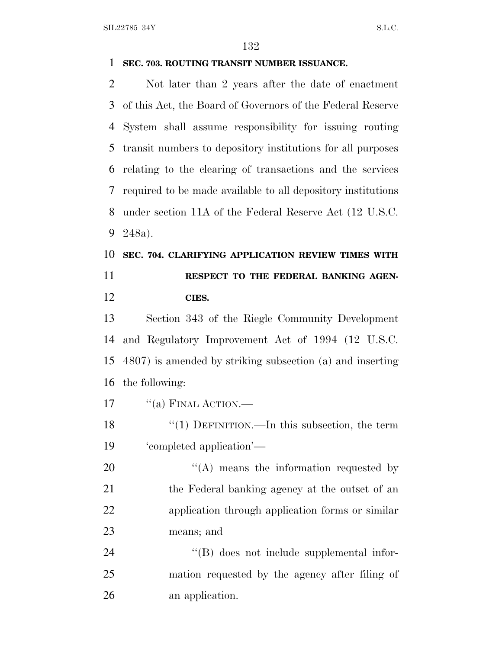### **SEC. 703. ROUTING TRANSIT NUMBER ISSUANCE.**

 Not later than 2 years after the date of enactment of this Act, the Board of Governors of the Federal Reserve System shall assume responsibility for issuing routing transit numbers to depository institutions for all purposes relating to the clearing of transactions and the services required to be made available to all depository institutions under section 11A of the Federal Reserve Act (12 U.S.C. 248a).

## **SEC. 704. CLARIFYING APPLICATION REVIEW TIMES WITH RESPECT TO THE FEDERAL BANKING AGEN-CIES.**

 Section 343 of the Riegle Community Development and Regulatory Improvement Act of 1994 (12 U.S.C. 4807) is amended by striking subsection (a) and inserting the following:

17  $"$ (a) FINAL ACTION.—

 ''(1) DEFINITION.—In this subsection, the term 'completed application'—

 $\langle (A)$  means the information requested by 21 the Federal banking agency at the outset of an application through application forms or similar means; and

24 ''(B) does not include supplemental infor- mation requested by the agency after filing of an application.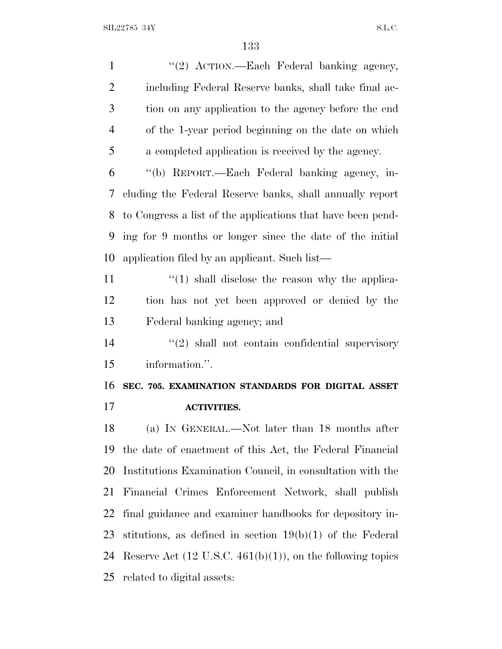1 "(2) ACTION.—Each Federal banking agency, including Federal Reserve banks, shall take final ac- tion on any application to the agency before the end of the 1-year period beginning on the date on which a completed application is received by the agency. ''(b) REPORT.—Each Federal banking agency, in- cluding the Federal Reserve banks, shall annually report to Congress a list of the applications that have been pend- ing for 9 months or longer since the date of the initial application filed by an applicant. Such list— 11 ''(1) shall disclose the reason why the applica- tion has not yet been approved or denied by the Federal banking agency; and 14 ''(2) shall not contain confidential supervisory information.''. **SEC. 705. EXAMINATION STANDARDS FOR DIGITAL ASSET ACTIVITIES.** (a) I<sup>N</sup> GENERAL.—Not later than 18 months after the date of enactment of this Act, the Federal Financial Institutions Examination Council, in consultation with the Financial Crimes Enforcement Network, shall publish final guidance and examiner handbooks for depository in- stitutions, as defined in section 19(b)(1) of the Federal 24 Reserve Act  $(12 \text{ U.S.C. } 461(b)(1))$ , on the following topics related to digital assets: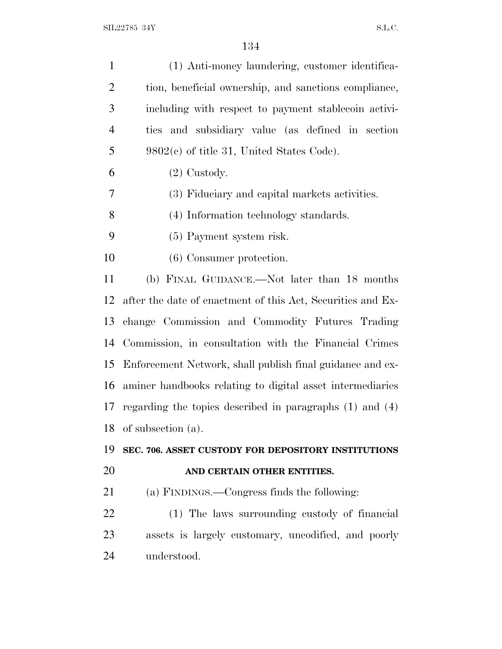| $\mathbf{1}$   | (1) Anti-money laundering, customer identifica-              |
|----------------|--------------------------------------------------------------|
| $\overline{2}$ | tion, beneficial ownership, and sanctions compliance,        |
| 3              | including with respect to payment stablecoin activi-         |
| $\overline{4}$ | ties and subsidiary value (as defined in section             |
| 5              | $9802(c)$ of title 31, United States Code).                  |
| 6              | $(2)$ Custody.                                               |
| 7              | (3) Fiduciary and capital markets activities.                |
| 8              | (4) Information technology standards.                        |
| 9              | (5) Payment system risk.                                     |
| 10             | (6) Consumer protection.                                     |
| 11             | (b) FINAL GUIDANCE.—Not later than 18 months                 |
| 12             | after the date of enactment of this Act, Securities and Ex-  |
| 13             | change Commission and Commodity Futures Trading              |
| 14             | Commission, in consultation with the Financial Crimes        |
| 15             | Enforcement Network, shall publish final guidance and ex-    |
| 16             | aminer handbooks relating to digital asset intermediaries    |
| 17             | regarding the topics described in paragraphs $(1)$ and $(4)$ |
| 18             | of subsection (a).                                           |
| 19             | SEC. 706. ASSET CUSTODY FOR DEPOSITORY INSTITUTIONS          |
| 20             | AND CERTAIN OTHER ENTITIES.                                  |
| 21             | (a) FINDINGS.—Congress finds the following:                  |
| 22             | (1) The laws surrounding custody of financial                |
| 23             | assets is largely customary, uncodified, and poorly          |
| 24             | understood.                                                  |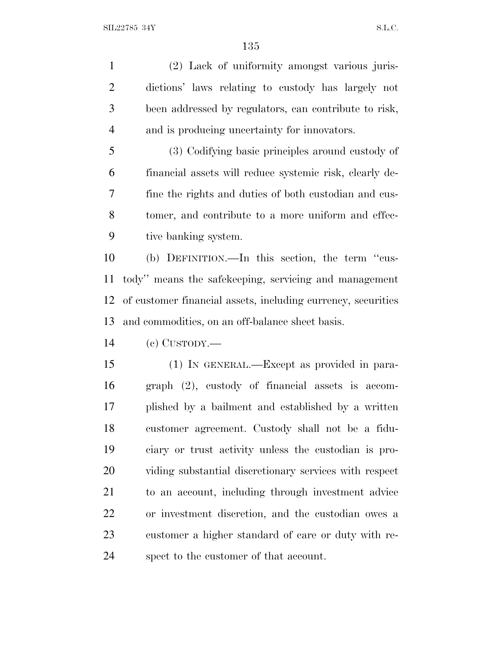(2) Lack of uniformity amongst various juris- dictions' laws relating to custody has largely not been addressed by regulators, can contribute to risk, and is producing uncertainty for innovators.

 (3) Codifying basic principles around custody of financial assets will reduce systemic risk, clearly de- fine the rights and duties of both custodian and cus- tomer, and contribute to a more uniform and effec-tive banking system.

 (b) DEFINITION.—In this section, the term ''cus- tody'' means the safekeeping, servicing and management of customer financial assets, including currency, securities and commodities, on an off-balance sheet basis.

(c) CUSTODY.—

 (1) IN GENERAL.—Except as provided in para- graph (2), custody of financial assets is accom- plished by a bailment and established by a written customer agreement. Custody shall not be a fidu- ciary or trust activity unless the custodian is pro- viding substantial discretionary services with respect to an account, including through investment advice or investment discretion, and the custodian owes a customer a higher standard of care or duty with re-spect to the customer of that account.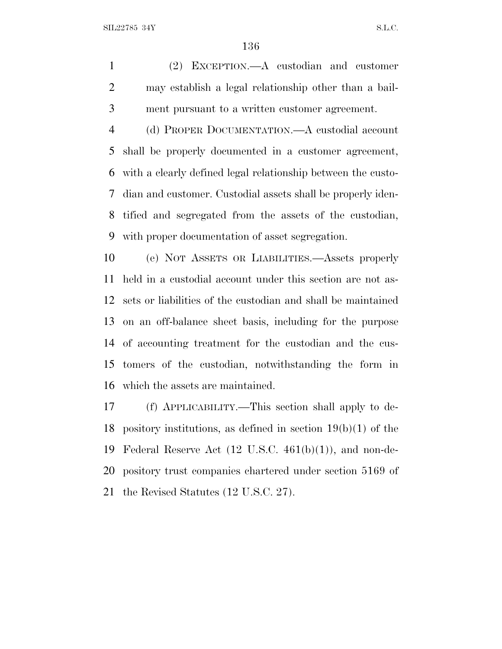(2) EXCEPTION.—A custodian and customer may establish a legal relationship other than a bail-ment pursuant to a written customer agreement.

 (d) PROPER DOCUMENTATION.—A custodial account shall be properly documented in a customer agreement, with a clearly defined legal relationship between the custo- dian and customer. Custodial assets shall be properly iden- tified and segregated from the assets of the custodian, with proper documentation of asset segregation.

 (e) NOT ASSETS OR LIABILITIES.—Assets properly held in a custodial account under this section are not as- sets or liabilities of the custodian and shall be maintained on an off-balance sheet basis, including for the purpose of accounting treatment for the custodian and the cus- tomers of the custodian, notwithstanding the form in which the assets are maintained.

 (f) APPLICABILITY.—This section shall apply to de- pository institutions, as defined in section 19(b)(1) of the Federal Reserve Act (12 U.S.C. 461(b)(1)), and non-de- pository trust companies chartered under section 5169 of the Revised Statutes (12 U.S.C. 27).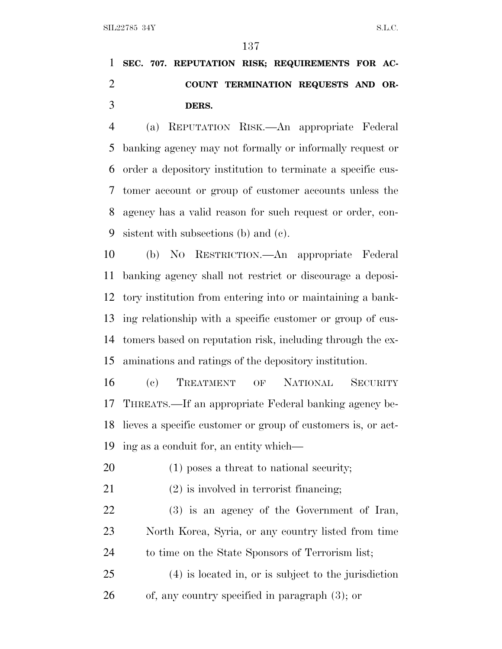# **SEC. 707. REPUTATION RISK; REQUIREMENTS FOR AC- COUNT TERMINATION REQUESTS AND OR-DERS.**

 (a) REPUTATION RISK.—An appropriate Federal banking agency may not formally or informally request or order a depository institution to terminate a specific cus- tomer account or group of customer accounts unless the agency has a valid reason for such request or order, con-sistent with subsections (b) and (c).

 (b) N<sup>O</sup> RESTRICTION.—An appropriate Federal banking agency shall not restrict or discourage a deposi- tory institution from entering into or maintaining a bank- ing relationship with a specific customer or group of cus- tomers based on reputation risk, including through the ex-aminations and ratings of the depository institution.

 (c) TREATMENT OF NATIONAL SECURITY THREATS.—If an appropriate Federal banking agency be- lieves a specific customer or group of customers is, or act-ing as a conduit for, an entity which—

- (1) poses a threat to national security;
- (2) is involved in terrorist financing;

 (3) is an agency of the Government of Iran, North Korea, Syria, or any country listed from time to time on the State Sponsors of Terrorism list;

 (4) is located in, or is subject to the jurisdiction of, any country specified in paragraph (3); or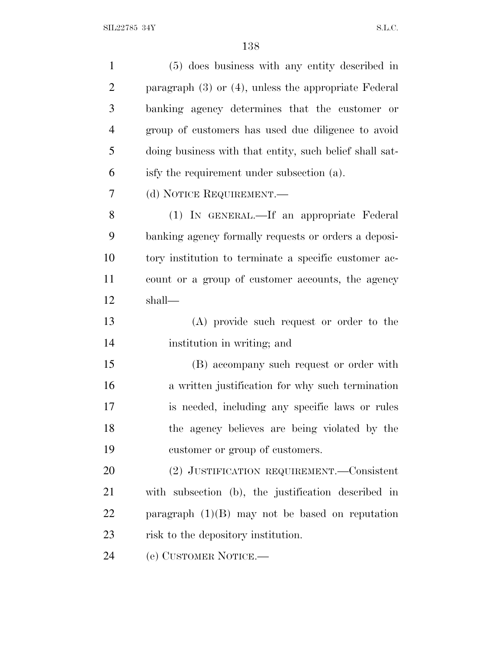| $\mathbf{1}$   | (5) does business with any entity described in            |
|----------------|-----------------------------------------------------------|
| $\overline{2}$ | paragraph $(3)$ or $(4)$ , unless the appropriate Federal |
| 3              | banking agency determines that the customer or            |
| $\overline{4}$ | group of customers has used due diligence to avoid        |
| 5              | doing business with that entity, such belief shall sat-   |
| 6              | isfy the requirement under subsection (a).                |
| 7              | (d) NOTICE REQUIREMENT.—                                  |
| 8              | (1) IN GENERAL.—If an appropriate Federal                 |
| 9              | banking agency formally requests or orders a deposi-      |
| 10             | tory institution to terminate a specific customer ac-     |
| 11             | count or a group of customer accounts, the agency         |
| 12             | shall—                                                    |
| 13             | (A) provide such request or order to the                  |
| 14             | institution in writing; and                               |
| 15             | (B) accompany such request or order with                  |
| 16             | a written justification for why such termination          |
| 17             | is needed, including any specific laws or rules           |
| 18             | the agency believes are being violated by the             |
| 19             | customer or group of customers.                           |
| 20             | (2) JUSTIFICATION REQUIREMENT. Consistent                 |
| 21             | with subsection (b), the justification described in       |
| 22             | paragraph $(1)(B)$ may not be based on reputation         |
| 23             | risk to the depository institution.                       |
| 24             | (e) CUSTOMER NOTICE.-                                     |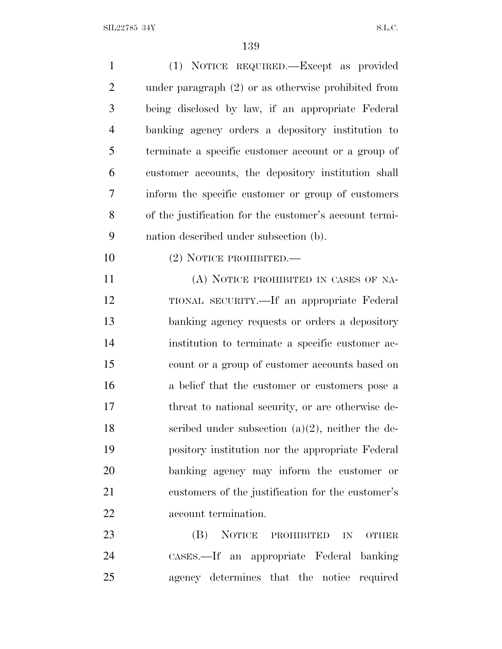| $\mathbf{1}$   | (1) NOTICE REQUIRED.—Except as provided                |
|----------------|--------------------------------------------------------|
| $\overline{2}$ | under paragraph $(2)$ or as otherwise prohibited from  |
| 3              | being disclosed by law, if an appropriate Federal      |
| $\overline{4}$ | banking agency orders a depository institution to      |
| 5              | terminate a specific customer account or a group of    |
| 6              | customer accounts, the depository institution shall    |
| 7              | inform the specific customer or group of customers     |
| 8              | of the justification for the customer's account termi- |
| 9              | nation described under subsection (b).                 |
| 10             | $(2)$ NOTICE PROHIBITED.—                              |
| 11             | (A) NOTICE PROHIBITED IN CASES OF NA-                  |
| 12             | TIONAL SECURITY.—If an appropriate Federal             |
| 13             | banking agency requests or orders a depository         |
| 14             | institution to terminate a specific customer ac-       |
| 15             | count or a group of customer accounts based on         |
| 16             | a belief that the customer or customers pose a         |
| 17             | threat to national security, or are otherwise de-      |
| 18             | scribed under subsection $(a)(2)$ , neither the de-    |
| 19             | pository institution nor the appropriate Federal       |
| 20             | banking agency may inform the customer or              |
| 21             | customers of the justification for the customer's      |
| 22             | account termination.                                   |
| 23             | NOTICE PROHIBITED<br>(B)<br>IN<br><b>OTHER</b>         |
| 24             | CASES.—If an appropriate Federal banking               |
| 25             | agency determines that the notice required             |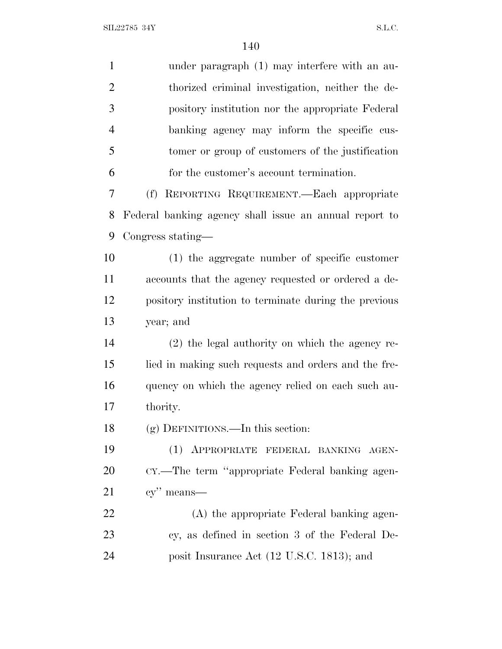| $\mathbf{1}$   | under paragraph (1) may interfere with an au-          |
|----------------|--------------------------------------------------------|
| $\overline{2}$ | thorized criminal investigation, neither the de-       |
| 3              | pository institution nor the appropriate Federal       |
| $\overline{4}$ | banking agency may inform the specific cus-            |
| 5              | tomer or group of customers of the justification       |
| 6              | for the customer's account termination.                |
| 7              | (f) REPORTING REQUIREMENT.—Each appropriate            |
| 8              | Federal banking agency shall issue an annual report to |
| 9              | Congress stating—                                      |
| 10             | (1) the aggregate number of specific customer          |
| 11             | accounts that the agency requested or ordered a de-    |
| 12             | pository institution to terminate during the previous  |
| 13             | year; and                                              |
| 14             | (2) the legal authority on which the agency re-        |
| 15             | lied in making such requests and orders and the fre-   |
| 16             | quency on which the agency relied on each such au-     |
| 17             | thority.                                               |
| 18             | (g) DEFINITIONS.—In this section:                      |
| 19             | (1) APPROPRIATE FEDERAL BANKING AGEN-                  |
| 20             | CY.—The term "appropriate Federal banking agen-        |
| 21             | cy" means—                                             |
| 22             | (A) the appropriate Federal banking agen-              |
| 23             | cy, as defined in section 3 of the Federal De-         |
| 24             | posit Insurance Act (12 U.S.C. 1813); and              |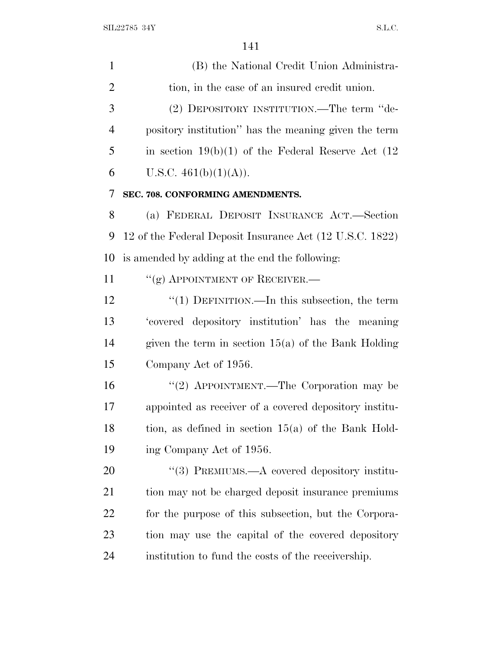(B) the National Credit Union Administra- tion, in the case of an insured credit union. (2) DEPOSITORY INSTITUTION.—The term ''de- pository institution'' has the meaning given the term 5 in section  $19(b)(1)$  of the Federal Reserve Act  $(12)$ 6 U.S.C.  $461(b)(1)(A)$ . **SEC. 708. CONFORMING AMENDMENTS.** (a) FEDERAL DEPOSIT INSURANCE ACT.—Section 12 of the Federal Deposit Insurance Act (12 U.S.C. 1822) is amended by adding at the end the following: 11 "(g) APPOINTMENT OF RECEIVER.— 12 '(1) DEFINITION.—In this subsection, the term 'covered depository institution' has the meaning given the term in section 15(a) of the Bank Holding Company Act of 1956. ''(2) APPOINTMENT.—The Corporation may be appointed as receiver of a covered depository institu- tion, as defined in section 15(a) of the Bank Hold-19 ing Company Act of 1956. 20 "(3) PREMIUMS.—A covered depository institu-21 tion may not be charged deposit insurance premiums for the purpose of this subsection, but the Corpora- tion may use the capital of the covered depository institution to fund the costs of the receivership.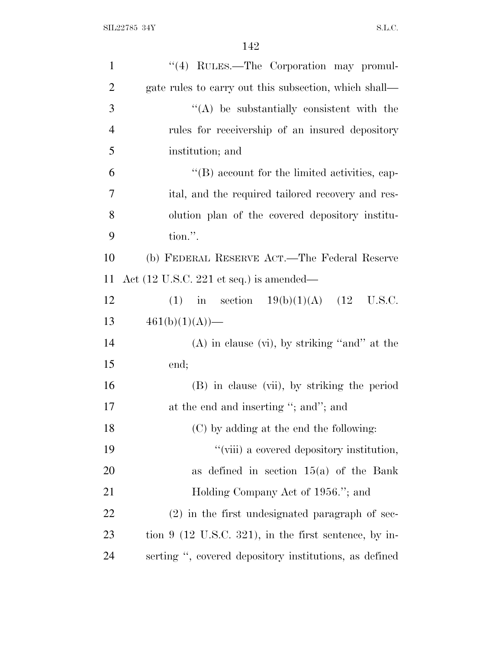| $\mathbf{1}$   | "(4) RULES.—The Corporation may promul-                    |
|----------------|------------------------------------------------------------|
| $\overline{2}$ | gate rules to carry out this subsection, which shall—      |
| 3              | $\lq\lq$ be substantially consistent with the              |
| $\overline{4}$ | rules for receivership of an insured depository            |
| 5              | institution; and                                           |
| 6              | $\lq\lq (B)$ account for the limited activities, cap-      |
| 7              | ital, and the required tailored recovery and res-          |
| 8              | olution plan of the covered depository institu-            |
| 9              | tion.".                                                    |
| 10             | (b) FEDERAL RESERVE ACT.—The Federal Reserve               |
| 11             | Act $(12 \text{ U.S.C. } 221 \text{ et seq.})$ is amended— |
| 12             | (1) in section $19(b)(1)(A)$ (12 U.S.C.                    |
| 13             | $461(b)(1)(A)$ —                                           |
| 14             | $(A)$ in clause (vi), by striking "and" at the             |
| 15             | end;                                                       |
| 16             | (B) in clause (vii), by striking the period                |
| 17             | at the end and inserting "; and"; and                      |
| 18             | (C) by adding at the end the following:                    |
| 19             | "(viii) a covered depository institution,                  |
| 20             | as defined in section $15(a)$ of the Bank                  |
| 21             | Holding Company Act of 1956."; and                         |
| 22             | $(2)$ in the first undesignated paragraph of sec-          |
| 23             | tion $9$ (12 U.S.C. 321), in the first sentence, by in-    |
| 24             | serting ", covered depository institutions, as defined     |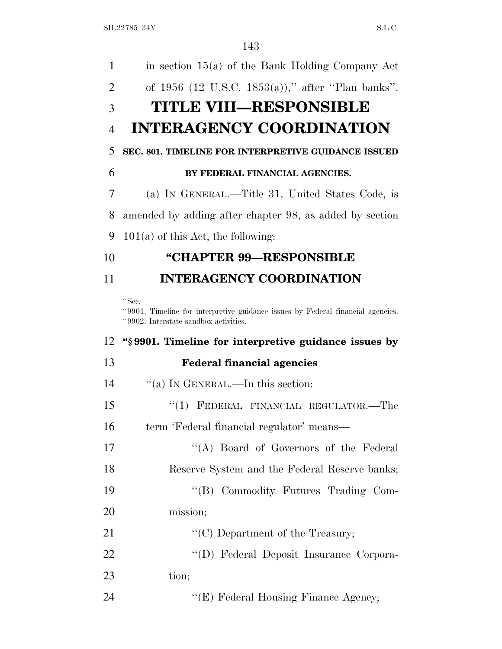| 1              | in section $15(a)$ of the Bank Holding Company Act                                                                                |
|----------------|-----------------------------------------------------------------------------------------------------------------------------------|
| 2              | of 1956 (12 U.S.C. 1853(a))," after "Plan banks".                                                                                 |
| 3              | <b>TITLE VIII—RESPONSIBLE</b>                                                                                                     |
| $\overline{4}$ | <b>INTERAGENCY COORDINATION</b>                                                                                                   |
| 5              | SEC. 801. TIMELINE FOR INTERPRETIVE GUIDANCE ISSUED                                                                               |
| 6              | BY FEDERAL FINANCIAL AGENCIES.                                                                                                    |
| 7              | (a) IN GENERAL.—Title 31, United States Code, is                                                                                  |
| 8              | amended by adding after chapter 98, as added by section                                                                           |
| 9              | $101(a)$ of this Act, the following:                                                                                              |
| 10             | "CHAPTER 99-RESPONSIBLE                                                                                                           |
| 11             | <b>INTERAGENCY COORDINATION</b>                                                                                                   |
|                | "Sec.<br>"9901. Timeline for interpretive guidance issues by Federal financial agencies.<br>"9902. Interstate sandbox activities. |
|                |                                                                                                                                   |
| 12             | "\\$9901. Timeline for interpretive guidance issues by                                                                            |
| 13             | <b>Federal financial agencies</b>                                                                                                 |
| 14             | "(a) IN GENERAL.—In this section:                                                                                                 |
| 15             | FEDERAL FINANCIAL REGULATOR.-The<br>``(1)                                                                                         |
| 16             | term 'Federal financial regulator' means-                                                                                         |
| 17             | "(A) Board of Governors of the Federal                                                                                            |
| 18             | Reserve System and the Federal Reserve banks;                                                                                     |
| 19             | "(B) Commodity Futures Trading Com-                                                                                               |
| 20             | mission;                                                                                                                          |
| 21             | "(C) Department of the Treasury;                                                                                                  |
| 22             | "(D) Federal Deposit Insurance Corpora-                                                                                           |
| 23             | tion;                                                                                                                             |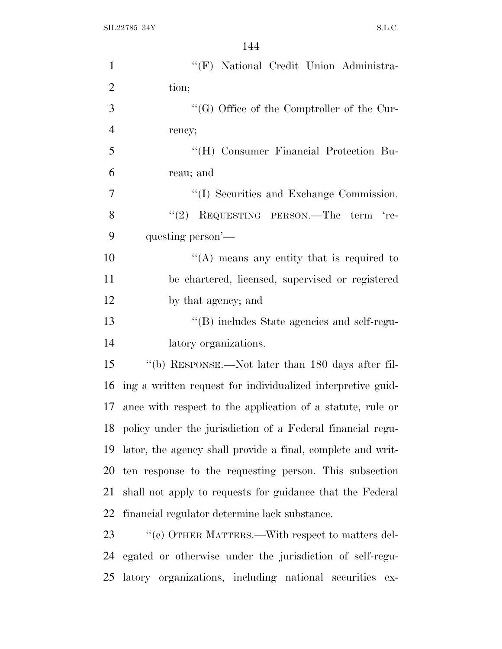| $\mathbf{1}$   | "(F) National Credit Union Administra-                        |
|----------------|---------------------------------------------------------------|
| $\overline{2}$ | tion;                                                         |
| $\mathfrak{Z}$ | $\lq\lq(G)$ Office of the Comptroller of the Cur-             |
| $\overline{4}$ | rency;                                                        |
| 5              | "(H) Consumer Financial Protection Bu-                        |
| 6              | reau; and                                                     |
| $\overline{7}$ | "(I) Securities and Exchange Commission.                      |
| 8              | "(2) REQUESTING PERSON.—The term 're-                         |
| 9              | questing person'—                                             |
| 10             | "(A) means any entity that is required to                     |
| 11             | be chartered, licensed, supervised or registered              |
| 12             | by that agency; and                                           |
| 13             | "(B) includes State agencies and self-regu-                   |
| 14             | latory organizations.                                         |
| 15             | "(b) RESPONSE.—Not later than 180 days after fil-             |
| 16             | ing a written request for individualized interpretive guid-   |
| 17             | ance with respect to the application of a statute, rule or    |
|                | 18 policy under the jurisdiction of a Federal financial regu- |
| 19             | lator, the agency shall provide a final, complete and writ-   |
| 20             | ten response to the requesting person. This subsection        |
| 21             | shall not apply to requests for guidance that the Federal     |
| 22             | financial regulator determine lack substance.                 |
| 23             | "(c) OTHER MATTERS.—With respect to matters del-              |
| 24             | egated or otherwise under the jurisdiction of self-regu-      |
| 25             | latory organizations, including national securities ex-       |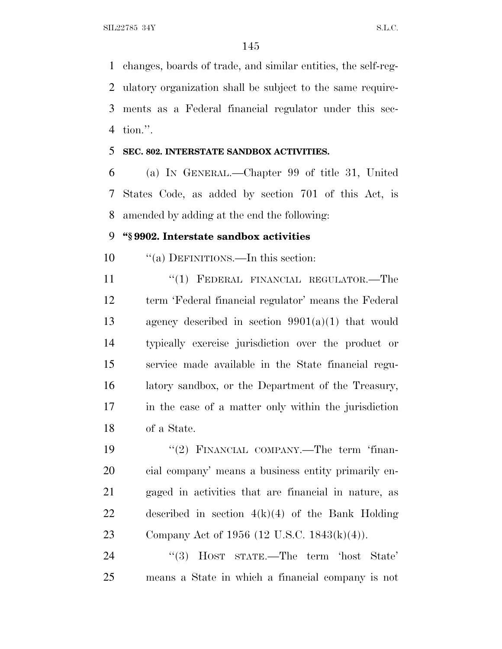changes, boards of trade, and similar entities, the self-reg- ulatory organization shall be subject to the same require- ments as a Federal financial regulator under this sec-tion.''.

#### **SEC. 802. INTERSTATE SANDBOX ACTIVITIES.**

 (a) I<sup>N</sup> GENERAL.—Chapter 99 of title 31, United States Code, as added by section 701 of this Act, is amended by adding at the end the following:

### **''§ 9902. Interstate sandbox activities**

''(a) DEFINITIONS.—In this section:

11 "(1) FEDERAL FINANCIAL REGULATOR.—The term 'Federal financial regulator' means the Federal agency described in section 9901(a)(1) that would typically exercise jurisdiction over the product or service made available in the State financial regu- latory sandbox, or the Department of the Treasury, in the case of a matter only within the jurisdiction of a State.

19 "(2) FINANCIAL COMPANY.—The term 'finan- cial company' means a business entity primarily en- gaged in activities that are financial in nature, as described in section 4(k)(4) of the Bank Holding Company Act of 1956 (12 U.S.C. 1843(k)(4)).

 ''(3) HOST STATE.—The term 'host State' means a State in which a financial company is not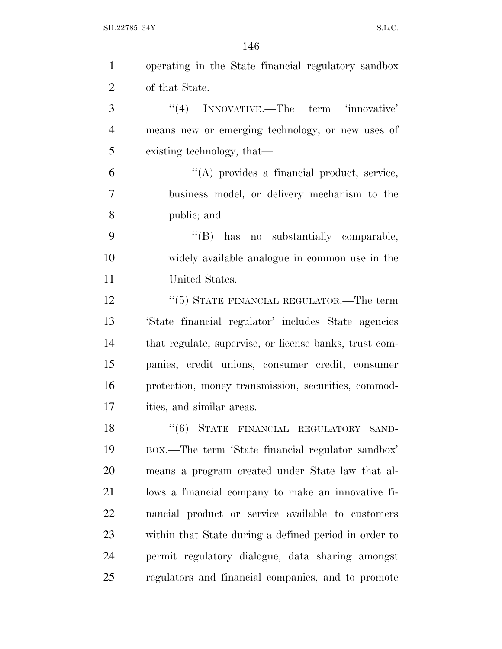$\text{SIL} 22785 \text{ } 34\text{Y} \tag{S.L.C.}$ 

| $\mathbf{1}$   | operating in the State financial regulatory sandbox    |
|----------------|--------------------------------------------------------|
| $\overline{2}$ | of that State.                                         |
| 3              | "(4) INNOVATIVE.—The term 'innovative'                 |
| $\overline{4}$ | means new or emerging technology, or new uses of       |
| 5              | existing technology, that—                             |
| 6              | "(A) provides a financial product, service,            |
| 7              | business model, or delivery mechanism to the           |
| 8              | public; and                                            |
| 9              | "(B) has no substantially comparable,                  |
| 10             | widely available analogue in common use in the         |
| 11             | United States.                                         |
| 12             | "(5) STATE FINANCIAL REGULATOR.—The term               |
| 13             | 'State financial regulator' includes State agencies    |
| 14             | that regulate, supervise, or license banks, trust com- |
| 15             | panies, credit unions, consumer credit, consumer       |
| 16             | protection, money transmission, securities, commod-    |
| 17             | ities, and similar areas.                              |
| 18             | "(6) STATE FINANCIAL REGULATORY SAND-                  |
| 19             | BOX.—The term 'State financial regulator sandbox'      |
| 20             | means a program created under State law that al-       |
| 21             | lows a financial company to make an innovative fi-     |
| 22             | nancial product or service available to customers      |
| 23             | within that State during a defined period in order to  |
| 24             | permit regulatory dialogue, data sharing amongst       |
| 25             | regulators and financial companies, and to promote     |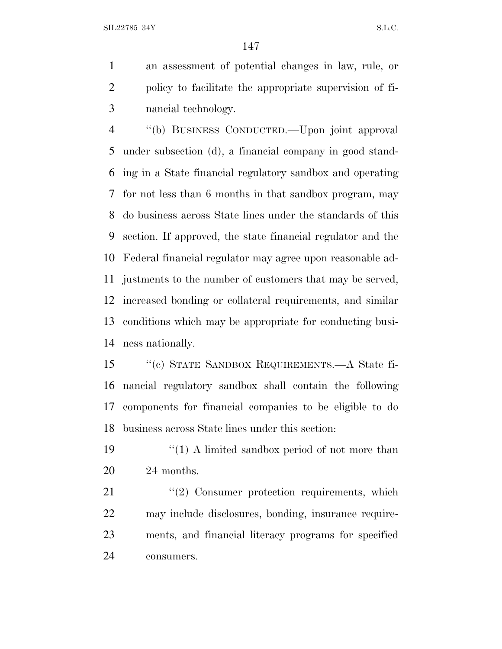SIL22785 34Y S.L.C.

 an assessment of potential changes in law, rule, or policy to facilitate the appropriate supervision of fi-nancial technology.

 ''(b) BUSINESS CONDUCTED.—Upon joint approval under subsection (d), a financial company in good stand- ing in a State financial regulatory sandbox and operating for not less than 6 months in that sandbox program, may do business across State lines under the standards of this section. If approved, the state financial regulator and the Federal financial regulator may agree upon reasonable ad- justments to the number of customers that may be served, increased bonding or collateral requirements, and similar conditions which may be appropriate for conducting busi-ness nationally.

 ''(c) STATE SANDBOX REQUIREMENTS.—A State fi- nancial regulatory sandbox shall contain the following components for financial companies to be eligible to do business across State lines under this section:

19  $\frac{1}{2}$  (1) A limited sandbox period of not more than 24 months.

21 ''(2) Consumer protection requirements, which may include disclosures, bonding, insurance require- ments, and financial literacy programs for specified consumers.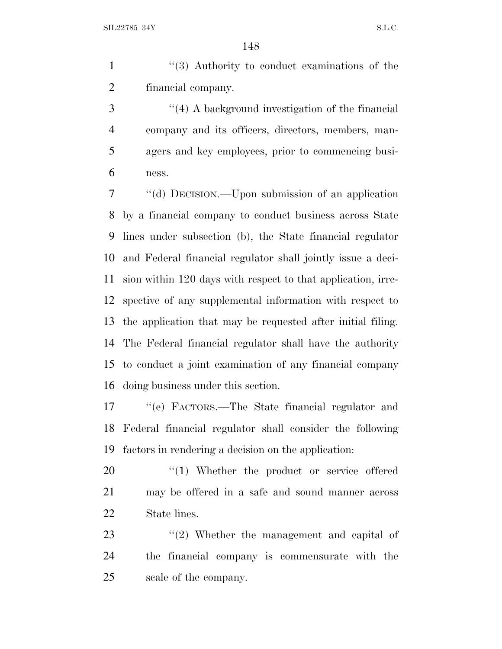1 ''(3) Authority to conduct examinations of the financial company.

 ''(4) A background investigation of the financial company and its officers, directors, members, man- agers and key employees, prior to commencing busi-ness.

 ''(d) DECISION.—Upon submission of an application by a financial company to conduct business across State lines under subsection (b), the State financial regulator and Federal financial regulator shall jointly issue a deci- sion within 120 days with respect to that application, irre- spective of any supplemental information with respect to the application that may be requested after initial filing. The Federal financial regulator shall have the authority to conduct a joint examination of any financial company doing business under this section.

 ''(e) FACTORS.—The State financial regulator and Federal financial regulator shall consider the following factors in rendering a decision on the application:

20  $\frac{1}{20}$  /(1) Whether the product or service offered may be offered in a safe and sound manner across State lines.

23 ''(2) Whether the management and capital of the financial company is commensurate with the scale of the company.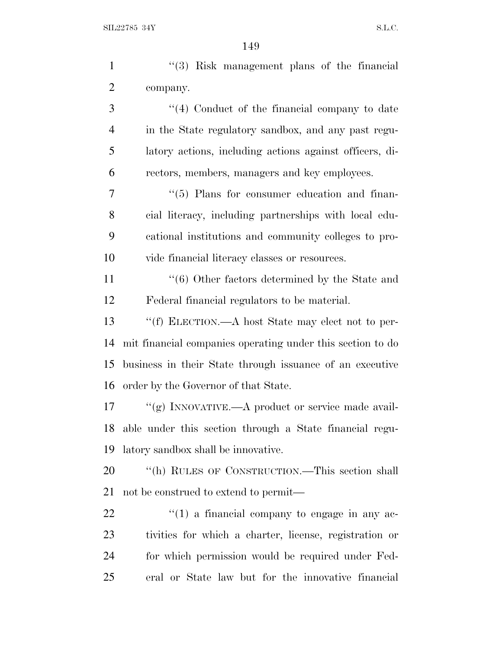| $\mathbf{1}$   | $(3)$ Risk management plans of the financial               |
|----------------|------------------------------------------------------------|
| $\overline{2}$ | company.                                                   |
| 3              | $\lq(4)$ Conduct of the financial company to date          |
| 4              | in the State regulatory sandbox, and any past regu-        |
| 5              | latory actions, including actions against officers, di-    |
| 6              | rectors, members, managers and key employees.              |
| 7              | $\lq(5)$ Plans for consumer education and finan-           |
| 8              | cial literacy, including partnerships with local edu-      |
| 9              | cational institutions and community colleges to pro-       |
| 10             | vide financial literacy classes or resources.              |
| 11             | $\cdot\cdot$ (6) Other factors determined by the State and |
| 12             | Federal financial regulators to be material.               |
| 13             | "(f) ELECTION.—A host State may elect not to per-          |
| 14             | mit financial companies operating under this section to do |
| 15             | business in their State through issuance of an executive   |
| 16             | order by the Governor of that State.                       |
| 17             | "(g) INNOVATIVE.—A product or service made avail-          |
| 18             | able under this section through a State financial regu-    |
| 19             | latory sandbox shall be innovative.                        |
| 20             | "(h) RULES OF CONSTRUCTION.—This section shall             |
| 21             | not be construed to extend to permit—                      |
| 22             | $\lq(1)$ a financial company to engage in any ac-          |
| 23             | tivities for which a charter, license, registration or     |
| 24             | for which permission would be required under Fed-          |
| 25             | eral or State law but for the innovative financial         |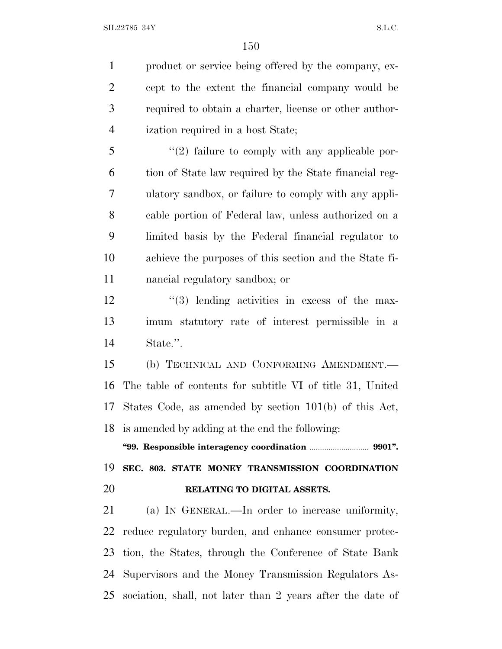product or service being offered by the company, ex- cept to the extent the financial company would be required to obtain a charter, license or other author- ization required in a host State; 5 "(2) failure to comply with any applicable por-

 tion of State law required by the State financial reg- ulatory sandbox, or failure to comply with any appli- cable portion of Federal law, unless authorized on a limited basis by the Federal financial regulator to achieve the purposes of this section and the State fi-nancial regulatory sandbox; or

12 ''(3) lending activities in excess of the max- imum statutory rate of interest permissible in a State.''.

 (b) TECHNICAL AND CONFORMING AMENDMENT.— The table of contents for subtitle VI of title 31, United States Code, as amended by section 101(b) of this Act, is amended by adding at the end the following:

**''99. Responsible interagency coordination** ............................ **9901''.**

 **SEC. 803. STATE MONEY TRANSMISSION COORDINATION RELATING TO DIGITAL ASSETS.**

 (a) I<sup>N</sup> GENERAL.—In order to increase uniformity, reduce regulatory burden, and enhance consumer protec- tion, the States, through the Conference of State Bank Supervisors and the Money Transmission Regulators As-sociation, shall, not later than 2 years after the date of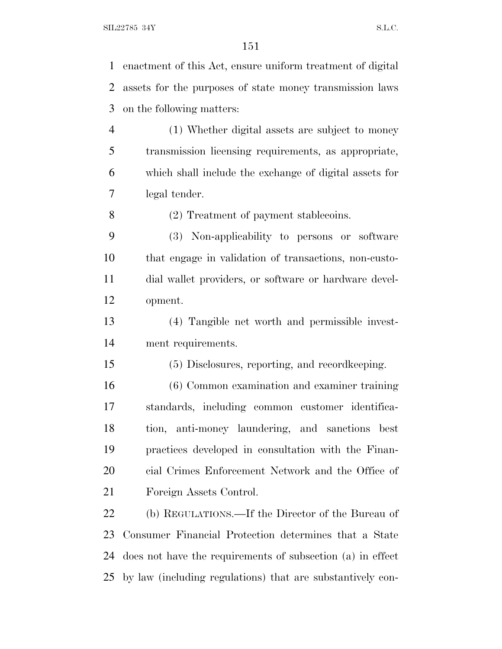SIL22785 34Y S.L.C.

| $\mathbf{1}$   | enactment of this Act, ensure uniform treatment of digital |
|----------------|------------------------------------------------------------|
| $\overline{2}$ | assets for the purposes of state money transmission laws   |
| 3              | on the following matters:                                  |
| $\overline{4}$ | (1) Whether digital assets are subject to money            |
| 5              | transmission licensing requirements, as appropriate,       |
| 6              | which shall include the exchange of digital assets for     |
| $\overline{7}$ | legal tender.                                              |
| 8              | (2) Treatment of payment stablecoins.                      |
| 9              | (3) Non-applicability to persons or software               |
| 10             | that engage in validation of transactions, non-custo-      |
| 11             | dial wallet providers, or software or hardware devel-      |
| 12             | opment.                                                    |
| 13             | (4) Tangible net worth and permissible invest-             |
| 14             | ment requirements.                                         |
| 15             | (5) Disclosures, reporting, and record keeping.            |
| 16             | (6) Common examination and examiner training               |
| 17             | standards, including common customer identifica-           |
| 18             | tion, anti-money laundering, and sanctions best            |
| 19             | practices developed in consultation with the Finan-        |
| 20             | cial Crimes Enforcement Network and the Office of          |
| 21             | Foreign Assets Control.                                    |
| 22             | (b) REGULATIONS.—If the Director of the Bureau of          |
| 23             | Consumer Financial Protection determines that a State      |
| 24             | does not have the requirements of subsection (a) in effect |
| 25             | by law (including regulations) that are substantively con- |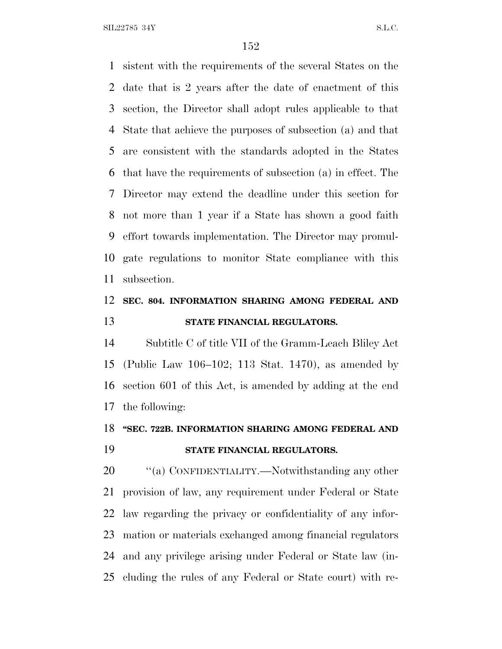$SLL22785$  34Y S.L.C.

 sistent with the requirements of the several States on the date that is 2 years after the date of enactment of this section, the Director shall adopt rules applicable to that State that achieve the purposes of subsection (a) and that are consistent with the standards adopted in the States that have the requirements of subsection (a) in effect. The Director may extend the deadline under this section for not more than 1 year if a State has shown a good faith effort towards implementation. The Director may promul- gate regulations to monitor State compliance with this subsection.

## **SEC. 804. INFORMATION SHARING AMONG FEDERAL AND STATE FINANCIAL REGULATORS.**

 Subtitle C of title VII of the Gramm-Leach Bliley Act (Public Law 106–102; 113 Stat. 1470), as amended by section 601 of this Act, is amended by adding at the end the following:

# **''SEC. 722B. INFORMATION SHARING AMONG FEDERAL AND**

## **STATE FINANCIAL REGULATORS.**

20 "(a) CONFIDENTIALITY.—Notwithstanding any other provision of law, any requirement under Federal or State law regarding the privacy or confidentiality of any infor- mation or materials exchanged among financial regulators and any privilege arising under Federal or State law (in-cluding the rules of any Federal or State court) with re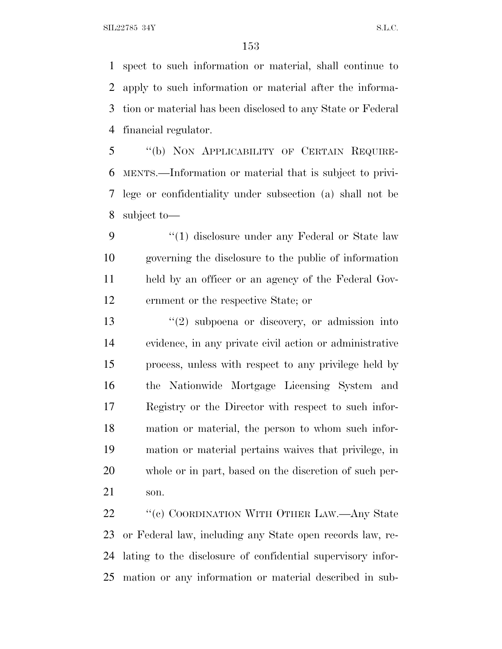SIL22785 34Y S.L.C.

 spect to such information or material, shall continue to apply to such information or material after the informa- tion or material has been disclosed to any State or Federal financial regulator.

 ''(b) NON APPLICABILITY OF CERTAIN REQUIRE- MENTS.—Information or material that is subject to privi- lege or confidentiality under subsection (a) shall not be subject to—

9 "(1) disclosure under any Federal or State law governing the disclosure to the public of information held by an officer or an agency of the Federal Gov-ernment or the respective State; or

 ''(2) subpoena or discovery, or admission into evidence, in any private civil action or administrative process, unless with respect to any privilege held by the Nationwide Mortgage Licensing System and Registry or the Director with respect to such infor- mation or material, the person to whom such infor- mation or material pertains waives that privilege, in whole or in part, based on the discretion of such per-son.

22 "'(c) COORDINATION WITH OTHER LAW.—Any State or Federal law, including any State open records law, re- lating to the disclosure of confidential supervisory infor-mation or any information or material described in sub-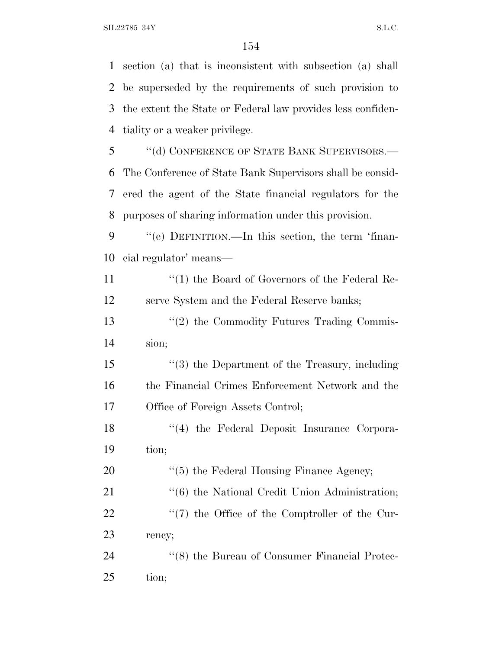section (a) that is inconsistent with subsection (a) shall be superseded by the requirements of such provision to the extent the State or Federal law provides less confiden- tiality or a weaker privilege. 5 "(d) CONFERENCE OF STATE BANK SUPERVISORS.— The Conference of State Bank Supervisors shall be consid- ered the agent of the State financial regulators for the purposes of sharing information under this provision. ''(e) DEFINITION.—In this section, the term 'finan- cial regulator' means— 11 ''(1) the Board of Governors of the Federal Re- serve System and the Federal Reserve banks; 13 ''(2) the Commodity Futures Trading Commis- sion; ''(3) the Department of the Treasury, including the Financial Crimes Enforcement Network and the Office of Foreign Assets Control; 18 ''(4) the Federal Deposit Insurance Corpora- tion; 20  $\frac{1}{20}$  (5) the Federal Housing Finance Agency; 21 ''(6) the National Credit Union Administration; 22  $\frac{1}{2}$  (7) the Office of the Comptroller of the Cur- rency; 24 ''(8) the Bureau of Consumer Financial Protec-tion;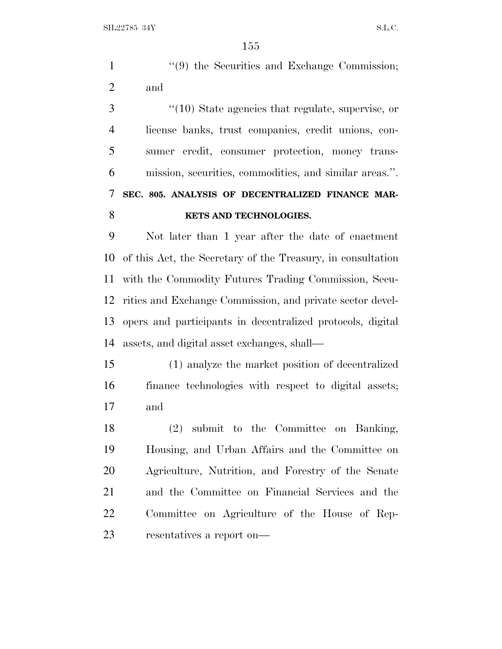|     |  |  | $\lq(9)$ the Securities and Exchange Commission; |
|-----|--|--|--------------------------------------------------|
| and |  |  |                                                  |

 ''(10) State agencies that regulate, supervise, or license banks, trust companies, credit unions, con- sumer credit, consumer protection, money trans- mission, securities, commodities, and similar areas.''. **SEC. 805. ANALYSIS OF DECENTRALIZED FINANCE MAR-KETS AND TECHNOLOGIES.**

 Not later than 1 year after the date of enactment of this Act, the Secretary of the Treasury, in consultation with the Commodity Futures Trading Commission, Secu- rities and Exchange Commission, and private sector devel- opers and participants in decentralized protocols, digital assets, and digital asset exchanges, shall—

 (1) analyze the market position of decentralized finance technologies with respect to digital assets; and

 (2) submit to the Committee on Banking, Housing, and Urban Affairs and the Committee on Agriculture, Nutrition, and Forestry of the Senate and the Committee on Financial Services and the Committee on Agriculture of the House of Rep-resentatives a report on—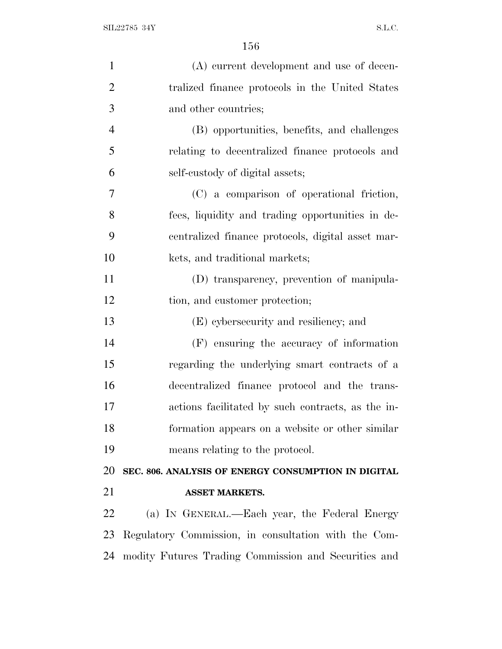| $\mathbf{1}$   | (A) current development and use of decen-            |
|----------------|------------------------------------------------------|
| $\overline{2}$ | tralized finance protocols in the United States      |
| 3              | and other countries;                                 |
| $\overline{4}$ | (B) opportunities, benefits, and challenges          |
| 5              | relating to decentralized finance protocols and      |
| 6              | self-custody of digital assets;                      |
| 7              | (C) a comparison of operational friction,            |
| 8              | fees, liquidity and trading opportunities in de-     |
| 9              | centralized finance protocols, digital asset mar-    |
| 10             | kets, and traditional markets;                       |
| 11             | (D) transparency, prevention of manipula-            |
| 12             | tion, and customer protection;                       |
| 13             | (E) cybersecurity and resiliency; and                |
| 14             | (F) ensuring the accuracy of information             |
| 15             | regarding the underlying smart contracts of a        |
| 16             | decentralized finance protocol and the trans-        |
| 17             | actions facilitated by such contracts, as the in-    |
| 18             | formation appears on a website or other similar      |
| 19             | means relating to the protocol.                      |
| 20             | SEC. 806. ANALYSIS OF ENERGY CONSUMPTION IN DIGITAL  |
| 21             | <b>ASSET MARKETS.</b>                                |
| 22             | (a) IN GENERAL.—Each year, the Federal Energy        |
| 23             | Regulatory Commission, in consultation with the Com- |
| 24             | modity Futures Trading Commission and Securities and |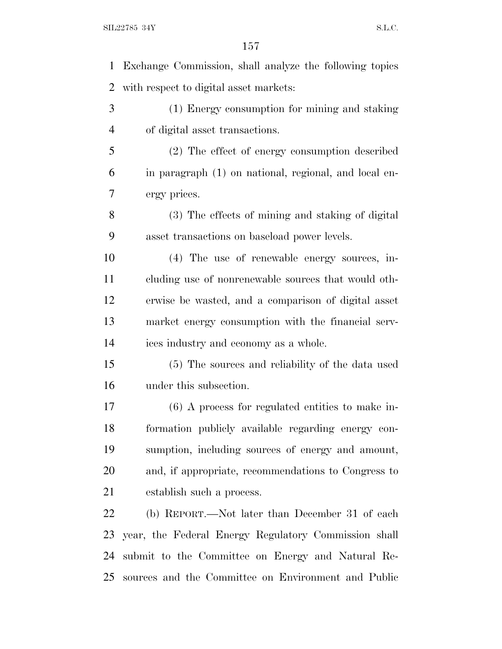SIL22785 34Y S.L.C.

 Exchange Commission, shall analyze the following topics with respect to digital asset markets: (1) Energy consumption for mining and staking of digital asset transactions. (2) The effect of energy consumption described in paragraph (1) on national, regional, and local en- ergy prices. (3) The effects of mining and staking of digital asset transactions on baseload power levels. (4) The use of renewable energy sources, in- cluding use of nonrenewable sources that would oth- erwise be wasted, and a comparison of digital asset market energy consumption with the financial serv- ices industry and economy as a whole. (5) The sources and reliability of the data used under this subsection. (6) A process for regulated entities to make in- formation publicly available regarding energy con- sumption, including sources of energy and amount, and, if appropriate, recommendations to Congress to establish such a process. (b) REPORT.—Not later than December 31 of each year, the Federal Energy Regulatory Commission shall submit to the Committee on Energy and Natural Re-sources and the Committee on Environment and Public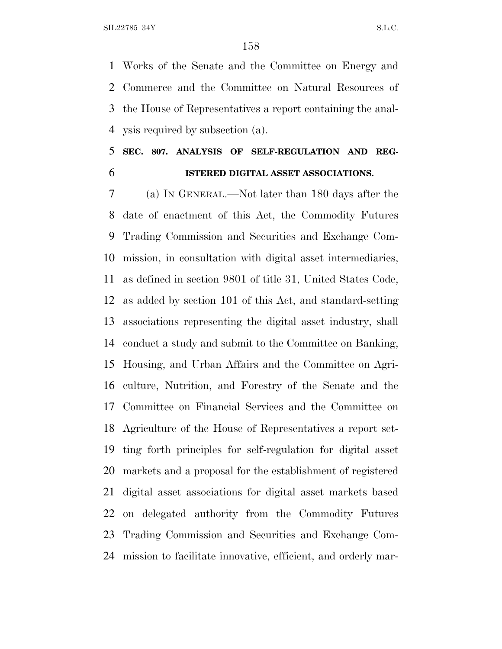Works of the Senate and the Committee on Energy and Commerce and the Committee on Natural Resources of the House of Representatives a report containing the anal-ysis required by subsection (a).

# **SEC. 807. ANALYSIS OF SELF-REGULATION AND REG-ISTERED DIGITAL ASSET ASSOCIATIONS.**

 (a) I<sup>N</sup> GENERAL.—Not later than 180 days after the date of enactment of this Act, the Commodity Futures Trading Commission and Securities and Exchange Com- mission, in consultation with digital asset intermediaries, as defined in section 9801 of title 31, United States Code, as added by section 101 of this Act, and standard-setting associations representing the digital asset industry, shall conduct a study and submit to the Committee on Banking, Housing, and Urban Affairs and the Committee on Agri- culture, Nutrition, and Forestry of the Senate and the Committee on Financial Services and the Committee on Agriculture of the House of Representatives a report set- ting forth principles for self-regulation for digital asset markets and a proposal for the establishment of registered digital asset associations for digital asset markets based on delegated authority from the Commodity Futures Trading Commission and Securities and Exchange Com-mission to facilitate innovative, efficient, and orderly mar-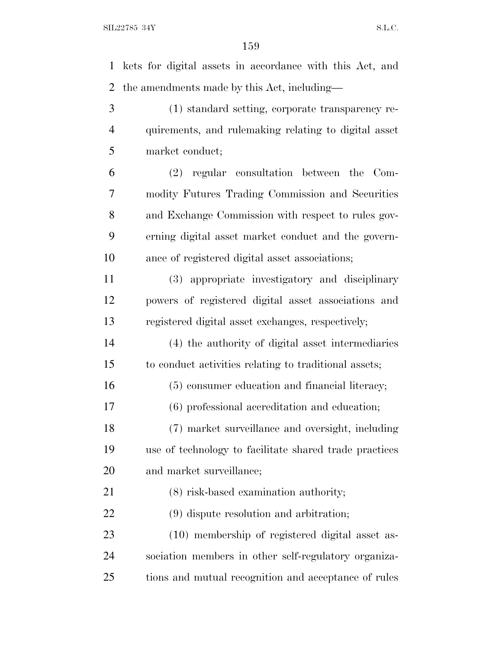kets for digital assets in accordance with this Act, and the amendments made by this Act, including— (1) standard setting, corporate transparency re- quirements, and rulemaking relating to digital asset market conduct;

 (2) regular consultation between the Com- modity Futures Trading Commission and Securities and Exchange Commission with respect to rules gov- erning digital asset market conduct and the govern-ance of registered digital asset associations;

 (3) appropriate investigatory and disciplinary powers of registered digital asset associations and registered digital asset exchanges, respectively;

 (4) the authority of digital asset intermediaries to conduct activities relating to traditional assets;

(5) consumer education and financial literacy;

(6) professional accreditation and education;

 (7) market surveillance and oversight, including use of technology to facilitate shared trade practices and market surveillance;

 (8) risk-based examination authority; (9) dispute resolution and arbitration;

 (10) membership of registered digital asset as- sociation members in other self-regulatory organiza-tions and mutual recognition and acceptance of rules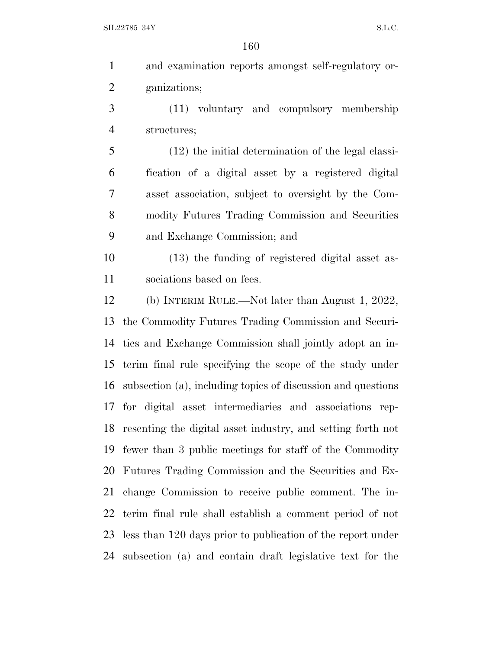| $\mathbf{1}$   | and examination reports amongst self-regulatory or-            |
|----------------|----------------------------------------------------------------|
| $\overline{2}$ | ganizations;                                                   |
| 3              | (11) voluntary and compulsory membership                       |
| $\overline{4}$ | structures;                                                    |
| 5              | $(12)$ the initial determination of the legal classi-          |
| 6              | fication of a digital asset by a registered digital            |
| 7              | asset association, subject to oversight by the Com-            |
| 8              | modity Futures Trading Commission and Securities               |
| 9              | and Exchange Commission; and                                   |
| 10             | (13) the funding of registered digital asset as-               |
| 11             | sociations based on fees.                                      |
| 12             | (b) INTERIM RULE.—Not later than August 1, 2022,               |
| 13             | the Commodity Futures Trading Commission and Securi-           |
| 14             | ties and Exchange Commission shall jointly adopt an in-        |
| 15             | terim final rule specifying the scope of the study under       |
| 16             | subsection (a), including topics of discussion and questions   |
|                | 17 for digital asset intermediaries and associations rep-      |
|                | 18 resenting the digital asset industry, and setting forth not |
| 19             | fewer than 3 public meetings for staff of the Commodity        |
| 20             | Futures Trading Commission and the Securities and Ex-          |
| 21             | change Commission to receive public comment. The in-           |
| 22             | terim final rule shall establish a comment period of not       |
| 23             | less than 120 days prior to publication of the report under    |
| 24             | subsection (a) and contain draft legislative text for the      |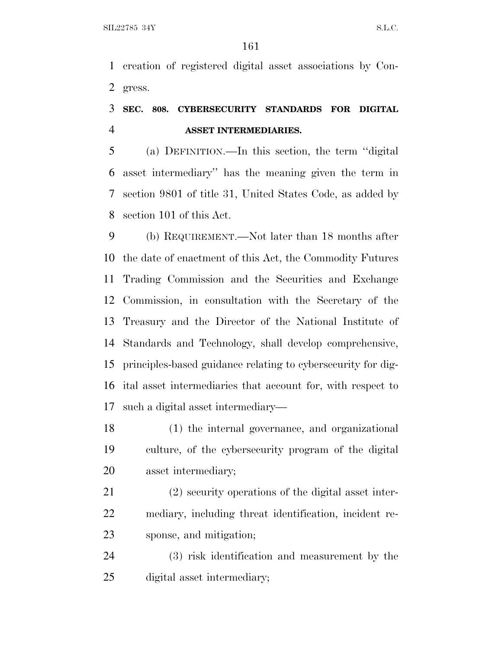creation of registered digital asset associations by Con-gress.

## **SEC. 808. CYBERSECURITY STANDARDS FOR DIGITAL ASSET INTERMEDIARIES.**

 (a) DEFINITION.—In this section, the term ''digital asset intermediary'' has the meaning given the term in section 9801 of title 31, United States Code, as added by section 101 of this Act.

 (b) REQUIREMENT.—Not later than 18 months after the date of enactment of this Act, the Commodity Futures Trading Commission and the Securities and Exchange Commission, in consultation with the Secretary of the Treasury and the Director of the National Institute of Standards and Technology, shall develop comprehensive, principles-based guidance relating to cybersecurity for dig- ital asset intermediaries that account for, with respect to such a digital asset intermediary—

 (1) the internal governance, and organizational culture, of the cybersecurity program of the digital asset intermediary;

 (2) security operations of the digital asset inter- mediary, including threat identification, incident re-sponse, and mitigation;

 (3) risk identification and measurement by the digital asset intermediary;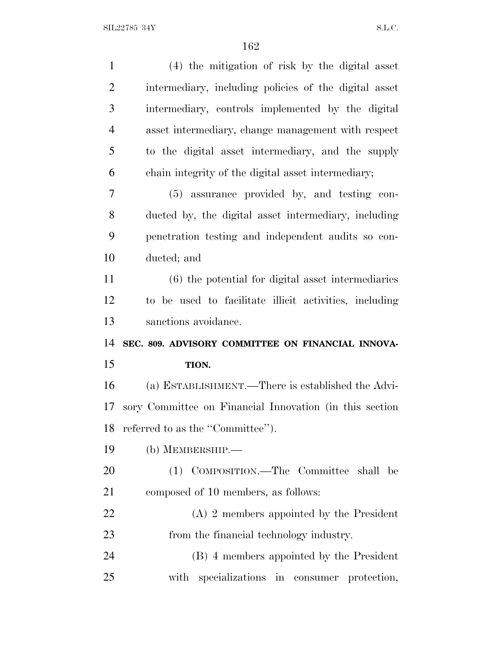| $\mathbf{1}$   | (4) the mitigation of risk by the digital asset         |
|----------------|---------------------------------------------------------|
| $\overline{2}$ | intermediary, including policies of the digital asset   |
| 3              | intermediary, controls implemented by the digital       |
| $\overline{4}$ | asset intermediary, change management with respect      |
| 5              | to the digital asset intermediary, and the supply       |
| 6              | chain integrity of the digital asset intermediary;      |
| 7              | (5) assurance provided by, and testing con-             |
| 8              | ducted by, the digital asset intermediary, including    |
| 9              | penetration testing and independent audits so con-      |
| 10             | ducted; and                                             |
| 11             | $(6)$ the potential for digital asset intermediaries    |
| 12             | to be used to facilitate illicit activities, including  |
|                |                                                         |
| 13             | sanctions avoidance.                                    |
| 14             | SEC. 809. ADVISORY COMMITTEE ON FINANCIAL INNOVA-       |
| 15             | TION.                                                   |
| 16             | (a) ESTABLISHMENT.—There is established the Advi-       |
| 17             | sory Committee on Financial Innovation (in this section |
| 18             | referred to as the "Committee".                         |
| 19             | (b) MEMBERSHIP.—                                        |
| 20             | (1) COMPOSITION.—The Committee shall be                 |
| 21             | composed of 10 members, as follows:                     |
| 22             | $(A)$ 2 members appointed by the President              |
| 23             | from the financial technology industry.                 |
| 24             | (B) 4 members appointed by the President                |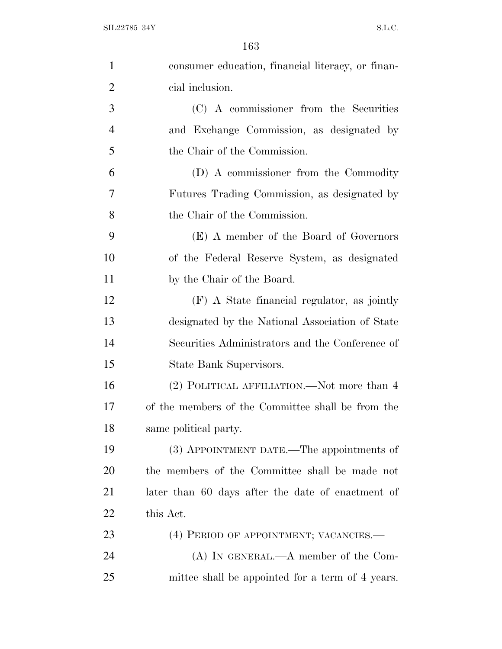| $\mathbf{1}$   | consumer education, financial literacy, or finan- |
|----------------|---------------------------------------------------|
| $\overline{2}$ | cial inclusion.                                   |
| 3              | (C) A commissioner from the Securities            |
| 4              | and Exchange Commission, as designated by         |
| 5              | the Chair of the Commission.                      |
| 6              | (D) A commissioner from the Commodity             |
| 7              | Futures Trading Commission, as designated by      |
| 8              | the Chair of the Commission.                      |
| 9              | (E) A member of the Board of Governors            |
| 10             | of the Federal Reserve System, as designated      |
| 11             | by the Chair of the Board.                        |
| 12             | (F) A State financial regulator, as jointly       |
| 13             | designated by the National Association of State   |
| 14             | Securities Administrators and the Conference of   |
| 15             | State Bank Supervisors.                           |
| 16             | (2) POLITICAL AFFILIATION.—Not more than 4        |
| 17             | of the members of the Committee shall be from the |
| 18             | same political party.                             |
| 19             | (3) APPOINTMENT DATE.—The appointments of         |
| 20             | the members of the Committee shall be made not    |
| 21             | later than 60 days after the date of enactment of |
| 22             | this Act.                                         |
| 23             | (4) PERIOD OF APPOINTMENT; VACANCIES.—            |
| 24             | $(A)$ In GENERAL.— $A$ member of the Com-         |
| 25             | mittee shall be appointed for a term of 4 years.  |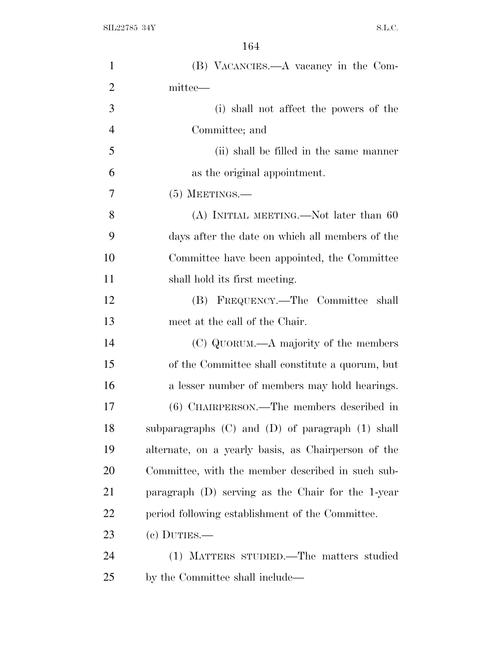| $\mathbf{1}$   | (B) VACANCIES.—A vacancy in the Com-                   |
|----------------|--------------------------------------------------------|
|                |                                                        |
| $\overline{2}$ | mittee—                                                |
| 3              | (i) shall not affect the powers of the                 |
| $\overline{4}$ | Committee; and                                         |
| 5              | (ii) shall be filled in the same manner                |
| 6              | as the original appointment.                           |
| 7              | $(5)$ MEETINGS.—                                       |
| 8              | (A) INITIAL MEETING.—Not later than 60                 |
| 9              | days after the date on which all members of the        |
| 10             | Committee have been appointed, the Committee           |
| 11             | shall hold its first meeting.                          |
| 12             | (B) FREQUENCY.—The Committee shall                     |
| 13             | meet at the call of the Chair.                         |
| 14             | (C) QUORUM.—A majority of the members                  |
| 15             | of the Committee shall constitute a quorum, but        |
| 16             | a lesser number of members may hold hearings.          |
| 17             | (6) CHAIRPERSON.—The members described in              |
| 18             | subparagraphs $(C)$ and $(D)$ of paragraph $(1)$ shall |
| 19             | alternate, on a yearly basis, as Chairperson of the    |
| 20             | Committee, with the member described in such sub-      |
| 21             | paragraph (D) serving as the Chair for the 1-year      |
| 22             | period following establishment of the Committee.       |
| 23             | $(e)$ DUTIES.—                                         |
| 24             | (1) MATTERS STUDIED.—The matters studied               |
| 25             | by the Committee shall include—                        |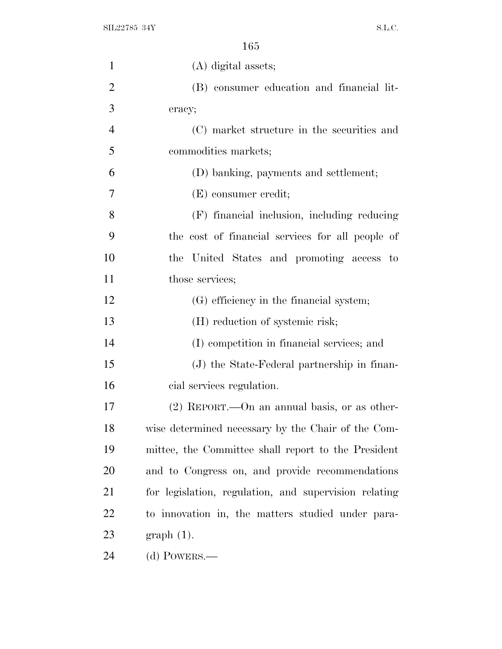|  | ۰.<br>× | ٠ |
|--|---------|---|
|--|---------|---|

| $\mathbf{1}$   | (A) digital assets;                                   |
|----------------|-------------------------------------------------------|
| $\overline{2}$ | (B) consumer education and financial lit-             |
| 3              | eracy;                                                |
| $\overline{4}$ | (C) market structure in the securities and            |
| 5              | commodities markets;                                  |
| 6              | (D) banking, payments and settlement;                 |
| 7              | (E) consumer credit;                                  |
| 8              | (F) financial inclusion, including reducing           |
| 9              | the cost of financial services for all people of      |
| 10             | the United States and promoting access to             |
| 11             | those services;                                       |
| 12             | (G) efficiency in the financial system;               |
| 13             | (H) reduction of systemic risk;                       |
| 14             | (I) competition in financial services; and            |
| 15             | (J) the State-Federal partnership in finan-           |
| 16             | cial services regulation.                             |
| 17             | $(2)$ REPORT.—On an annual basis, or as other-        |
| 18             | wise determined necessary by the Chair of the Com-    |
| 19             | mittee, the Committee shall report to the President   |
| 20             | and to Congress on, and provide recommendations       |
| 21             | for legislation, regulation, and supervision relating |
| 22             | to innovation in, the matters studied under para-     |
| 23             | $graph(1)$ .                                          |
| 24             | $(d)$ POWERS.—                                        |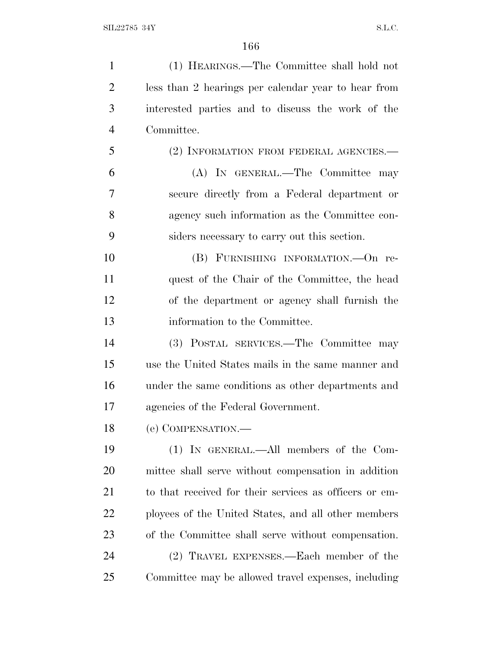(1) HEARINGS.—The Committee shall hold not less than 2 hearings per calendar year to hear from interested parties and to discuss the work of the Committee. (2) INFORMATION FROM FEDERAL AGENCIES.— (A) IN GENERAL.—The Committee may secure directly from a Federal department or agency such information as the Committee con- siders necessary to carry out this section. (B) FURNISHING INFORMATION.—On re- quest of the Chair of the Committee, the head of the department or agency shall furnish the information to the Committee. (3) POSTAL SERVICES.—The Committee may use the United States mails in the same manner and under the same conditions as other departments and agencies of the Federal Government. (e) COMPENSATION.— (1) IN GENERAL.—All members of the Com- mittee shall serve without compensation in addition to that received for their services as officers or em- ployees of the United States, and all other members of the Committee shall serve without compensation. (2) TRAVEL EXPENSES.—Each member of the Committee may be allowed travel expenses, including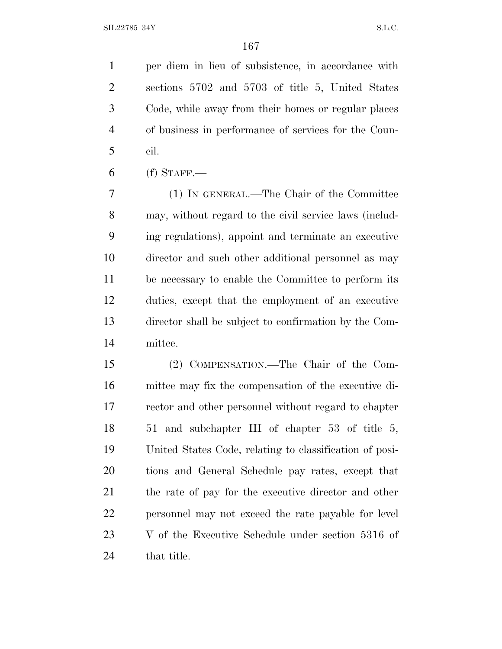per diem in lieu of subsistence, in accordance with sections 5702 and 5703 of title 5, United States Code, while away from their homes or regular places of business in performance of services for the Coun-cil.

(f) STAFF.

 (1) IN GENERAL.—The Chair of the Committee may, without regard to the civil service laws (includ- ing regulations), appoint and terminate an executive director and such other additional personnel as may be necessary to enable the Committee to perform its duties, except that the employment of an executive director shall be subject to confirmation by the Com-mittee.

 (2) COMPENSATION.—The Chair of the Com- mittee may fix the compensation of the executive di- rector and other personnel without regard to chapter 51 and subchapter III of chapter 53 of title 5, United States Code, relating to classification of posi- tions and General Schedule pay rates, except that the rate of pay for the executive director and other personnel may not exceed the rate payable for level V of the Executive Schedule under section 5316 of 24 that title.